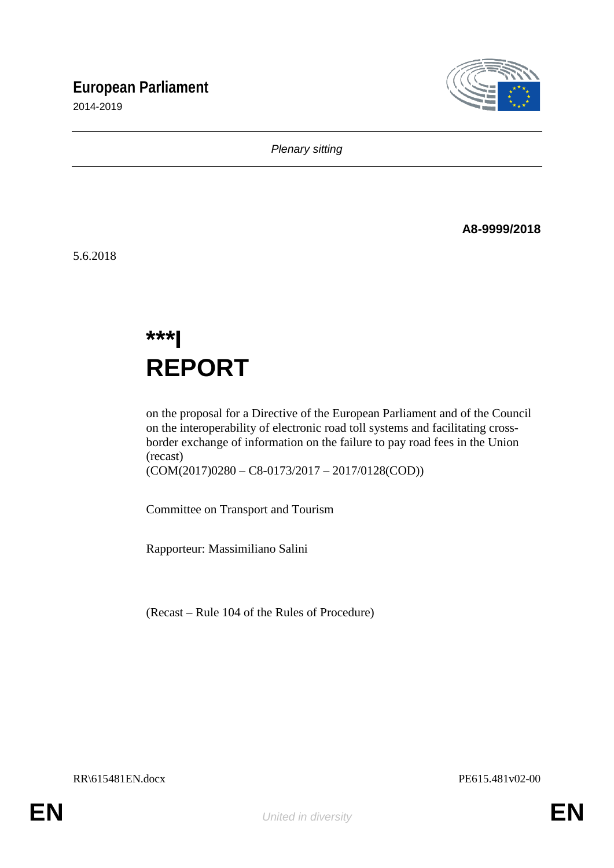

*Plenary sitting*

**A8-9999/2018**

5.6.2018

**\*\*\*I REPORT**

on the proposal for a Directive of the European Parliament and of the Council on the interoperability of electronic road toll systems and facilitating crossborder exchange of information on the failure to pay road fees in the Union (recast)

(COM(2017)0280 – C8-0173/2017 – 2017/0128(COD))

Committee on Transport and Tourism

Rapporteur: Massimiliano Salini

(Recast – Rule 104 of the Rules of Procedure)

RR\615481EN.docx PE615.481v02-00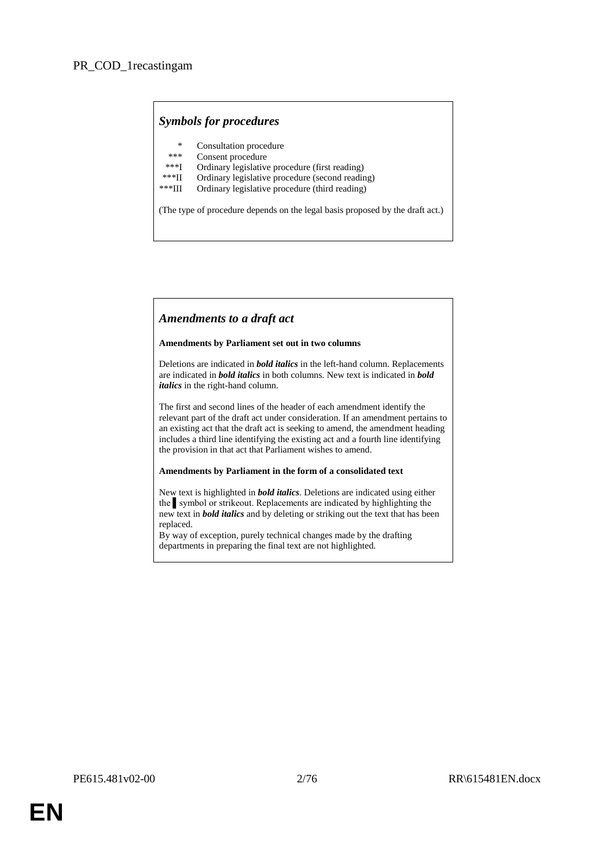# *Symbols for procedures*

- \* Consultation procedure
- \*\*\* Consent procedure<br>\*\*\*I Ordinary legislative
- \*\*\*I Ordinary legislative procedure (first reading)
- \*\*\*II Ordinary legislative procedure (second reading)
- Ordinary legislative procedure (third reading)

(The type of procedure depends on the legal basis proposed by the draft act.)

# *Amendments to a draft act*

### **Amendments by Parliament set out in two columns**

Deletions are indicated in *bold italics* in the left-hand column. Replacements are indicated in *bold italics* in both columns. New text is indicated in *bold italics* in the right-hand column.

The first and second lines of the header of each amendment identify the relevant part of the draft act under consideration. If an amendment pertains to an existing act that the draft act is seeking to amend, the amendment heading includes a third line identifying the existing act and a fourth line identifying the provision in that act that Parliament wishes to amend.

### **Amendments by Parliament in the form of a consolidated text**

New text is highlighted in *bold italics*. Deletions are indicated using either the ▌symbol or strikeout. Replacements are indicated by highlighting the new text in *bold italics* and by deleting or striking out the text that has been replaced.

By way of exception, purely technical changes made by the drafting departments in preparing the final text are not highlighted.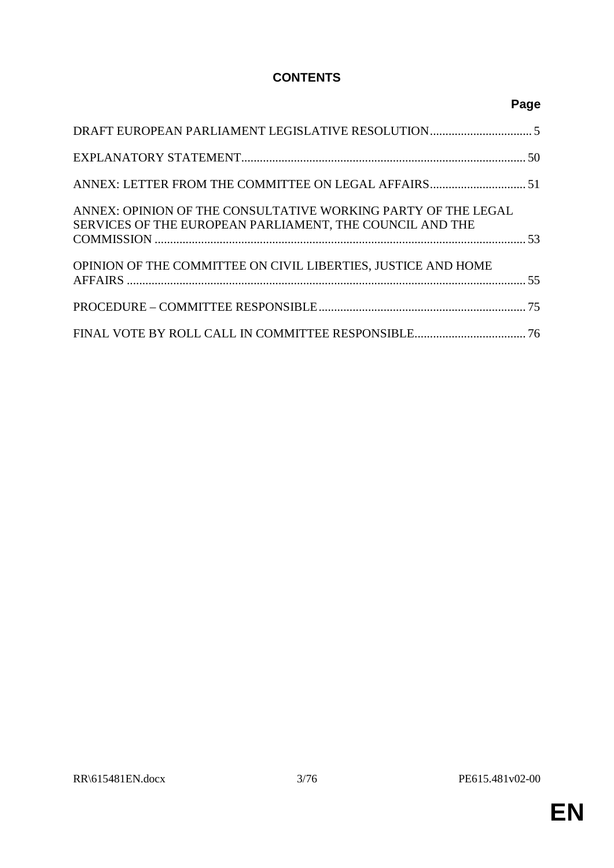# **CONTENTS**

|                                                                                                                           | Page |
|---------------------------------------------------------------------------------------------------------------------------|------|
|                                                                                                                           |      |
|                                                                                                                           |      |
|                                                                                                                           |      |
| ANNEX: OPINION OF THE CONSULTATIVE WORKING PARTY OF THE LEGAL<br>SERVICES OF THE EUROPEAN PARLIAMENT, THE COUNCIL AND THE |      |
| OPINION OF THE COMMITTEE ON CIVIL LIBERTIES, JUSTICE AND HOME                                                             |      |
|                                                                                                                           |      |
|                                                                                                                           |      |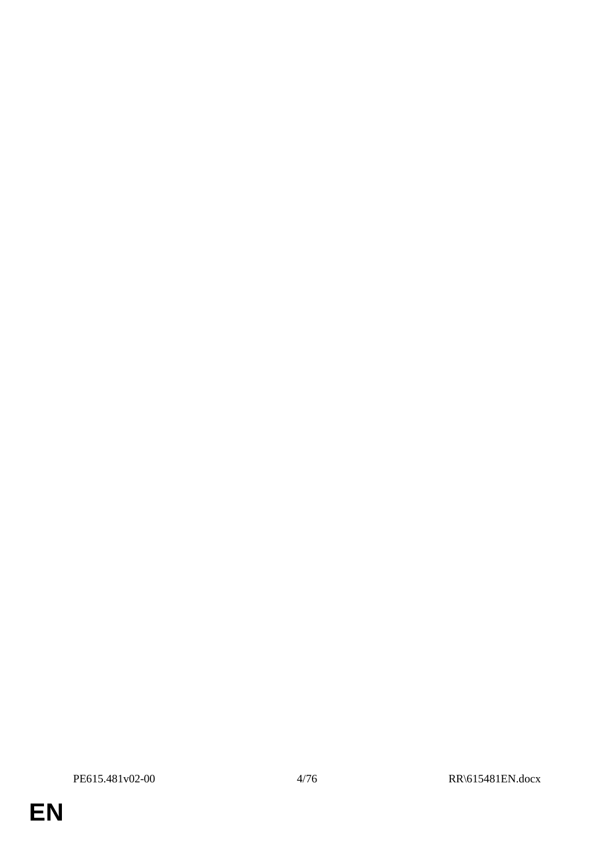PE615.481v02 -00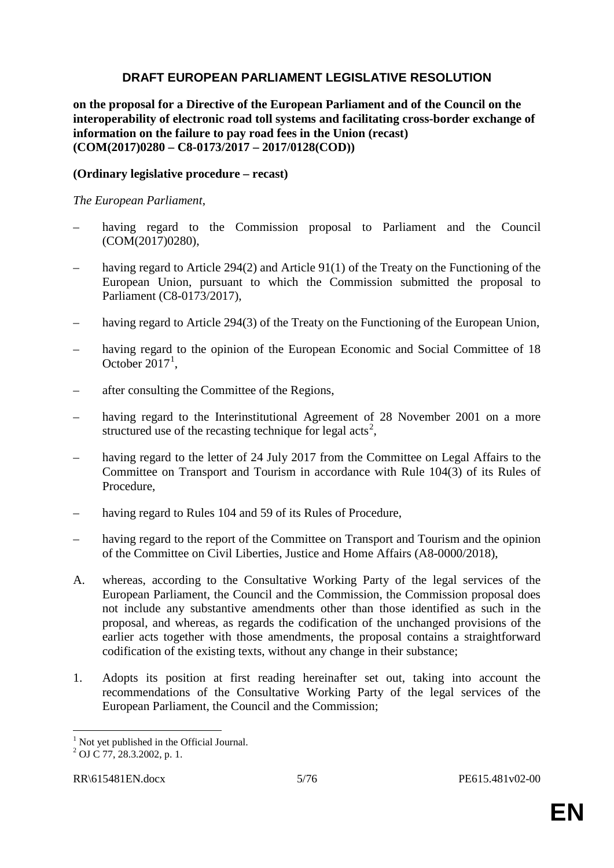# **DRAFT EUROPEAN PARLIAMENT LEGISLATIVE RESOLUTION**

**on the proposal for a Directive of the European Parliament and of the Council on the interoperability of electronic road toll systems and facilitating cross-border exchange of information on the failure to pay road fees in the Union (recast) (COM(2017)0280 – C8-0173/2017 – 2017/0128(COD))**

# **(Ordinary legislative procedure – recast)**

*The European Parliament*,

- having regard to the Commission proposal to Parliament and the Council (COM(2017)0280),
- having regard to Article 294(2) and Article 91(1) of the Treaty on the Functioning of the European Union, pursuant to which the Commission submitted the proposal to Parliament (C8-0173/2017),
- having regard to Article 294(3) of the Treaty on the Functioning of the European Union,
- having regard to the opinion of the European Economic and Social Committee of 18 October  $2017<sup>1</sup>$  $2017<sup>1</sup>$  $2017<sup>1</sup>$ ,
- after consulting the Committee of the Regions,
- having regard to the Interinstitutional Agreement of 28 November 2001 on a more structured use of the recasting technique for legal acts<sup>[2](#page-4-1)</sup>,
- having regard to the letter of 24 July 2017 from the Committee on Legal Affairs to the Committee on Transport and Tourism in accordance with Rule 104(3) of its Rules of Procedure,
- having regard to Rules 104 and 59 of its Rules of Procedure,
- having regard to the report of the Committee on Transport and Tourism and the opinion of the Committee on Civil Liberties, Justice and Home Affairs (A8-0000/2018),
- A. whereas, according to the Consultative Working Party of the legal services of the European Parliament, the Council and the Commission, the Commission proposal does not include any substantive amendments other than those identified as such in the proposal, and whereas, as regards the codification of the unchanged provisions of the earlier acts together with those amendments, the proposal contains a straightforward codification of the existing texts, without any change in their substance;
- 1. Adopts its position at first reading hereinafter set out, taking into account the recommendations of the Consultative Working Party of the legal services of the European Parliament, the Council and the Commission;

 $<sup>1</sup>$  Not yet published in the Official Journal.</sup>

<span id="page-4-1"></span><span id="page-4-0"></span> $^{2}$  OJ C 77, 28.3.2002, p. 1.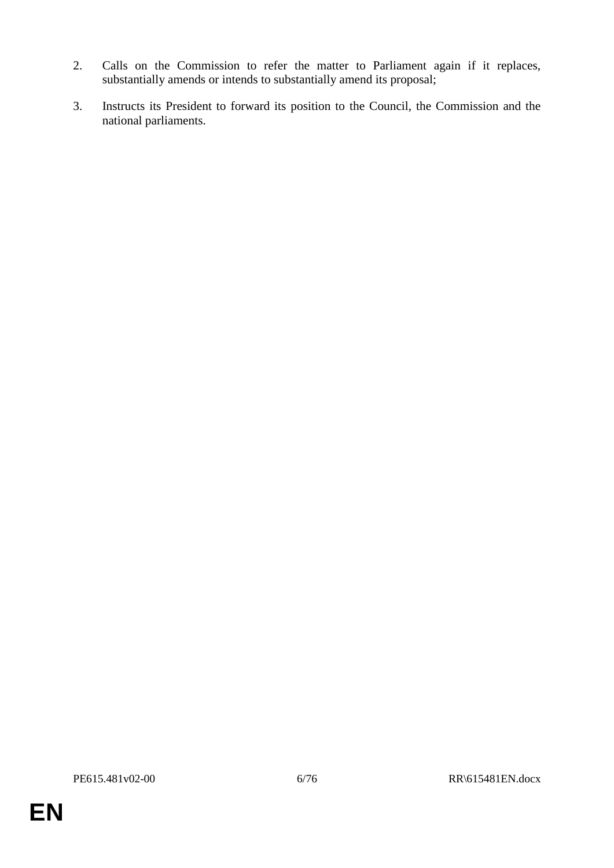- 2. Calls on the Commission to refer the matter to Parliament again if it replaces, substantially amends or intends to substantially amend its proposal;
- 3. Instructs its President to forward its position to the Council, the Commission and the national parliaments.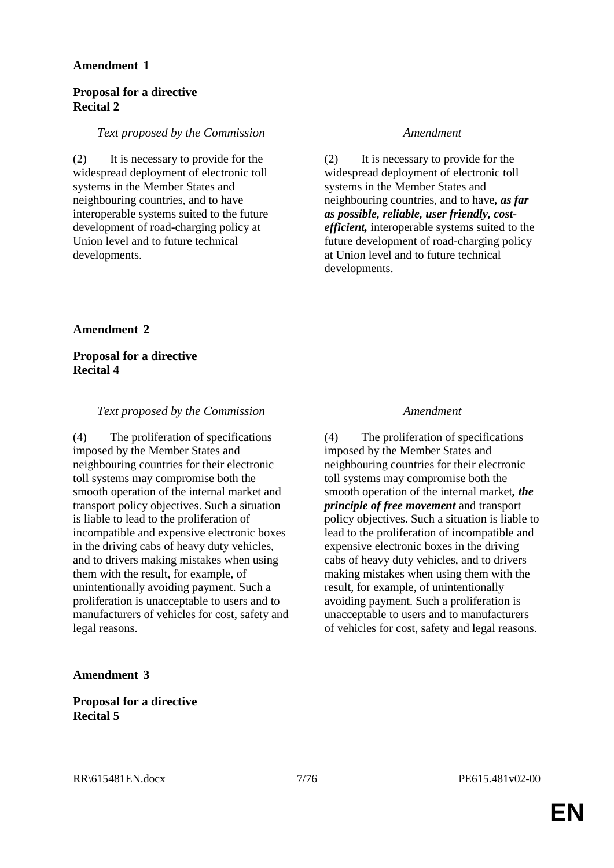### **Proposal for a directive Recital 2**

### *Text proposed by the Commission Amendment*

(2) It is necessary to provide for the widespread deployment of electronic toll systems in the Member States and neighbouring countries, and to have interoperable systems suited to the future development of road-charging policy at Union level and to future technical developments.

(2) It is necessary to provide for the widespread deployment of electronic toll systems in the Member States and neighbouring countries, and to have*, as far as possible, reliable, user friendly, costefficient,* interoperable systems suited to the future development of road-charging policy at Union level and to future technical developments.

**Amendment 2**

## **Proposal for a directive Recital 4**

### *Text proposed by the Commission Amendment*

(4) The proliferation of specifications imposed by the Member States and neighbouring countries for their electronic toll systems may compromise both the smooth operation of the internal market and transport policy objectives. Such a situation is liable to lead to the proliferation of incompatible and expensive electronic boxes in the driving cabs of heavy duty vehicles, and to drivers making mistakes when using them with the result, for example, of unintentionally avoiding payment. Such a proliferation is unacceptable to users and to manufacturers of vehicles for cost, safety and legal reasons.

(4) The proliferation of specifications imposed by the Member States and neighbouring countries for their electronic toll systems may compromise both the smooth operation of the internal market*, the principle of free movement* and transport policy objectives. Such a situation is liable to lead to the proliferation of incompatible and expensive electronic boxes in the driving cabs of heavy duty vehicles, and to drivers making mistakes when using them with the result, for example, of unintentionally avoiding payment. Such a proliferation is unacceptable to users and to manufacturers of vehicles for cost, safety and legal reasons.

### **Amendment 3**

### **Proposal for a directive Recital 5**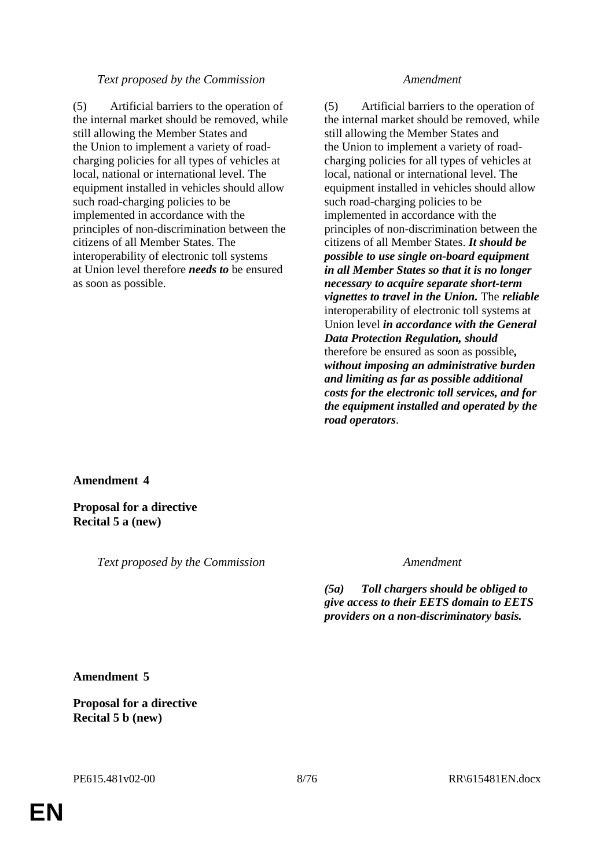(5) Artificial barriers to the operation of the internal market should be removed, while still allowing the Member States and the Union to implement a variety of roadcharging policies for all types of vehicles at local, national or international level. The equipment installed in vehicles should allow such road-charging policies to be implemented in accordance with the principles of non-discrimination between the citizens of all Member States. The interoperability of electronic toll systems at Union level therefore *needs to* be ensured as soon as possible.

(5) Artificial barriers to the operation of the internal market should be removed, while still allowing the Member States and the Union to implement a variety of roadcharging policies for all types of vehicles at local, national or international level. The equipment installed in vehicles should allow such road-charging policies to be implemented in accordance with the principles of non-discrimination between the citizens of all Member States. *It should be possible to use single on-board equipment in all Member States so that it is no longer necessary to acquire separate short-term vignettes to travel in the Union.* The *reliable*  interoperability of electronic toll systems at Union level *in accordance with the General Data Protection Regulation, should* therefore be ensured as soon as possible*, without imposing an administrative burden and limiting as far as possible additional costs for the electronic toll services, and for the equipment installed and operated by the road operators*.

**Amendment 4**

**Proposal for a directive Recital 5 a (new)**

*Text proposed by the Commission Amendment*

*(5a) Toll chargers should be obliged to give access to their EETS domain to EETS providers on a non-discriminatory basis.*

**Amendment 5**

**Proposal for a directive Recital 5 b (new)**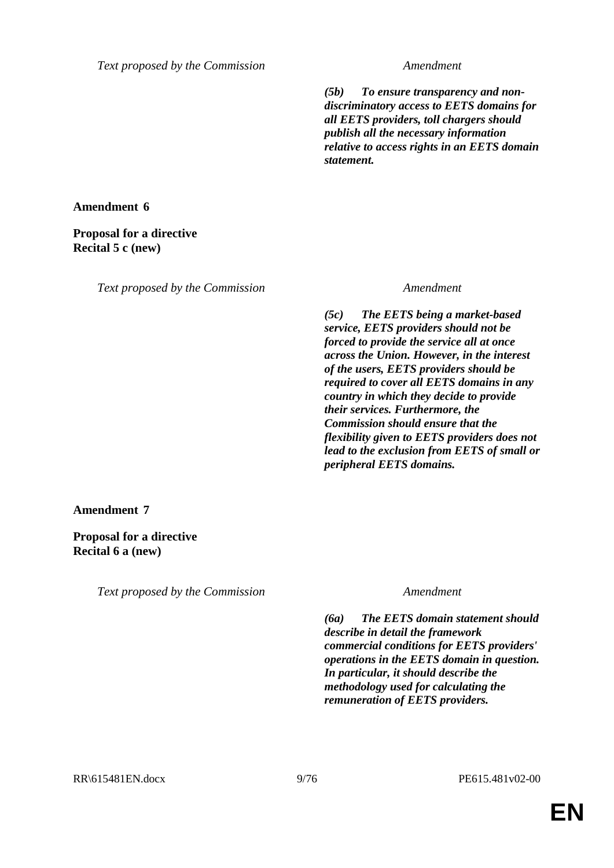*(5b) To ensure transparency and nondiscriminatory access to EETS domains for all EETS providers, toll chargers should publish all the necessary information relative to access rights in an EETS domain statement.*

**Amendment 6**

**Proposal for a directive Recital 5 c (new)**

*Text proposed by the Commission Amendment*

*(5c) The EETS being a market-based service, EETS providers should not be forced to provide the service all at once across the Union. However, in the interest of the users, EETS providers should be required to cover all EETS domains in any country in which they decide to provide their services. Furthermore, the Commission should ensure that the flexibility given to EETS providers does not lead to the exclusion from EETS of small or peripheral EETS domains.*

**Amendment 7**

**Proposal for a directive Recital 6 a (new)**

*Text proposed by the Commission Amendment*

*(6a) The EETS domain statement should describe in detail the framework commercial conditions for EETS providers' operations in the EETS domain in question. In particular, it should describe the methodology used for calculating the remuneration of EETS providers.*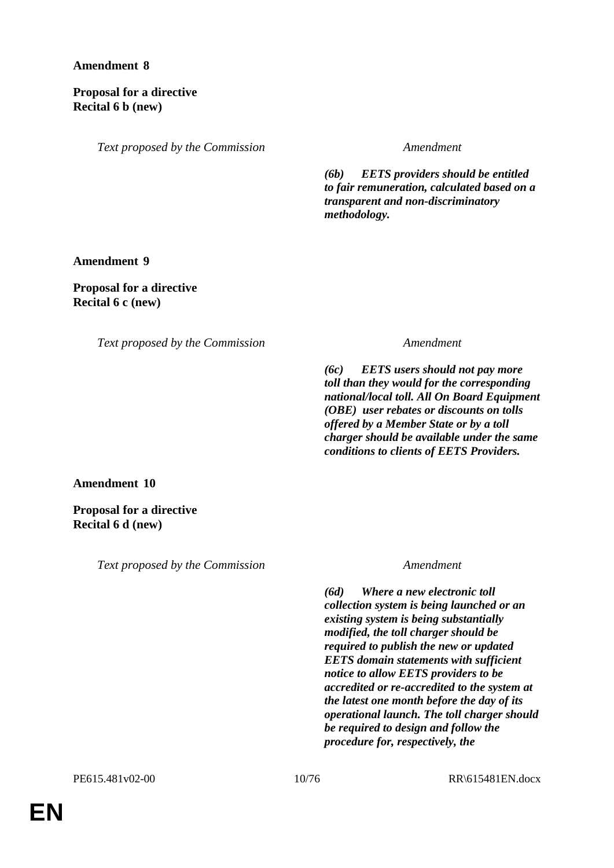## **Proposal for a directive Recital 6 b (new)**

*Text proposed by the Commission Amendment*

*(6b) EETS providers should be entitled to fair remuneration, calculated based on a transparent and non-discriminatory methodology.*

**Amendment 9**

### **Proposal for a directive Recital 6 c (new)**

*Text proposed by the Commission Amendment*

*(6c) EETS users should not pay more toll than they would for the corresponding national/local toll. All On Board Equipment (OBE) user rebates or discounts on tolls offered by a Member State or by a toll charger should be available under the same conditions to clients of EETS Providers.*

**Amendment 10**

**Proposal for a directive Recital 6 d (new)**

*Text proposed by the Commission Amendment*

*(6d) Where a new electronic toll collection system is being launched or an existing system is being substantially modified, the toll charger should be required to publish the new or updated EETS domain statements with sufficient notice to allow EETS providers to be accredited or re-accredited to the system at the latest one month before the day of its operational launch. The toll charger should be required to design and follow the procedure for, respectively, the*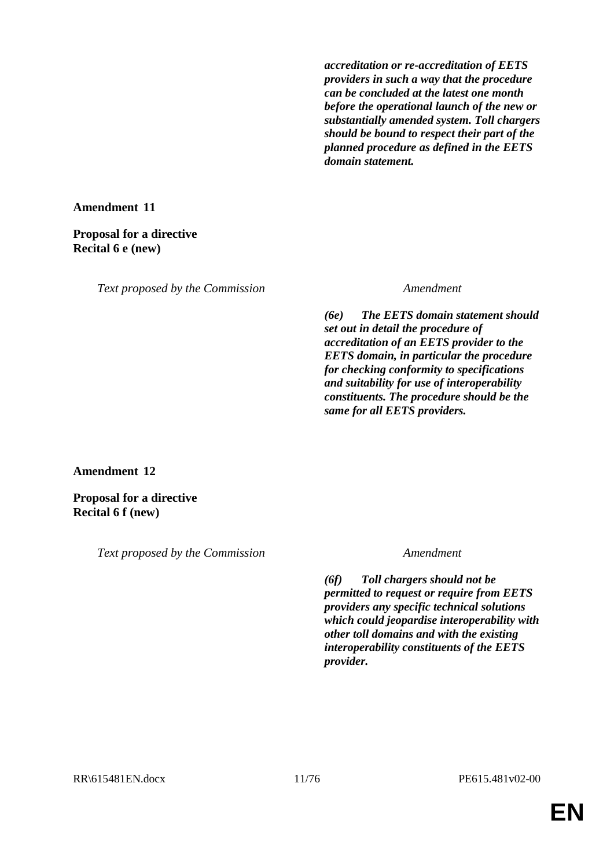*accreditation or re-accreditation of EETS providers in such a way that the procedure can be concluded at the latest one month before the operational launch of the new or substantially amended system. Toll chargers should be bound to respect their part of the planned procedure as defined in the EETS domain statement.*

**Amendment 11**

**Proposal for a directive Recital 6 e (new)**

*Text proposed by the Commission Amendment*

*(6e) The EETS domain statement should set out in detail the procedure of accreditation of an EETS provider to the EETS domain, in particular the procedure for checking conformity to specifications and suitability for use of interoperability constituents. The procedure should be the same for all EETS providers.*

**Amendment 12**

**Proposal for a directive Recital 6 f (new)**

*Text proposed by the Commission Amendment*

*(6f) Toll chargers should not be permitted to request or require from EETS providers any specific technical solutions which could jeopardise interoperability with other toll domains and with the existing interoperability constituents of the EETS provider.*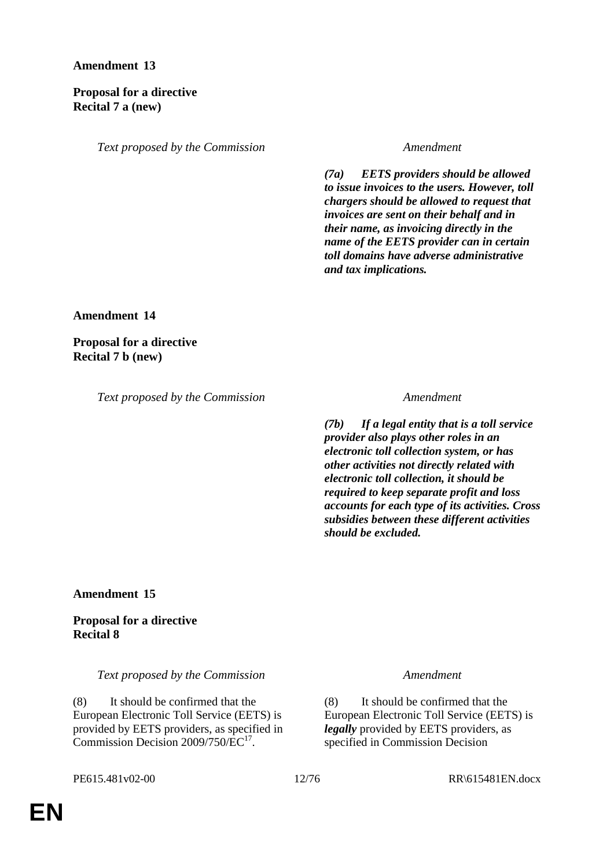### **Proposal for a directive Recital 7 a (new)**

*Text proposed by the Commission Amendment*

*(7a) EETS providers should be allowed to issue invoices to the users. However, toll chargers should be allowed to request that invoices are sent on their behalf and in their name, as invoicing directly in the name of the EETS provider can in certain toll domains have adverse administrative and tax implications.*

**Amendment 14**

**Proposal for a directive Recital 7 b (new)**

*Text proposed by the Commission Amendment*

*(7b) If a legal entity that is a toll service provider also plays other roles in an electronic toll collection system, or has other activities not directly related with electronic toll collection, it should be required to keep separate profit and loss accounts for each type of its activities. Cross subsidies between these different activities should be excluded.*

**Amendment 15**

**Proposal for a directive Recital 8**

*Text proposed by the Commission Amendment*

(8) It should be confirmed that the European Electronic Toll Service (EETS) is provided by EETS providers, as specified in Commission Decision 2009/750/EC<sup>17</sup>.

(8) It should be confirmed that the European Electronic Toll Service (EETS) is *legally* provided by EETS providers, as specified in Commission Decision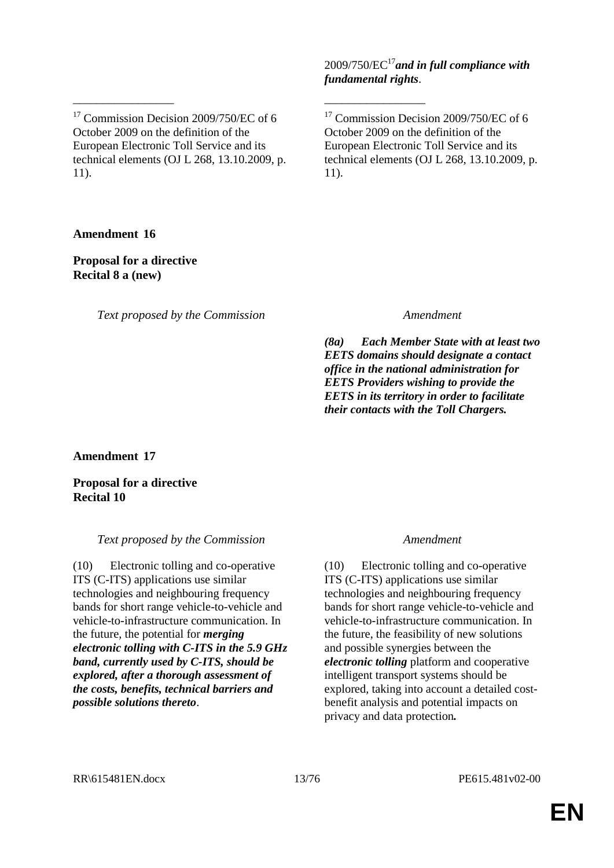2009/750/EC17*and in full compliance with fundamental rights*.

 $17$  Commission Decision 2009/750/EC of 6 October 2009 on the definition of the European Electronic Toll Service and its technical elements (OJ L 268, 13.10.2009, p. 11).

\_\_\_\_\_\_\_\_\_\_\_\_\_\_\_\_\_ \_\_\_\_\_\_\_\_\_\_\_\_\_\_\_\_\_

 $17$  Commission Decision 2009/750/EC of 6 October 2009 on the definition of the European Electronic Toll Service and its technical elements (OJ L 268, 13.10.2009, p. 11).

**Amendment 16**

**Proposal for a directive Recital 8 a (new)**

*Text proposed by the Commission Amendment*

*(8a) Each Member State with at least two EETS domains should designate a contact office in the national administration for EETS Providers wishing to provide the EETS in its territory in order to facilitate their contacts with the Toll Chargers.*

**Amendment 17**

**Proposal for a directive Recital 10**

*Text proposed by the Commission Amendment*

(10) Electronic tolling and co-operative ITS (C-ITS) applications use similar technologies and neighbouring frequency bands for short range vehicle-to-vehicle and vehicle-to-infrastructure communication. In the future, the potential for *merging electronic tolling with C-ITS in the 5.9 GHz band, currently used by C-ITS, should be explored, after a thorough assessment of the costs, benefits, technical barriers and possible solutions thereto*.

(10) Electronic tolling and co-operative ITS (C-ITS) applications use similar technologies and neighbouring frequency bands for short range vehicle-to-vehicle and vehicle-to-infrastructure communication. In the future, the feasibility of new solutions and possible synergies between the *electronic tolling* platform and cooperative intelligent transport systems should be explored, taking into account a detailed costbenefit analysis and potential impacts on privacy and data protection*.*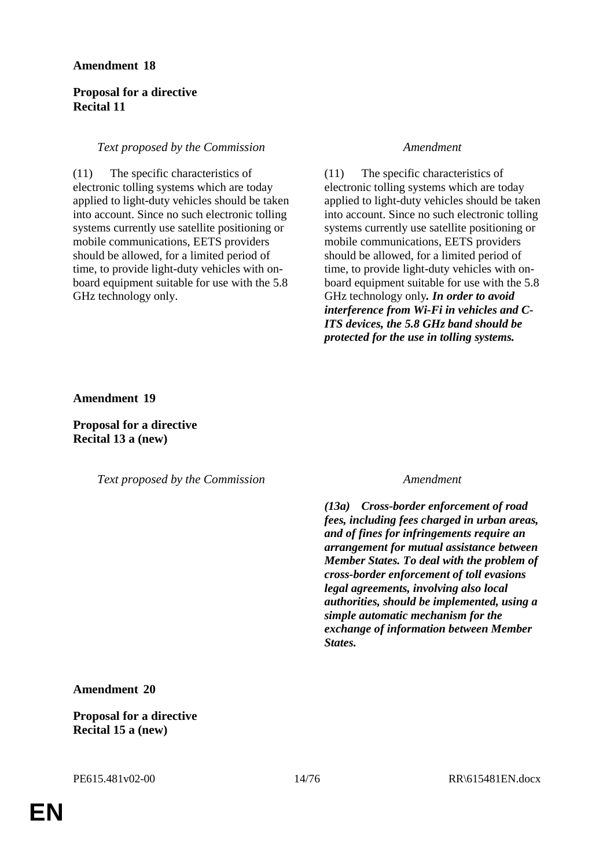# **Proposal for a directive Recital 11**

## *Text proposed by the Commission Amendment*

(11) The specific characteristics of electronic tolling systems which are today applied to light-duty vehicles should be taken into account. Since no such electronic tolling systems currently use satellite positioning or mobile communications, EETS providers should be allowed, for a limited period of time, to provide light-duty vehicles with onboard equipment suitable for use with the 5.8 GHz technology only.

(11) The specific characteristics of electronic tolling systems which are today applied to light-duty vehicles should be taken into account. Since no such electronic tolling systems currently use satellite positioning or mobile communications, EETS providers should be allowed, for a limited period of time, to provide light-duty vehicles with onboard equipment suitable for use with the 5.8 GHz technology only*. In order to avoid interference from Wi-Fi in vehicles and C-ITS devices, the 5.8 GHz band should be protected for the use in tolling systems.*

**Amendment 19**

**Proposal for a directive Recital 13 a (new)**

*Text proposed by the Commission Amendment*

*(13a) Cross-border enforcement of road fees, including fees charged in urban areas, and of fines for infringements require an arrangement for mutual assistance between Member States. To deal with the problem of cross-border enforcement of toll evasions legal agreements, involving also local authorities, should be implemented, using a simple automatic mechanism for the exchange of information between Member States.*

**Amendment 20**

**Proposal for a directive Recital 15 a (new)**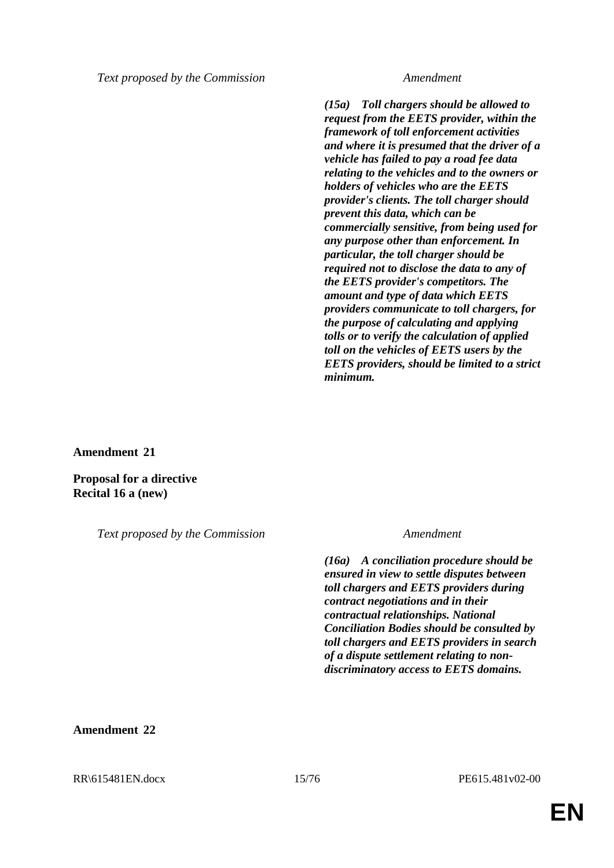*(15a) Toll chargers should be allowed to request from the EETS provider, within the framework of toll enforcement activities and where it is presumed that the driver of a vehicle has failed to pay a road fee data relating to the vehicles and to the owners or holders of vehicles who are the EETS provider's clients. The toll charger should prevent this data, which can be commercially sensitive, from being used for any purpose other than enforcement. In particular, the toll charger should be required not to disclose the data to any of the EETS provider's competitors. The amount and type of data which EETS providers communicate to toll chargers, for the purpose of calculating and applying tolls or to verify the calculation of applied toll on the vehicles of EETS users by the EETS providers, should be limited to a strict minimum.*

**Amendment 21**

**Proposal for a directive Recital 16 a (new)**

*Text proposed by the Commission Amendment*

*(16a) A conciliation procedure should be ensured in view to settle disputes between toll chargers and EETS providers during contract negotiations and in their contractual relationships. National Conciliation Bodies should be consulted by toll chargers and EETS providers in search of a dispute settlement relating to nondiscriminatory access to EETS domains.*

# **Amendment 22**

RR\615481EN.docx 15/76 PE615.481v02-00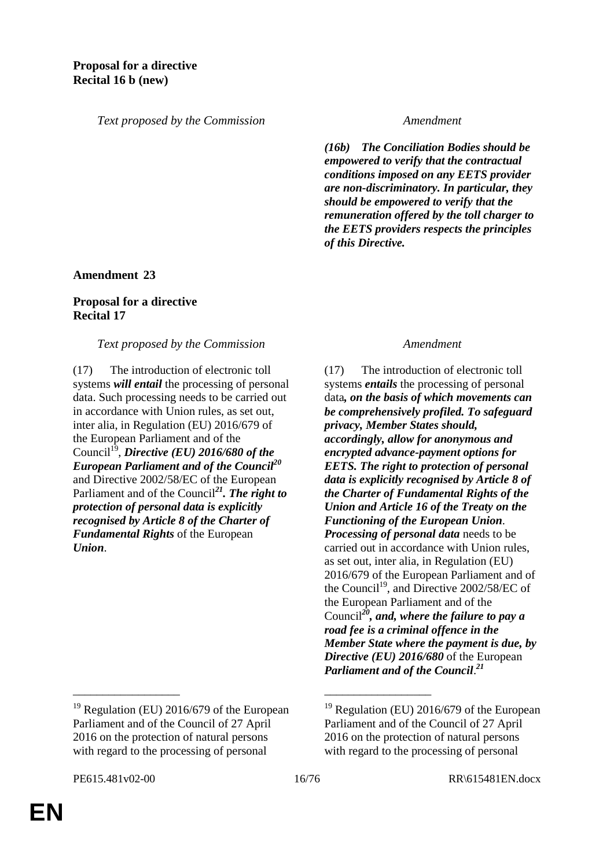*(16b) The Conciliation Bodies should be empowered to verify that the contractual conditions imposed on any EETS provider are non-discriminatory. In particular, they should be empowered to verify that the remuneration offered by the toll charger to the EETS providers respects the principles of this Directive.*

### **Amendment 23**

# **Proposal for a directive Recital 17**

# *Text proposed by the Commission Amendment*

(17) The introduction of electronic toll systems *will entail* the processing of personal data. Such processing needs to be carried out in accordance with Union rules, as set out, inter alia, in Regulation (EU) 2016/679 of the European Parliament and of the Council19, *Directive (EU) 2016/680 of the European Parliament and of the Council20* and Directive 2002/58/EC of the European Parliament and of the Council*21. The right to protection of personal data is explicitly recognised by Article 8 of the Charter of Fundamental Rights* of the European *Union*.

(17) The introduction of electronic toll systems *entails* the processing of personal data*, on the basis of which movements can be comprehensively profiled. To safeguard privacy, Member States should, accordingly, allow for anonymous and encrypted advance-payment options for EETS. The right to protection of personal data is explicitly recognised by Article 8 of the Charter of Fundamental Rights of the Union and Article 16 of the Treaty on the Functioning of the European Union*. *Processing of personal data* needs to be carried out in accordance with Union rules, as set out, inter alia, in Regulation (EU) 2016/679 of the European Parliament and of the Council<sup>19</sup>, and Directive 2002/58/EC of the European Parliament and of the Council*20, and, where the failure to pay a road fee is a criminal offence in the Member State where the payment is due, by Directive (EU) 2016/680* of the European *Parliament and of the Council*. *21*

\_\_\_\_\_\_\_\_\_\_\_\_\_\_\_\_\_\_ \_\_\_\_\_\_\_\_\_\_\_\_\_\_\_\_\_\_

<sup>&</sup>lt;sup>19</sup> Regulation (EU) 2016/679 of the European Parliament and of the Council of 27 April 2016 on the protection of natural persons with regard to the processing of personal

<sup>&</sup>lt;sup>19</sup> Regulation (EU) 2016/679 of the European Parliament and of the Council of 27 April 2016 on the protection of natural persons with regard to the processing of personal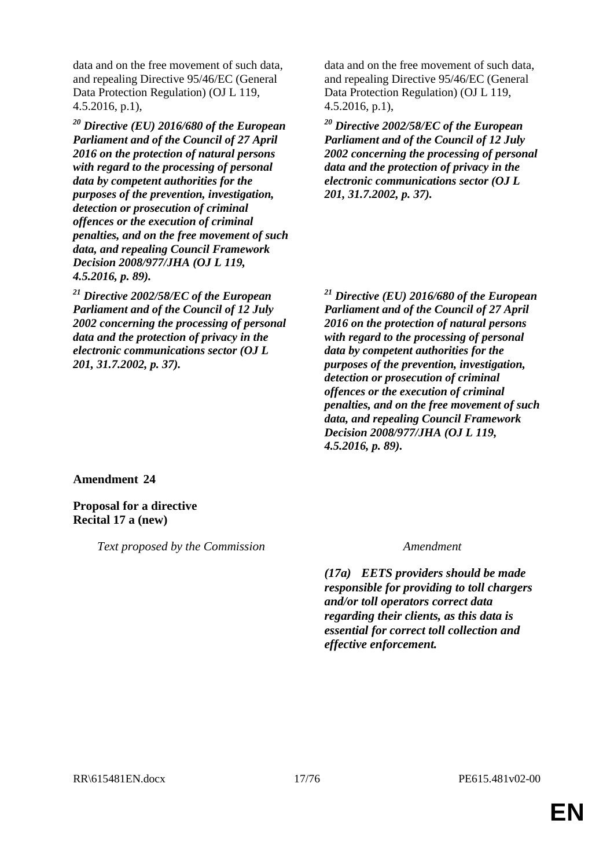data and on the free movement of such data, and repealing Directive 95/46/EC (General Data Protection Regulation) (OJ L 119, 4.5.2016, p.1),

*<sup>20</sup> Directive (EU) 2016/680 of the European Parliament and of the Council of 27 April 2016 on the protection of natural persons with regard to the processing of personal data by competent authorities for the purposes of the prevention, investigation, detection or prosecution of criminal offences or the execution of criminal penalties, and on the free movement of such data, and repealing Council Framework Decision 2008/977/JHA (OJ L 119, 4.5.2016, p. 89).*

*<sup>21</sup> Directive 2002/58/EC of the European Parliament and of the Council of 12 July 2002 concerning the processing of personal data and the protection of privacy in the electronic communications sector (OJ L 201, 31.7.2002, p. 37).*

data and on the free movement of such data, and repealing Directive 95/46/EC (General Data Protection Regulation) (OJ L 119, 4.5.2016, p.1),

*<sup>20</sup> Directive 2002/58/EC of the European Parliament and of the Council of 12 July 2002 concerning the processing of personal data and the protection of privacy in the electronic communications sector (OJ L 201, 31.7.2002, p. 37).*

*<sup>21</sup> Directive (EU) 2016/680 of the European Parliament and of the Council of 27 April 2016 on the protection of natural persons with regard to the processing of personal data by competent authorities for the purposes of the prevention, investigation, detection or prosecution of criminal offences or the execution of criminal penalties, and on the free movement of such data, and repealing Council Framework Decision 2008/977/JHA (OJ L 119, 4.5.2016, p. 89).*

### **Amendment 24**

**Proposal for a directive Recital 17 a (new)**

*Text proposed by the Commission Amendment*

*(17a) EETS providers should be made responsible for providing to toll chargers and/or toll operators correct data regarding their clients, as this data is essential for correct toll collection and effective enforcement.*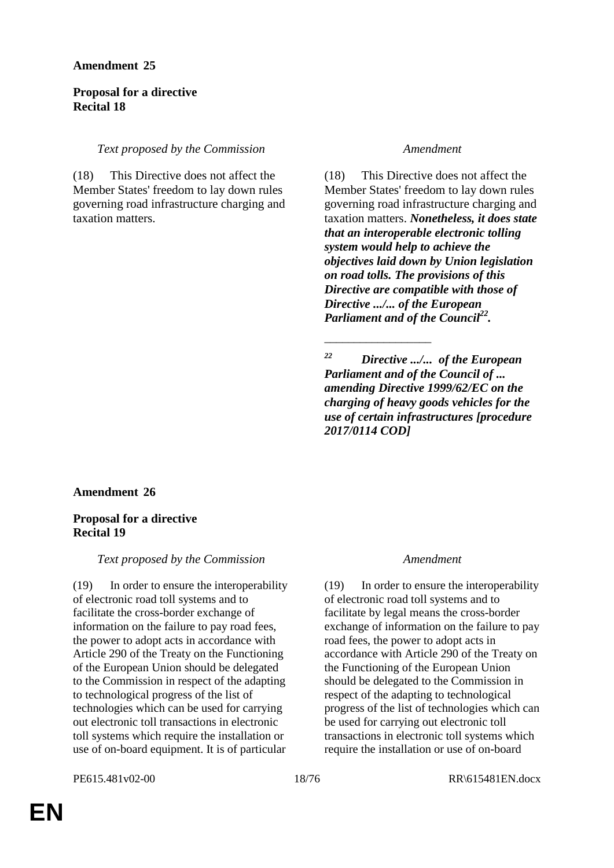## **Proposal for a directive Recital 18**

### *Text proposed by the Commission Amendment*

(18) This Directive does not affect the Member States' freedom to lay down rules governing road infrastructure charging and taxation matters.

(18) This Directive does not affect the Member States' freedom to lay down rules governing road infrastructure charging and taxation matters. *Nonetheless, it does state that an interoperable electronic tolling system would help to achieve the objectives laid down by Union legislation on road tolls. The provisions of this Directive are compatible with those of Directive .../... of the European Parliament and of the Council*<sup>22</sup>.

*<sup>22</sup> Directive .../... of the European Parliament and of the Council of ... amending Directive 1999/62/EC on the charging of heavy goods vehicles for the use of certain infrastructures [procedure 2017/0114 COD]*

\_\_\_\_\_\_\_\_\_\_\_\_\_\_\_\_\_\_

# **Amendment 26**

# **Proposal for a directive Recital 19**

### *Text proposed by the Commission Amendment*

(19) In order to ensure the interoperability of electronic road toll systems and to facilitate the cross-border exchange of information on the failure to pay road fees, the power to adopt acts in accordance with Article 290 of the Treaty on the Functioning of the European Union should be delegated to the Commission in respect of the adapting to technological progress of the list of technologies which can be used for carrying out electronic toll transactions in electronic toll systems which require the installation or use of on-board equipment. It is of particular

(19) In order to ensure the interoperability of electronic road toll systems and to facilitate by legal means the cross-border exchange of information on the failure to pay road fees, the power to adopt acts in accordance with Article 290 of the Treaty on the Functioning of the European Union should be delegated to the Commission in respect of the adapting to technological progress of the list of technologies which can be used for carrying out electronic toll transactions in electronic toll systems which require the installation or use of on-board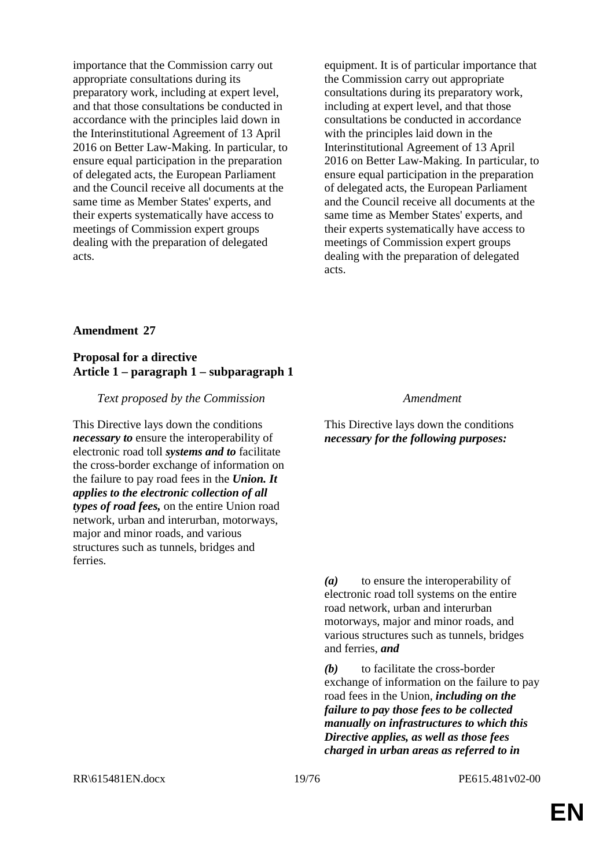importance that the Commission carry out appropriate consultations during its preparatory work, including at expert level, and that those consultations be conducted in accordance with the principles laid down in the Interinstitutional Agreement of 13 April 2016 on Better Law-Making. In particular, to ensure equal participation in the preparation of delegated acts, the European Parliament and the Council receive all documents at the same time as Member States' experts, and their experts systematically have access to meetings of Commission expert groups dealing with the preparation of delegated acts.

equipment. It is of particular importance that the Commission carry out appropriate consultations during its preparatory work, including at expert level, and that those consultations be conducted in accordance with the principles laid down in the Interinstitutional Agreement of 13 April 2016 on Better Law-Making. In particular, to ensure equal participation in the preparation of delegated acts, the European Parliament and the Council receive all documents at the same time as Member States' experts, and their experts systematically have access to meetings of Commission expert groups dealing with the preparation of delegated acts.

### **Amendment 27**

### **Proposal for a directive Article 1 – paragraph 1 – subparagraph 1**

### *Text proposed by the Commission Amendment*

This Directive lays down the conditions *necessary to* ensure the interoperability of electronic road toll *systems and to* facilitate the cross-border exchange of information on the failure to pay road fees in the *Union. It applies to the electronic collection of all types of road fees,* on the entire Union road network, urban and interurban, motorways, major and minor roads, and various structures such as tunnels, bridges and ferries.

This Directive lays down the conditions *necessary for the following purposes:*

*(a)* to ensure the interoperability of electronic road toll systems on the entire road network, urban and interurban motorways, major and minor roads, and various structures such as tunnels, bridges and ferries, *and*

*(b)* to facilitate the cross-border exchange of information on the failure to pay road fees in the Union, *including on the failure to pay those fees to be collected manually on infrastructures to which this Directive applies, as well as those fees charged in urban areas as referred to in* 

RR\615481EN.docx 19/76 PE615.481v02-00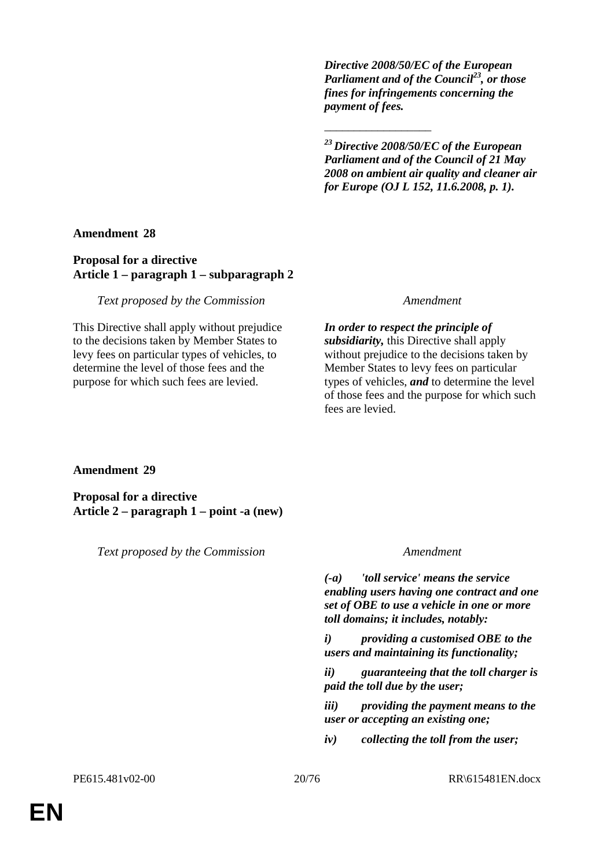*Directive 2008/50/EC of the European Parliament and of the Council23, or those fines for infringements concerning the payment of fees.*

\_\_\_\_\_\_\_\_\_\_\_\_\_\_\_\_\_\_

*23 Directive 2008/50/EC of the European Parliament and of the Council of 21 May 2008 on ambient air quality and cleaner air for Europe (OJ L 152, 11.6.2008, p. 1).*

# **Amendment 28**

# **Proposal for a directive Article 1 – paragraph 1 – subparagraph 2**

*Text proposed by the Commission Amendment*

This Directive shall apply without prejudice to the decisions taken by Member States to levy fees on particular types of vehicles, to determine the level of those fees and the purpose for which such fees are levied.

*In order to respect the principle of subsidiarity,* this Directive shall apply without prejudice to the decisions taken by Member States to levy fees on particular types of vehicles, *and* to determine the level of those fees and the purpose for which such fees are levied.

### **Amendment 29**

**Proposal for a directive Article 2 – paragraph 1 – point -a (new)**

*Text proposed by the Commission Amendment*

*(-a) 'toll service' means the service enabling users having one contract and one set of OBE to use a vehicle in one or more toll domains; it includes, notably:*

*i) providing a customised OBE to the users and maintaining its functionality;*

*ii) guaranteeing that the toll charger is paid the toll due by the user;*

*iii) providing the payment means to the user or accepting an existing one;*

*iv) collecting the toll from the user;*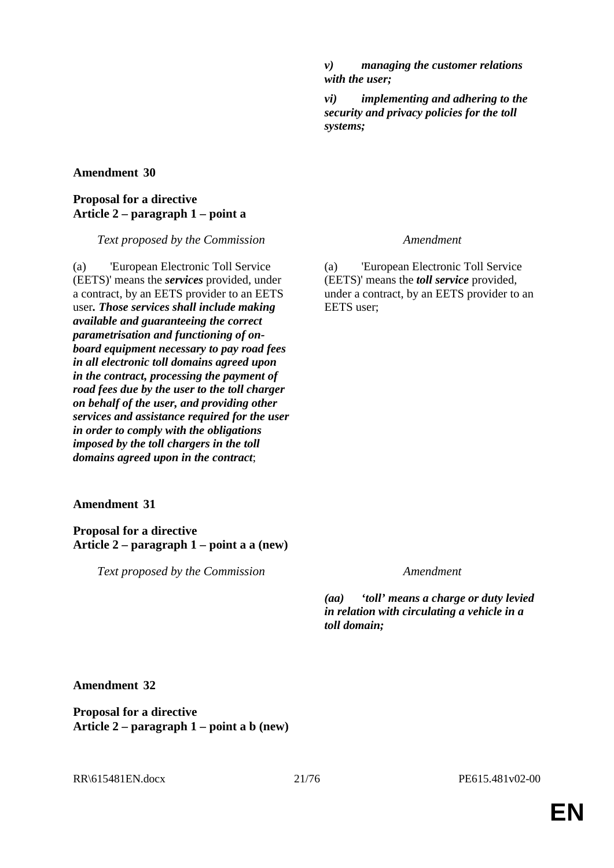*v) managing the customer relations with the user;*

*vi) implementing and adhering to the security and privacy policies for the toll systems;*

### **Amendment 30**

# **Proposal for a directive Article 2 – paragraph 1 – point a**

### *Text proposed by the Commission Amendment*

(a) 'European Electronic Toll Service (EETS)' means the *services* provided, under a contract, by an EETS provider to an EETS user*. Those services shall include making available and guaranteeing the correct parametrisation and functioning of onboard equipment necessary to pay road fees in all electronic toll domains agreed upon in the contract, processing the payment of road fees due by the user to the toll charger on behalf of the user, and providing other services and assistance required for the user in order to comply with the obligations imposed by the toll chargers in the toll domains agreed upon in the contract*;

### **Amendment 31**

# **Proposal for a directive Article 2 – paragraph 1 – point a a (new)**

*Text proposed by the Commission Amendment*

(a) 'European Electronic Toll Service (EETS)' means the *toll service* provided, under a contract, by an EETS provider to an EETS user;

*(aa) 'toll' means a charge or duty levied in relation with circulating a vehicle in a toll domain;*

### **Amendment 32**

### **Proposal for a directive Article 2 – paragraph 1 – point a b (new)**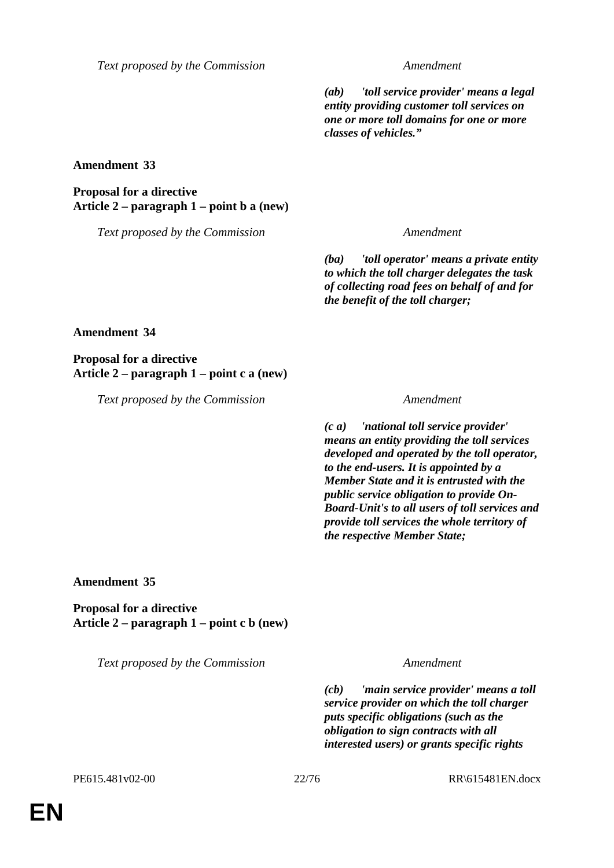*(ab) 'toll service provider' means a legal entity providing customer toll services on one or more toll domains for one or more classes of vehicles."*

**Amendment 33**

**Proposal for a directive Article 2 – paragraph 1 – point b a (new)**

*Text proposed by the Commission Amendment*

*(ba) 'toll operator' means a private entity to which the toll charger delegates the task of collecting road fees on behalf of and for the benefit of the toll charger;*

**Amendment 34**

**Proposal for a directive Article 2 – paragraph 1 – point c a (new)**

*Text proposed by the Commission Amendment*

*(c a) 'national toll service provider' means an entity providing the toll services developed and operated by the toll operator, to the end-users. It is appointed by a Member State and it is entrusted with the public service obligation to provide On-Board-Unit's to all users of toll services and provide toll services the whole territory of the respective Member State;*

**Amendment 35**

**Proposal for a directive Article 2 – paragraph 1 – point c b (new)**

*Text proposed by the Commission Amendment*

*(cb) 'main service provider' means a toll service provider on which the toll charger puts specific obligations (such as the obligation to sign contracts with all interested users) or grants specific rights*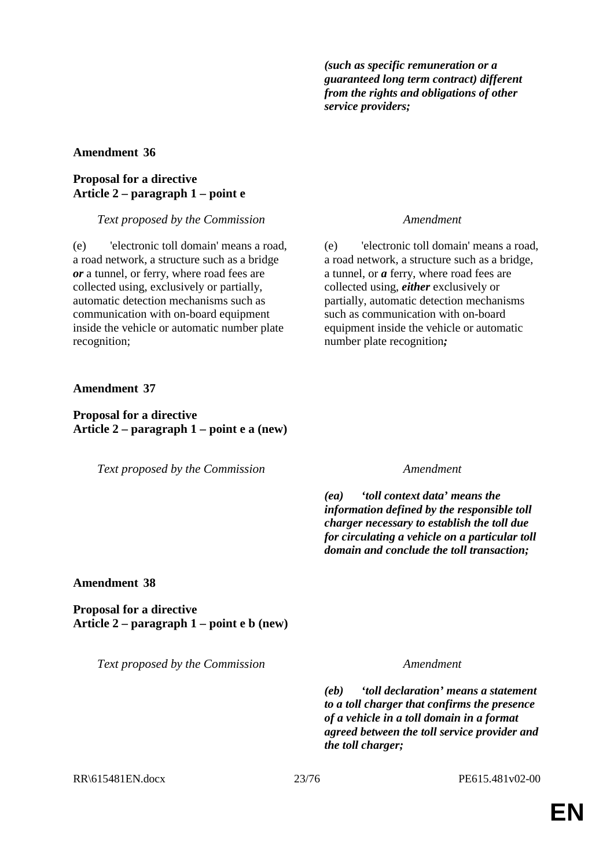*(such as specific remuneration or a guaranteed long term contract) different from the rights and obligations of other service providers;*

### **Amendment 36**

# **Proposal for a directive Article 2 – paragraph 1 – point e**

*Text proposed by the Commission Amendment*

(e) 'electronic toll domain' means a road, a road network, a structure such as a bridge *or* a tunnel, or ferry, where road fees are collected using, exclusively or partially, automatic detection mechanisms such as communication with on-board equipment inside the vehicle or automatic number plate recognition;

**Amendment 37**

**Proposal for a directive Article 2 – paragraph 1 – point e a (new)**

*Text proposed by the Commission Amendment*

(e) 'electronic toll domain' means a road, a road network, a structure such as a bridge, a tunnel, or *a* ferry, where road fees are collected using, *either* exclusively or partially, automatic detection mechanisms such as communication with on-board equipment inside the vehicle or automatic number plate recognition*;*

*(ea) 'toll context data' means the information defined by the responsible toll charger necessary to establish the toll due for circulating a vehicle on a particular toll domain and conclude the toll transaction;*

**Amendment 38**

**Proposal for a directive Article 2 – paragraph 1 – point e b (new)**

*Text proposed by the Commission Amendment*

*(eb) 'toll declaration' means a statement to a toll charger that confirms the presence of a vehicle in a toll domain in a format agreed between the toll service provider and the toll charger;*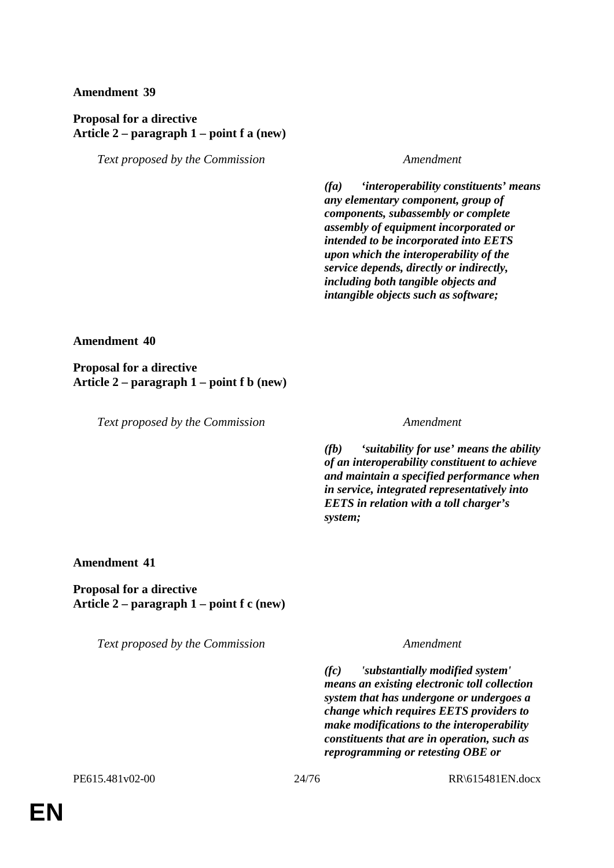# **Proposal for a directive Article 2 – paragraph 1 – point f a (new)**

*Text proposed by the Commission Amendment*

*(fa) 'interoperability constituents' means any elementary component, group of components, subassembly or complete assembly of equipment incorporated or intended to be incorporated into EETS upon which the interoperability of the service depends, directly or indirectly, including both tangible objects and intangible objects such as software;*

### **Amendment 40**

**Proposal for a directive Article 2 – paragraph 1 – point f b (new)**

*Text proposed by the Commission Amendment*

*(fb) 'suitability for use' means the ability of an interoperability constituent to achieve and maintain a specified performance when in service, integrated representatively into EETS in relation with a toll charger's system;*

### **Amendment 41**

**Proposal for a directive Article 2 – paragraph 1 – point f c (new)**

*Text proposed by the Commission Amendment*

*(fc) 'substantially modified system' means an existing electronic toll collection system that has undergone or undergoes a change which requires EETS providers to make modifications to the interoperability constituents that are in operation, such as reprogramming or retesting OBE or*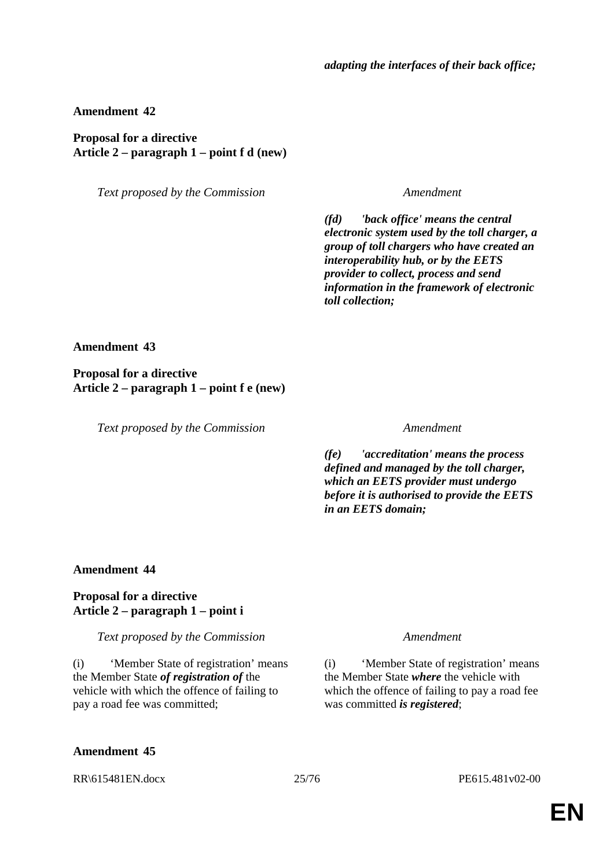**Proposal for a directive Article 2 – paragraph 1 – point f d (new)**

*Text proposed by the Commission Amendment*

*(fd) 'back office' means the central electronic system used by the toll charger, a group of toll chargers who have created an interoperability hub, or by the EETS provider to collect, process and send information in the framework of electronic toll collection;*

**Amendment 43**

**Proposal for a directive Article 2 – paragraph 1 – point f e (new)**

*Text proposed by the Commission Amendment*

*(fe) 'accreditation' means the process defined and managed by the toll charger, which an EETS provider must undergo before it is authorised to provide the EETS in an EETS domain;*

### **Amendment 44**

### **Proposal for a directive Article 2 – paragraph 1 – point i**

*Text proposed by the Commission Amendment*

(i) 'Member State of registration' means the Member State *of registration of* the vehicle with which the offence of failing to pay a road fee was committed;

### **Amendment 45**

(i) 'Member State of registration' means the Member State *where* the vehicle with which the offence of failing to pay a road fee was committed *is registered*;

RR\615481EN.docx 25/76 PE615.481v02-00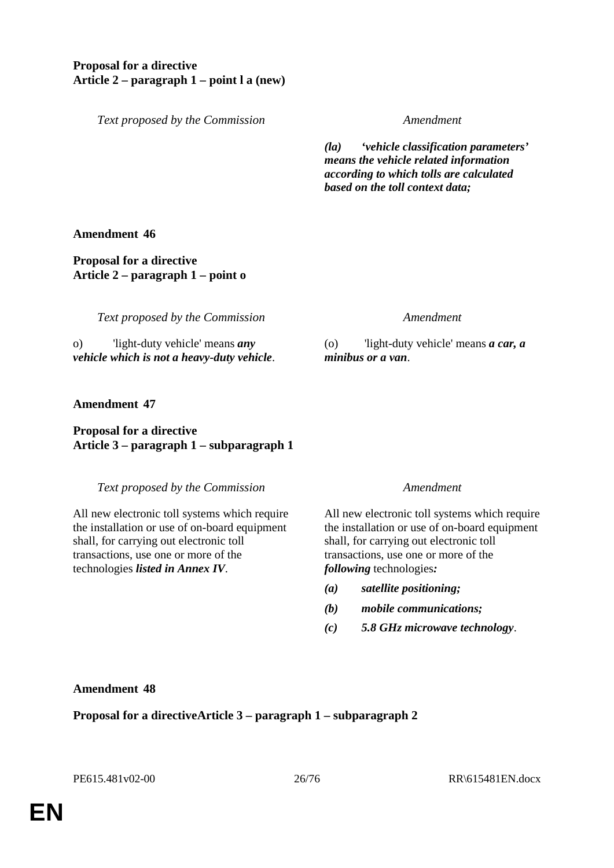# **Proposal for a directive Article 2 – paragraph 1 – point l a (new)**

*Text proposed by the Commission Amendment*

*(la) 'vehicle classification parameters' means the vehicle related information according to which tolls are calculated based on the toll context data;*

# **Amendment 46**

**Proposal for a directive Article 2 – paragraph 1 – point o**

*Text proposed by the Commission Amendment*

o) 'light-duty vehicle' means *any vehicle which is not a heavy-duty vehicle*.

(o) 'light-duty vehicle' means *a car, a minibus or a van*.

# **Amendment 47**

# **Proposal for a directive Article 3 – paragraph 1 – subparagraph 1**

# *Text proposed by the Commission Amendment*

All new electronic toll systems which require the installation or use of on-board equipment shall, for carrying out electronic toll transactions, use one or more of the technologies *listed in Annex IV*.

All new electronic toll systems which require the installation or use of on-board equipment shall, for carrying out electronic toll transactions, use one or more of the *following* technologies*:*

- *(a) satellite positioning;*
- *(b) mobile communications;*
- *(c) 5.8 GHz microwave technology*.

### **Amendment 48**

**Proposal for a directiveArticle 3 – paragraph 1 – subparagraph 2**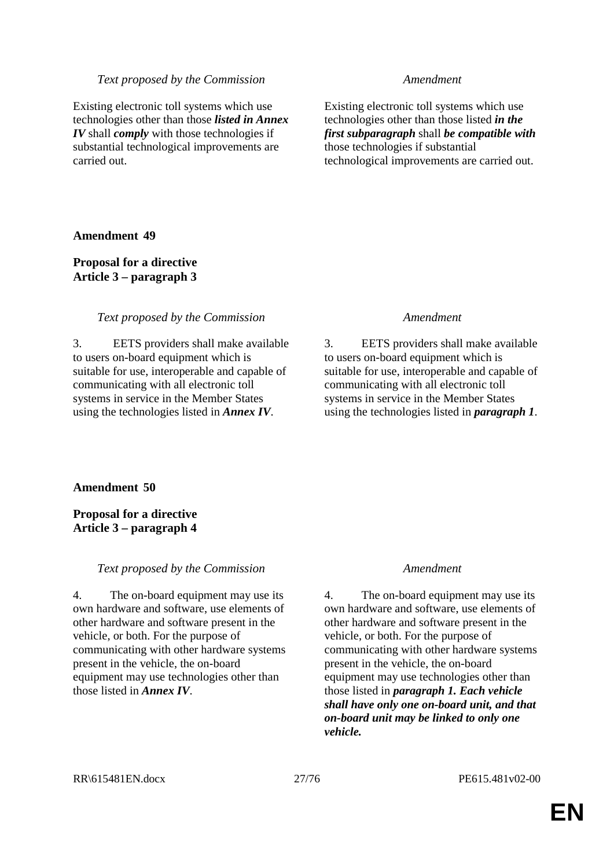Existing electronic toll systems which use technologies other than those *listed in Annex IV* shall *comply* with those technologies if substantial technological improvements are carried out.

Existing electronic toll systems which use technologies other than those listed *in the first subparagraph* shall *be compatible with* those technologies if substantial technological improvements are carried out.

### **Amendment 49**

# **Proposal for a directive Article 3 – paragraph 3**

### *Text proposed by the Commission Amendment*

3. EETS providers shall make available to users on-board equipment which is suitable for use, interoperable and capable of communicating with all electronic toll systems in service in the Member States using the technologies listed in *Annex IV*.

3. EETS providers shall make available to users on-board equipment which is suitable for use, interoperable and capable of communicating with all electronic toll systems in service in the Member States using the technologies listed in *paragraph 1*.

**Amendment 50**

**Proposal for a directive Article 3 – paragraph 4**

### *Text proposed by the Commission Amendment*

4. The on-board equipment may use its own hardware and software, use elements of other hardware and software present in the vehicle, or both. For the purpose of communicating with other hardware systems present in the vehicle, the on-board equipment may use technologies other than those listed in *Annex IV*.

4. The on-board equipment may use its own hardware and software, use elements of other hardware and software present in the vehicle, or both. For the purpose of communicating with other hardware systems present in the vehicle, the on-board equipment may use technologies other than those listed in *paragraph 1. Each vehicle shall have only one on-board unit, and that on-board unit may be linked to only one vehicle.*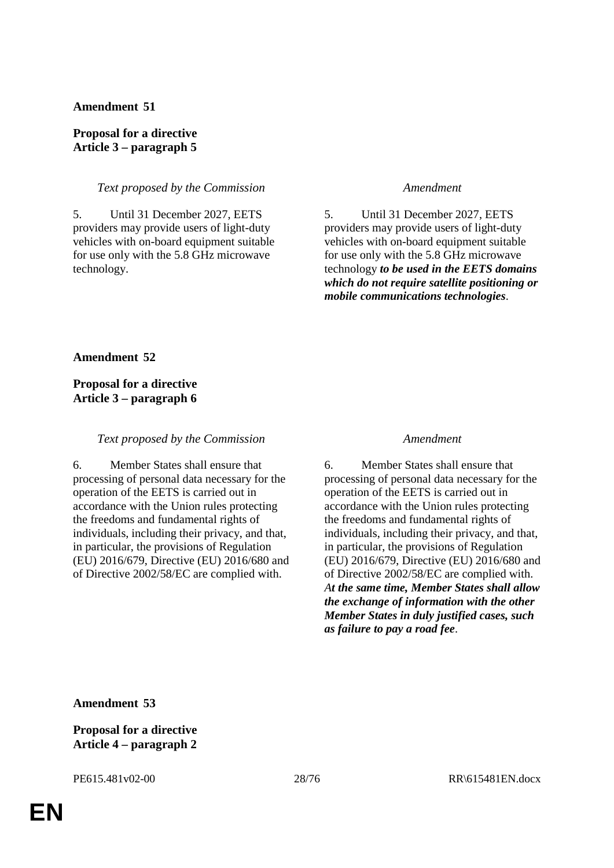# **Proposal for a directive Article 3 – paragraph 5**

## *Text proposed by the Commission Amendment*

5. Until 31 December 2027, EETS providers may provide users of light-duty vehicles with on-board equipment suitable for use only with the 5.8 GHz microwave technology.

5. Until 31 December 2027, EETS providers may provide users of light-duty vehicles with on-board equipment suitable for use only with the 5.8 GHz microwave technology *to be used in the EETS domains which do not require satellite positioning or mobile communications technologies*.

**Amendment 52**

# **Proposal for a directive Article 3 – paragraph 6**

## *Text proposed by the Commission Amendment*

6. Member States shall ensure that processing of personal data necessary for the operation of the EETS is carried out in accordance with the Union rules protecting the freedoms and fundamental rights of individuals, including their privacy, and that, in particular, the provisions of Regulation (EU) 2016/679, Directive (EU) 2016/680 and of Directive 2002/58/EC are complied with.

6. Member States shall ensure that processing of personal data necessary for the operation of the EETS is carried out in accordance with the Union rules protecting the freedoms and fundamental rights of individuals, including their privacy, and that, in particular, the provisions of Regulation (EU) 2016/679, Directive (EU) 2016/680 and of Directive 2002/58/EC are complied with. *At the same time, Member States shall allow the exchange of information with the other Member States in duly justified cases, such as failure to pay a road fee*.

**Amendment 53**

**Proposal for a directive Article 4 – paragraph 2**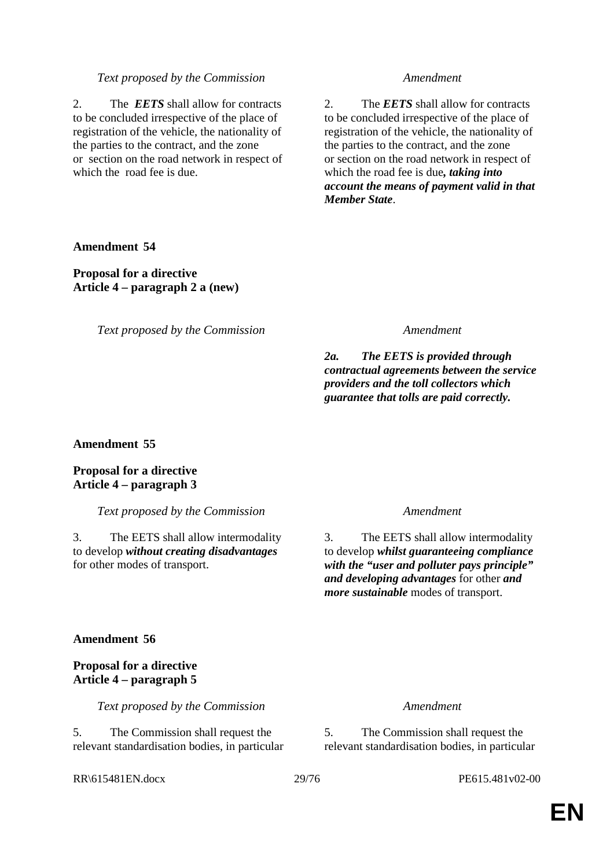2. The *EETS* shall allow for contracts to be concluded irrespective of the place of registration of the vehicle, the nationality of the parties to the contract, and the zone or section on the road network in respect of which the road fee is due.

2. The *EETS* shall allow for contracts to be concluded irrespective of the place of registration of the vehicle, the nationality of the parties to the contract, and the zone or section on the road network in respect of which the road fee is due*, taking into account the means of payment valid in that Member State*.

**Amendment 54**

**Proposal for a directive Article 4 – paragraph 2 a (new)**

*Text proposed by the Commission Amendment*

*2a. The EETS is provided through contractual agreements between the service providers and the toll collectors which guarantee that tolls are paid correctly.*

**Amendment 55**

# **Proposal for a directive Article 4 – paragraph 3**

*Text proposed by the Commission Amendment*

3. The EETS shall allow intermodality to develop *without creating disadvantages* for other modes of transport.

3. The EETS shall allow intermodality to develop *whilst guaranteeing compliance with the "user and polluter pays principle" and developing advantages* for other *and more sustainable* modes of transport.

### **Amendment 56**

# **Proposal for a directive Article 4 – paragraph 5**

*Text proposed by the Commission Amendment*

5. The Commission shall request the relevant standardisation bodies, in particular

5. The Commission shall request the relevant standardisation bodies, in particular

RR\615481EN.docx 29/76 PE615.481v02-00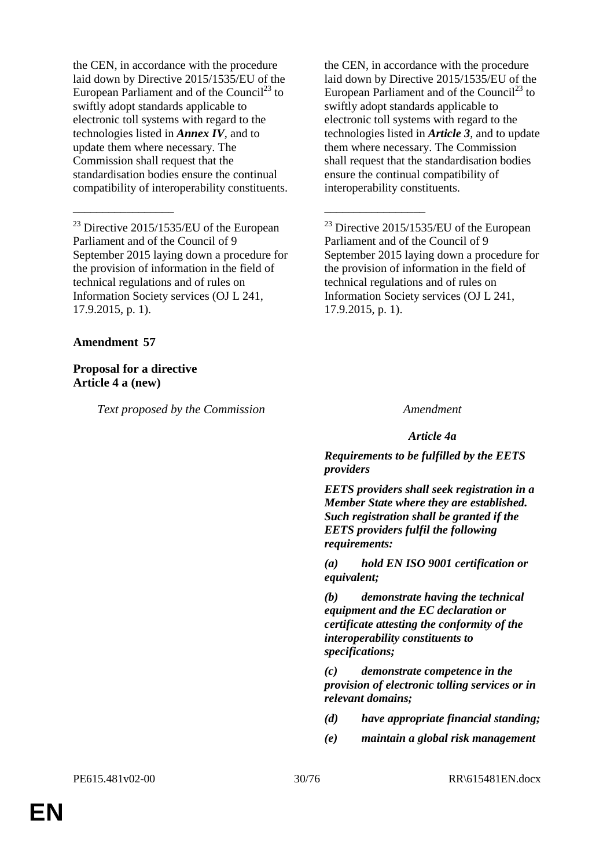the CEN, in accordance with the procedure laid down by Directive 2015/1535/EU of the European Parliament and of the Council<sup>23</sup> to swiftly adopt standards applicable to electronic toll systems with regard to the technologies listed in *Annex IV*, and to update them where necessary. The Commission shall request that the standardisation bodies ensure the continual compatibility of interoperability constituents.

\_\_\_\_\_\_\_\_\_\_\_\_\_\_\_\_\_ \_\_\_\_\_\_\_\_\_\_\_\_\_\_\_\_\_

**Amendment 57**

**Proposal for a directive Article 4 a (new)**

*Text proposed by the Commission Amendment*

the CEN, in accordance with the procedure laid down by Directive 2015/1535/EU of the European Parliament and of the Council<sup>23</sup> to swiftly adopt standards applicable to electronic toll systems with regard to the technologies listed in *Article 3*, and to update them where necessary. The Commission shall request that the standardisation bodies ensure the continual compatibility of interoperability constituents.

<sup>23</sup> Directive 2015/1535/EU of the European Parliament and of the Council of 9 September 2015 laying down a procedure for the provision of information in the field of technical regulations and of rules on Information Society services (OJ L 241, 17.9.2015, p. 1).

*Article 4a*

### *Requirements to be fulfilled by the EETS providers*

*EETS providers shall seek registration in a Member State where they are established. Such registration shall be granted if the EETS providers fulfil the following requirements:*

*(a) hold EN ISO 9001 certification or equivalent;*

*(b) demonstrate having the technical equipment and the EC declaration or certificate attesting the conformity of the interoperability constituents to specifications;*

*(c) demonstrate competence in the provision of electronic tolling services or in relevant domains;*

- *(d) have appropriate financial standing;*
- *(e) maintain a global risk management*

 $23$  Directive 2015/1535/EU of the European Parliament and of the Council of 9 September 2015 laying down a procedure for the provision of information in the field of technical regulations and of rules on Information Society services (OJ L 241, 17.9.2015, p. 1).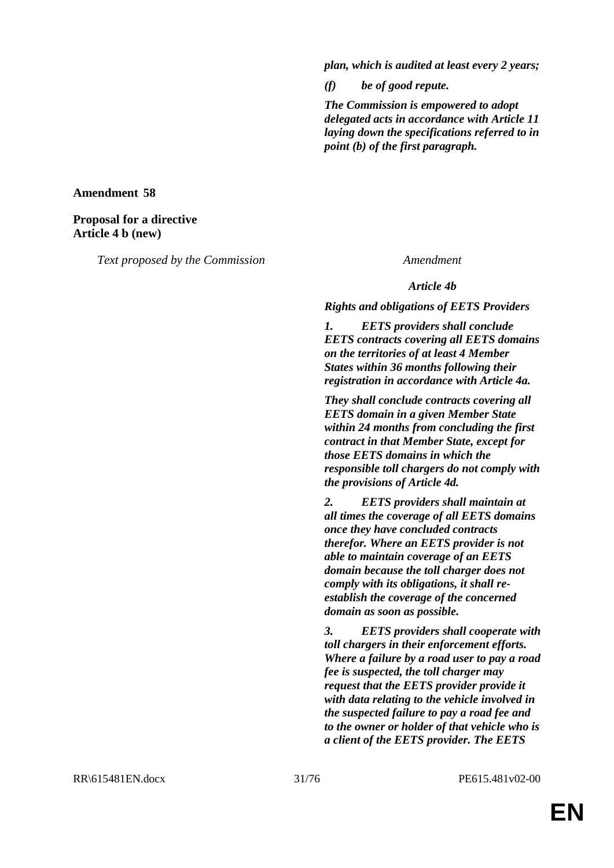*plan, which is audited at least every 2 years;*

*(f) be of good repute.*

*The Commission is empowered to adopt delegated acts in accordance with Article 11 laying down the specifications referred to in point (b) of the first paragraph.*

**Amendment 58**

### **Proposal for a directive Article 4 b (new)**

*Text proposed by the Commission Amendment*

*Article 4b*

*Rights and obligations of EETS Providers*

*1. EETS providers shall conclude EETS contracts covering all EETS domains on the territories of at least 4 Member States within 36 months following their registration in accordance with Article 4a.*

*They shall conclude contracts covering all EETS domain in a given Member State within 24 months from concluding the first contract in that Member State, except for those EETS domains in which the responsible toll chargers do not comply with the provisions of Article 4d.*

*2. EETS providers shall maintain at all times the coverage of all EETS domains once they have concluded contracts therefor. Where an EETS provider is not able to maintain coverage of an EETS domain because the toll charger does not comply with its obligations, it shall reestablish the coverage of the concerned domain as soon as possible.*

*3. EETS providers shall cooperate with toll chargers in their enforcement efforts. Where a failure by a road user to pay a road fee is suspected, the toll charger may request that the EETS provider provide it with data relating to the vehicle involved in the suspected failure to pay a road fee and to the owner or holder of that vehicle who is a client of the EETS provider. The EETS* 

RR\615481EN.docx 31/76 PE615.481v02-00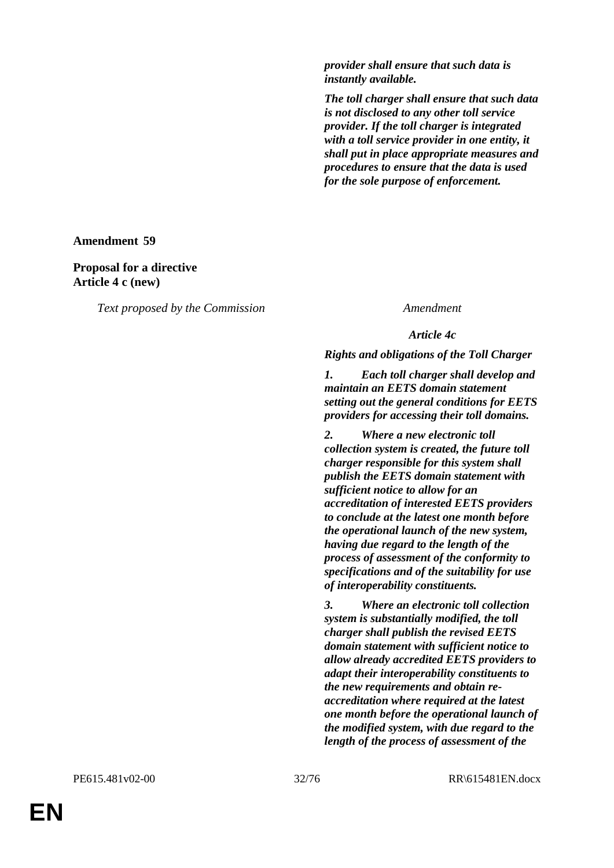*provider shall ensure that such data is instantly available.*

*The toll charger shall ensure that such data is not disclosed to any other toll service provider. If the toll charger is integrated with a toll service provider in one entity, it shall put in place appropriate measures and procedures to ensure that the data is used for the sole purpose of enforcement.*

### **Amendment 59**

### **Proposal for a directive Article 4 c (new)**

*Text proposed by the Commission Amendment*

*Article 4c*

### *Rights and obligations of the Toll Charger*

*1. Each toll charger shall develop and maintain an EETS domain statement setting out the general conditions for EETS providers for accessing their toll domains.*

*2. Where a new electronic toll collection system is created, the future toll charger responsible for this system shall publish the EETS domain statement with sufficient notice to allow for an accreditation of interested EETS providers to conclude at the latest one month before the operational launch of the new system, having due regard to the length of the process of assessment of the conformity to specifications and of the suitability for use of interoperability constituents.*

*3. Where an electronic toll collection system is substantially modified, the toll charger shall publish the revised EETS domain statement with sufficient notice to allow already accredited EETS providers to adapt their interoperability constituents to the new requirements and obtain reaccreditation where required at the latest one month before the operational launch of the modified system, with due regard to the length of the process of assessment of the*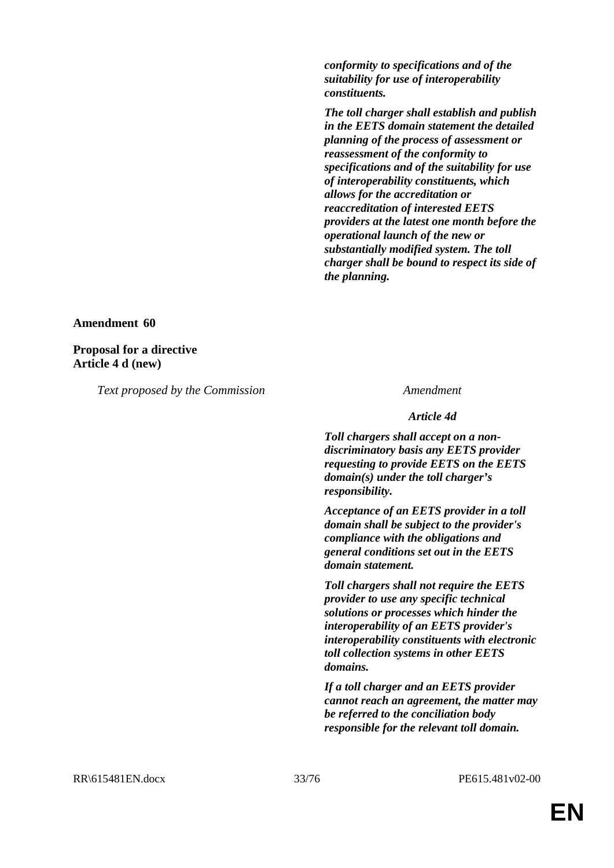*conformity to specifications and of the suitability for use of interoperability constituents.*

*The toll charger shall establish and publish in the EETS domain statement the detailed planning of the process of assessment or reassessment of the conformity to specifications and of the suitability for use of interoperability constituents, which allows for the accreditation or reaccreditation of interested EETS providers at the latest one month before the operational launch of the new or substantially modified system. The toll charger shall be bound to respect its side of the planning.*

### **Amendment 60**

**Proposal for a directive Article 4 d (new)**

*Text proposed by the Commission Amendment*

*Article 4d*

*Toll chargers shall accept on a nondiscriminatory basis any EETS provider requesting to provide EETS on the EETS domain(s) under the toll charger's responsibility.*

*Acceptance of an EETS provider in a toll domain shall be subject to the provider's compliance with the obligations and general conditions set out in the EETS domain statement.*

*Toll chargers shall not require the EETS provider to use any specific technical solutions or processes which hinder the interoperability of an EETS provider's interoperability constituents with electronic toll collection systems in other EETS domains.*

*If a toll charger and an EETS provider cannot reach an agreement, the matter may be referred to the conciliation body responsible for the relevant toll domain.*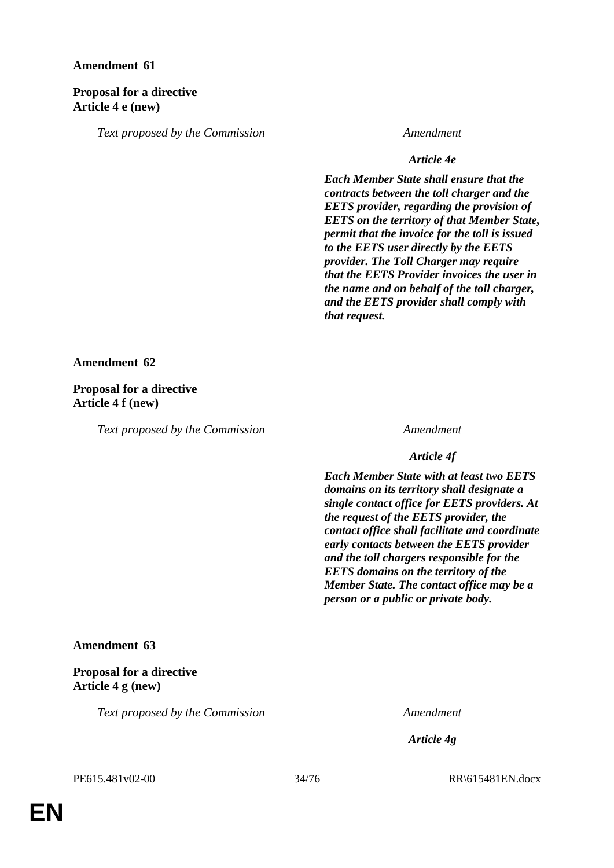### **Proposal for a directive Article 4 e (new)**

*Text proposed by the Commission Amendment*

### *Article 4e*

*Each Member State shall ensure that the contracts between the toll charger and the EETS provider, regarding the provision of EETS on the territory of that Member State, permit that the invoice for the toll is issued to the EETS user directly by the EETS provider. The Toll Charger may require that the EETS Provider invoices the user in the name and on behalf of the toll charger, and the EETS provider shall comply with that request.*

**Amendment 62**

**Proposal for a directive Article 4 f (new)**

*Text proposed by the Commission Amendment*

*Article 4f*

*Each Member State with at least two EETS domains on its territory shall designate a single contact office for EETS providers. At the request of the EETS provider, the contact office shall facilitate and coordinate early contacts between the EETS provider and the toll chargers responsible for the EETS domains on the territory of the Member State. The contact office may be a person or a public or private body.*

### **Amendment 63**

### **Proposal for a directive Article 4 g (new)**

*Text proposed by the Commission Amendment*

*Article 4g*

PE615.481v02-00 34/76 RR\615481EN.docx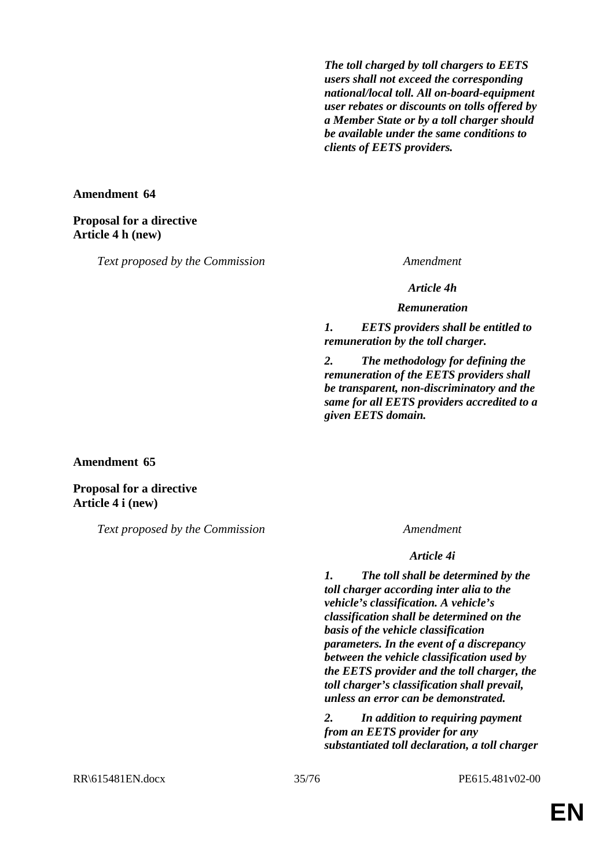*The toll charged by toll chargers to EETS users shall not exceed the corresponding national/local toll. All on-board-equipment user rebates or discounts on tolls offered by a Member State or by a toll charger should be available under the same conditions to clients of EETS providers.*

**Amendment 64**

### **Proposal for a directive Article 4 h (new)**

*Text proposed by the Commission Amendment*

*Article 4h*

*Remuneration*

*1. EETS providers shall be entitled to remuneration by the toll charger.*

*2. The methodology for defining the remuneration of the EETS providers shall be transparent, non-discriminatory and the same for all EETS providers accredited to a given EETS domain.*

**Amendment 65**

**Proposal for a directive Article 4 i (new)**

*Text proposed by the Commission Amendment*

*Article 4i*

*1. The toll shall be determined by the toll charger according inter alia to the vehicle's classification. A vehicle's classification shall be determined on the basis of the vehicle classification parameters. In the event of a discrepancy between the vehicle classification used by the EETS provider and the toll charger, the toll charger's classification shall prevail, unless an error can be demonstrated.*

*2. In addition to requiring payment from an EETS provider for any substantiated toll declaration, a toll charger*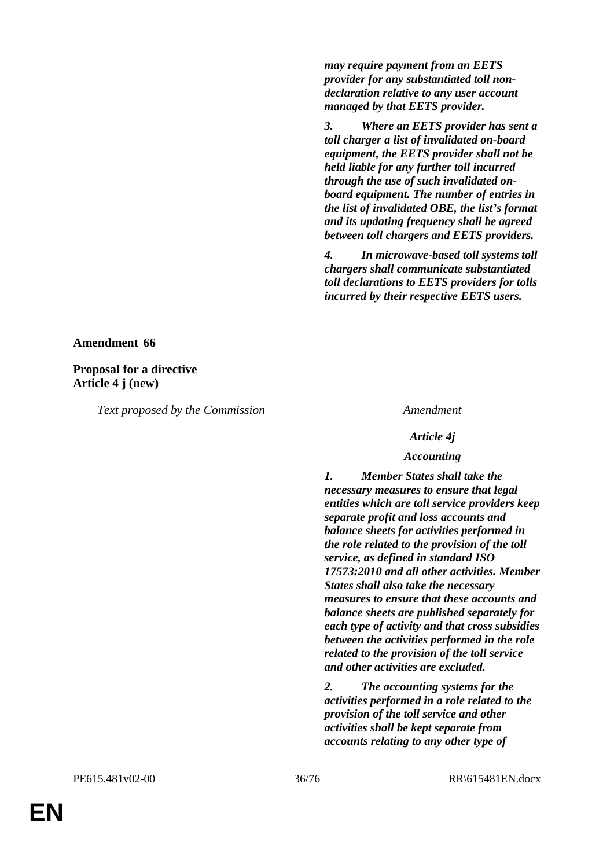*may require payment from an EETS provider for any substantiated toll nondeclaration relative to any user account managed by that EETS provider.*

*3. Where an EETS provider has sent a toll charger a list of invalidated on-board equipment, the EETS provider shall not be held liable for any further toll incurred through the use of such invalidated onboard equipment. The number of entries in the list of invalidated OBE, the list's format and its updating frequency shall be agreed between toll chargers and EETS providers.*

*4. In microwave-based toll systems toll chargers shall communicate substantiated toll declarations to EETS providers for tolls incurred by their respective EETS users.*

### **Amendment 66**

**Proposal for a directive Article 4 j (new)**

*Text proposed by the Commission Amendment*

*Article 4j*

*Accounting*

*1. Member States shall take the necessary measures to ensure that legal entities which are toll service providers keep separate profit and loss accounts and balance sheets for activities performed in the role related to the provision of the toll service, as defined in standard ISO 17573:2010 and all other activities. Member States shall also take the necessary measures to ensure that these accounts and balance sheets are published separately for each type of activity and that cross subsidies between the activities performed in the role related to the provision of the toll service and other activities are excluded.*

*2. The accounting systems for the activities performed in a role related to the provision of the toll service and other activities shall be kept separate from accounts relating to any other type of*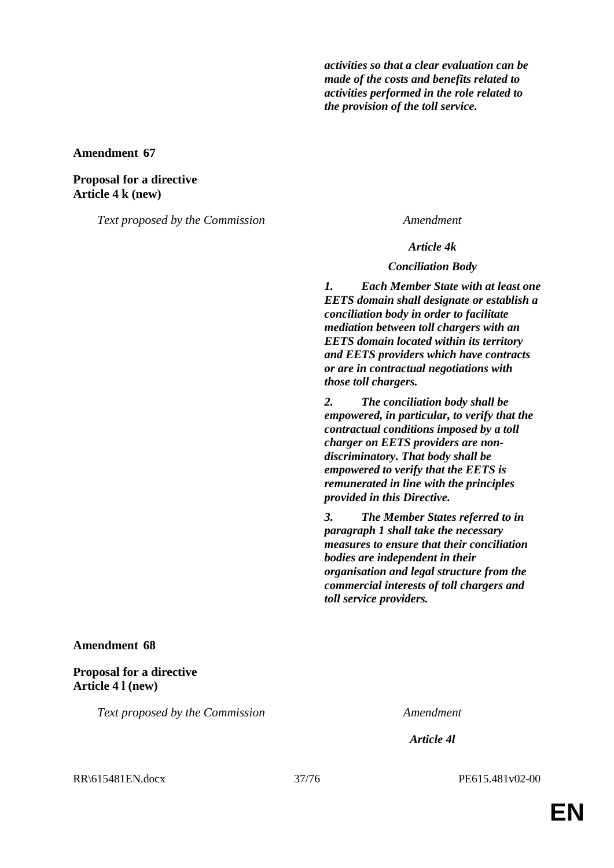*activities so that a clear evaluation can be made of the costs and benefits related to activities performed in the role related to the provision of the toll service.*

**Amendment 67**

**Proposal for a directive Article 4 k (new)**

*Text proposed by the Commission Amendment*

*Article 4k*

*Conciliation Body*

*1. Each Member State with at least one EETS domain shall designate or establish a conciliation body in order to facilitate mediation between toll chargers with an EETS domain located within its territory and EETS providers which have contracts or are in contractual negotiations with those toll chargers.*

*2. The conciliation body shall be empowered, in particular, to verify that the contractual conditions imposed by a toll charger on EETS providers are nondiscriminatory. That body shall be empowered to verify that the EETS is remunerated in line with the principles provided in this Directive.*

*3. The Member States referred to in paragraph 1 shall take the necessary measures to ensure that their conciliation bodies are independent in their organisation and legal structure from the commercial interests of toll chargers and toll service providers.*

#### **Amendment 68**

#### **Proposal for a directive Article 4 l (new)**

*Text proposed by the Commission Amendment*

*Article 4l*

RR\615481EN.docx 37/76 PE615.481v02-00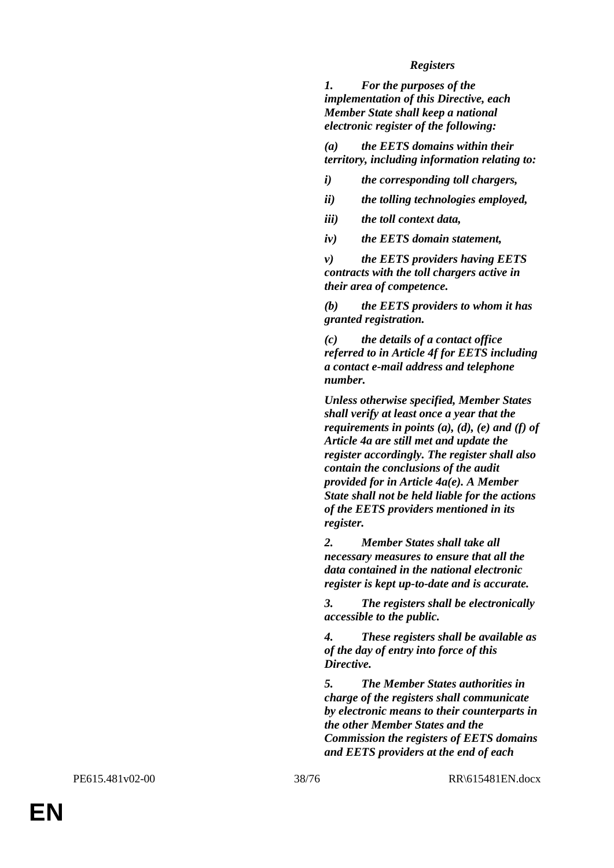#### *Registers*

*1. For the purposes of the implementation of this Directive, each Member State shall keep a national electronic register of the following:*

*(a) the EETS domains within their territory, including information relating to:*

- *i) the corresponding toll chargers,*
- *ii) the tolling technologies employed,*
- *iii) the toll context data,*
- *iv) the EETS domain statement,*

*v) the EETS providers having EETS contracts with the toll chargers active in their area of competence.*

*(b) the EETS providers to whom it has granted registration.*

*(c) the details of a contact office referred to in Article 4f for EETS including a contact e-mail address and telephone number.*

*Unless otherwise specified, Member States shall verify at least once a year that the requirements in points (a), (d), (e) and (f) of Article 4a are still met and update the register accordingly. The register shall also contain the conclusions of the audit provided for in Article 4a(e). A Member State shall not be held liable for the actions of the EETS providers mentioned in its register.*

*2. Member States shall take all necessary measures to ensure that all the data contained in the national electronic register is kept up-to-date and is accurate.*

*3. The registers shall be electronically accessible to the public.*

*4. These registers shall be available as of the day of entry into force of this Directive.*

*5. The Member States authorities in charge of the registers shall communicate by electronic means to their counterparts in the other Member States and the Commission the registers of EETS domains and EETS providers at the end of each*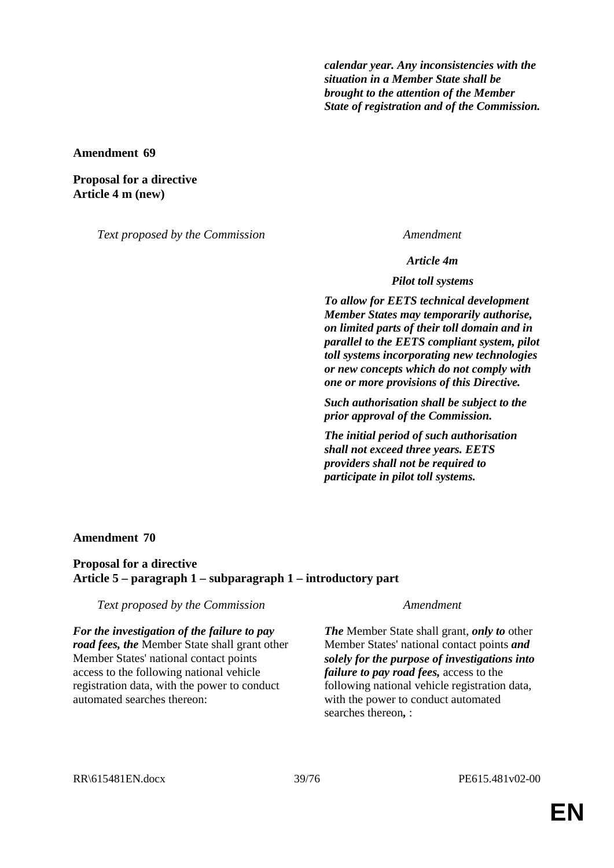*calendar year. Any inconsistencies with the situation in a Member State shall be brought to the attention of the Member State of registration and of the Commission.*

**Amendment 69**

**Proposal for a directive Article 4 m (new)**

*Text proposed by the Commission Amendment*

*Article 4m*

*Pilot toll systems*

*To allow for EETS technical development Member States may temporarily authorise, on limited parts of their toll domain and in parallel to the EETS compliant system, pilot toll systems incorporating new technologies or new concepts which do not comply with one or more provisions of this Directive.*

*Such authorisation shall be subject to the prior approval of the Commission.*

*The initial period of such authorisation shall not exceed three years. EETS providers shall not be required to participate in pilot toll systems.*

**Amendment 70**

### **Proposal for a directive Article 5 – paragraph 1 – subparagraph 1 – introductory part**

*Text proposed by the Commission Amendment*

*For the investigation of the failure to pay road fees, the* Member State shall grant other Member States' national contact points access to the following national vehicle registration data, with the power to conduct automated searches thereon:

*The* Member State shall grant, *only to* other Member States' national contact points *and solely for the purpose of investigations into failure to pay road fees,* access to the following national vehicle registration data, with the power to conduct automated searches thereon*,* :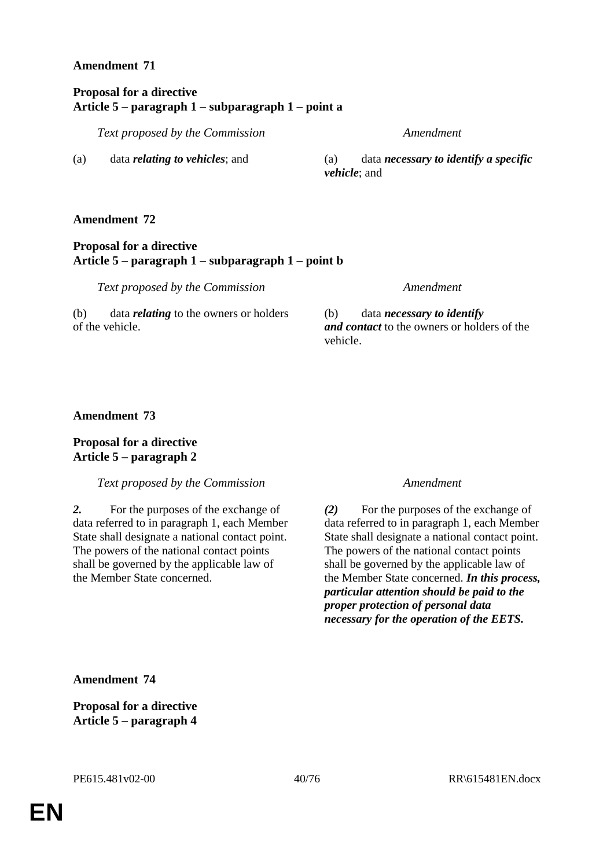#### **Amendment 71**

#### **Proposal for a directive Article 5 – paragraph 1 – subparagraph 1 – point a**

*Text proposed by the Commission Amendment*

(a) data *relating to vehicles*; and (a) data *necessary to identify a specific vehicle*; and

### **Amendment 72**

### **Proposal for a directive Article 5 – paragraph 1 – subparagraph 1 – point b**

*Text proposed by the Commission Amendment*

(b) data *relating* to the owners or holders of the vehicle.

(b) data *necessary to identify and contact* to the owners or holders of the vehicle.

### **Amendment 73**

### **Proposal for a directive Article 5 – paragraph 2**

#### *Text proposed by the Commission Amendment*

*2.* For the purposes of the exchange of data referred to in paragraph 1, each Member State shall designate a national contact point. The powers of the national contact points shall be governed by the applicable law of the Member State concerned.

*(2)* For the purposes of the exchange of data referred to in paragraph 1, each Member State shall designate a national contact point. The powers of the national contact points shall be governed by the applicable law of the Member State concerned. *In this process, particular attention should be paid to the proper protection of personal data necessary for the operation of the EETS.*

**Amendment 74**

**Proposal for a directive Article 5 – paragraph 4**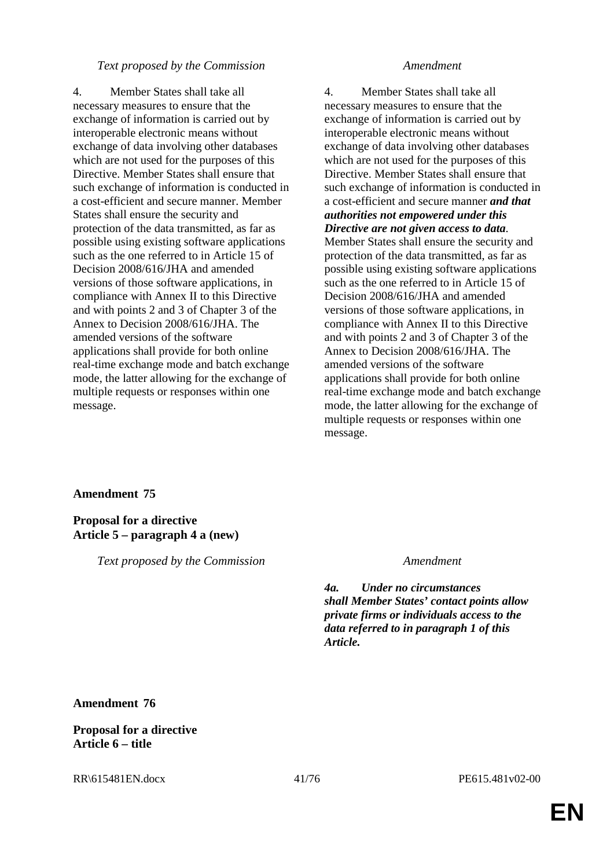#### *Text proposed by the Commission Amendment*

4. Member States shall take all necessary measures to ensure that the exchange of information is carried out by interoperable electronic means without exchange of data involving other databases which are not used for the purposes of this Directive. Member States shall ensure that such exchange of information is conducted in a cost-efficient and secure manner. Member States shall ensure the security and protection of the data transmitted, as far as possible using existing software applications such as the one referred to in Article 15 of Decision 2008/616/JHA and amended versions of those software applications, in compliance with Annex II to this Directive and with points 2 and 3 of Chapter 3 of the Annex to Decision 2008/616/JHA. The amended versions of the software applications shall provide for both online real-time exchange mode and batch exchange mode, the latter allowing for the exchange of multiple requests or responses within one message.

4. Member States shall take all necessary measures to ensure that the exchange of information is carried out by interoperable electronic means without exchange of data involving other databases which are not used for the purposes of this Directive. Member States shall ensure that such exchange of information is conducted in a cost-efficient and secure manner *and that authorities not empowered under this Directive are not given access to data*. Member States shall ensure the security and protection of the data transmitted, as far as possible using existing software applications such as the one referred to in Article 15 of Decision 2008/616/JHA and amended versions of those software applications, in compliance with Annex II to this Directive and with points 2 and 3 of Chapter 3 of the Annex to Decision 2008/616/JHA. The amended versions of the software applications shall provide for both online real-time exchange mode and batch exchange mode, the latter allowing for the exchange of multiple requests or responses within one message.

#### **Amendment 75**

### **Proposal for a directive Article 5 – paragraph 4 a (new)**

*Text proposed by the Commission Amendment*

*4a. Under no circumstances shall Member States' contact points allow private firms or individuals access to the data referred to in paragraph 1 of this Article.*

#### **Amendment 76**

### **Proposal for a directive Article 6 – title**

RR\615481EN.docx 41/76 PE615.481v02-00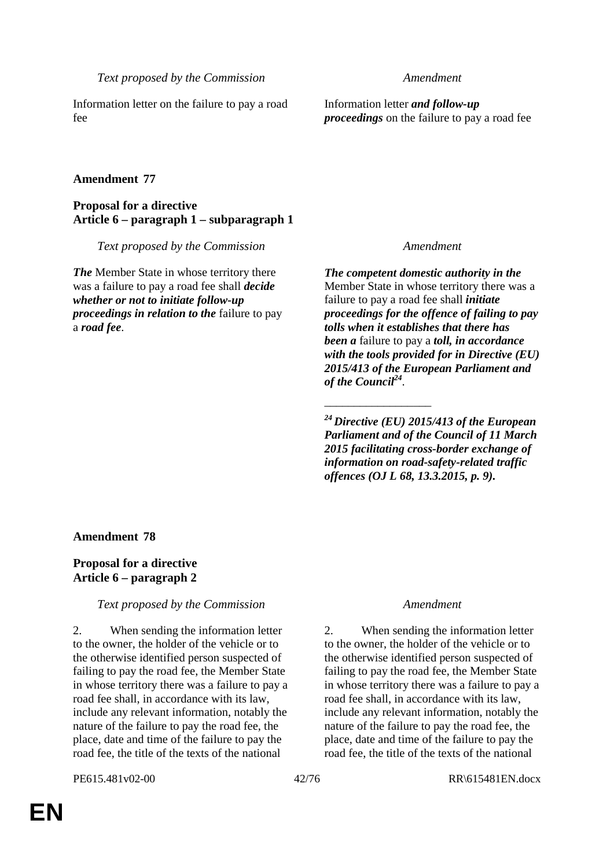*Text proposed by the Commission Amendment*

Information letter on the failure to pay a road fee

### **Amendment 77**

**Proposal for a directive Article 6 – paragraph 1 – subparagraph 1**

*Text proposed by the Commission Amendment*

*The* Member State in whose territory there was a failure to pay a road fee shall *decide whether or not to initiate follow-up proceedings in relation to the* failure to pay a *road fee*.

Information letter *and follow-up proceedings* on the failure to pay a road fee

*The competent domestic authority in the* Member State in whose territory there was a failure to pay a road fee shall *initiate proceedings for the offence of failing to pay tolls when it establishes that there has been a* failure to pay a *toll, in accordance with the tools provided for in Directive (EU) 2015/413 of the European Parliament and*  of the Council<sup>24</sup>.

*24 Directive (EU) 2015/413 of the European Parliament and of the Council of 11 March 2015 facilitating cross-border exchange of information on road-safety-related traffic offences (OJ L 68, 13.3.2015, p. 9).*

\_\_\_\_\_\_\_\_\_\_\_\_\_\_\_\_\_\_

### **Amendment 78**

### **Proposal for a directive Article 6 – paragraph 2**

*Text proposed by the Commission Amendment*

2. When sending the information letter to the owner, the holder of the vehicle or to the otherwise identified person suspected of failing to pay the road fee, the Member State in whose territory there was a failure to pay a road fee shall, in accordance with its law, include any relevant information, notably the nature of the failure to pay the road fee, the place, date and time of the failure to pay the road fee, the title of the texts of the national

2. When sending the information letter to the owner, the holder of the vehicle or to the otherwise identified person suspected of failing to pay the road fee, the Member State in whose territory there was a failure to pay a road fee shall, in accordance with its law, include any relevant information, notably the nature of the failure to pay the road fee, the place, date and time of the failure to pay the road fee, the title of the texts of the national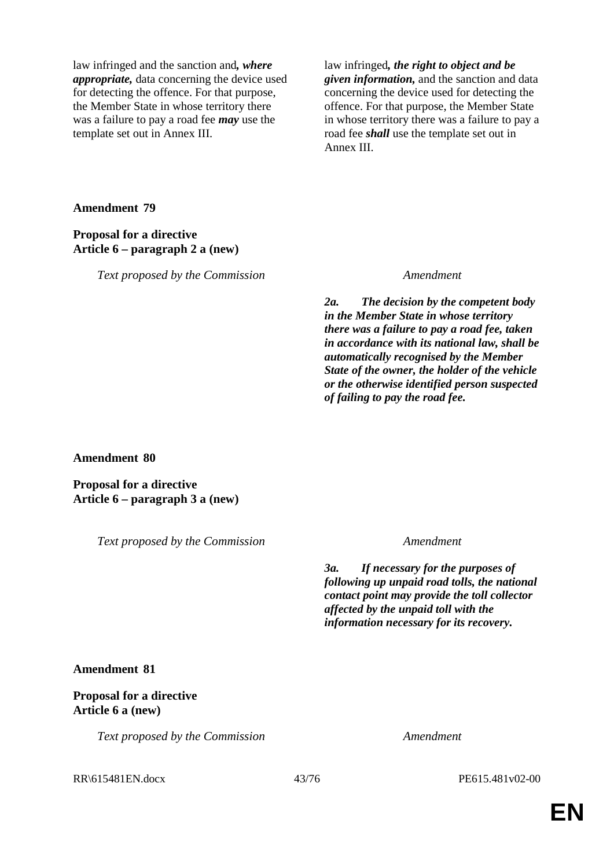law infringed and the sanction and*, where appropriate,* data concerning the device used for detecting the offence. For that purpose, the Member State in whose territory there was a failure to pay a road fee *may* use the template set out in Annex III.

law infringed*, the right to object and be given information,* and the sanction and data concerning the device used for detecting the offence. For that purpose, the Member State in whose territory there was a failure to pay a road fee *shall* use the template set out in Annex III.

**Amendment 79**

**Proposal for a directive Article 6 – paragraph 2 a (new)**

*Text proposed by the Commission Amendment*

*2a. The decision by the competent body in the Member State in whose territory there was a failure to pay a road fee, taken in accordance with its national law, shall be automatically recognised by the Member State of the owner, the holder of the vehicle or the otherwise identified person suspected of failing to pay the road fee.*

#### **Amendment 80**

**Proposal for a directive Article 6 – paragraph 3 a (new)**

*Text proposed by the Commission Amendment*

*3a. If necessary for the purposes of following up unpaid road tolls, the national contact point may provide the toll collector affected by the unpaid toll with the information necessary for its recovery.*

#### **Amendment 81**

#### **Proposal for a directive Article 6 a (new)**

*Text proposed by the Commission Amendment*

RR\615481EN.docx 43/76 PE615.481v02-00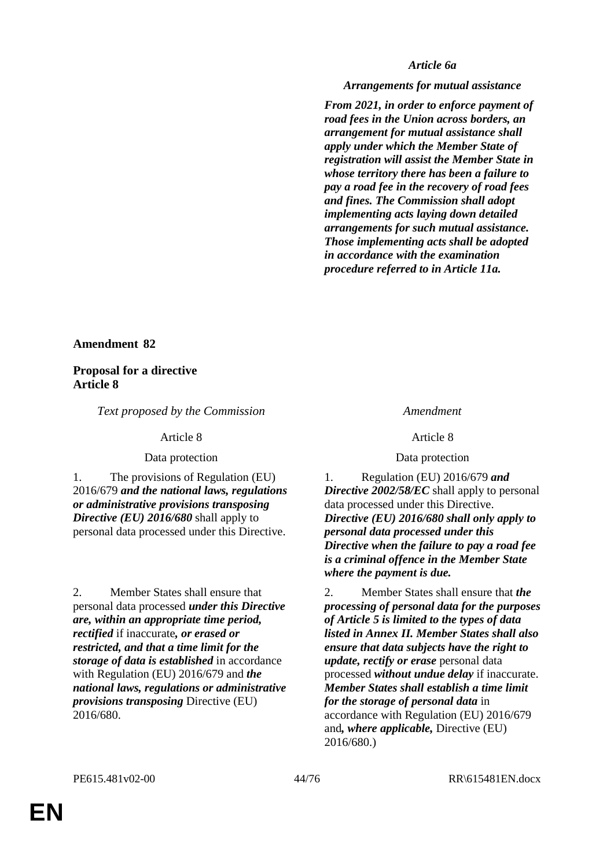#### *Article 6a*

*Arrangements for mutual assistance*

*From 2021, in order to enforce payment of road fees in the Union across borders, an arrangement for mutual assistance shall apply under which the Member State of registration will assist the Member State in whose territory there has been a failure to pay a road fee in the recovery of road fees and fines. The Commission shall adopt implementing acts laying down detailed arrangements for such mutual assistance. Those implementing acts shall be adopted in accordance with the examination procedure referred to in Article 11a.*

#### **Amendment 82**

#### **Proposal for a directive Article 8**

*Text proposed by the Commission Amendment*

#### Article 8 Article 8

Data protection Data protection

1. The provisions of Regulation (EU) 2016/679 *and the national laws, regulations or administrative provisions transposing Directive (EU) 2016/680* shall apply to personal data processed under this Directive.

2. Member States shall ensure that personal data processed *under this Directive are, within an appropriate time period, rectified* if inaccurate*, or erased or restricted, and that a time limit for the storage of data is established* in accordance with Regulation (EU) 2016/679 and *the national laws, regulations or administrative provisions transposing* Directive (EU) 2016/680.

1. Regulation (EU) 2016/679 *and Directive 2002/58/EC* shall apply to personal data processed under this Directive. *Directive (EU) 2016/680 shall only apply to personal data processed under this Directive when the failure to pay a road fee is a criminal offence in the Member State where the payment is due.*

2. Member States shall ensure that *the processing of personal data for the purposes of Article 5 is limited to the types of data listed in Annex II. Member States shall also ensure that data subjects have the right to update, rectify or erase* personal data processed *without undue delay* if inaccurate. *Member States shall establish a time limit for the storage of personal data* in accordance with Regulation (EU) 2016/679 and*, where applicable,* Directive (EU) 2016/680.)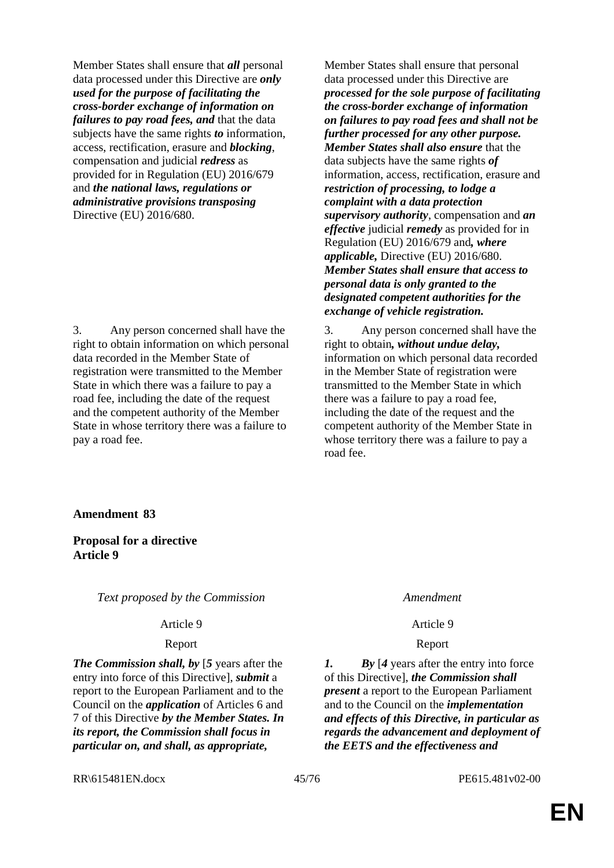Member States shall ensure that *all* personal data processed under this Directive are *only used for the purpose of facilitating the cross-border exchange of information on failures to pay road fees, and* that the data subjects have the same rights *to* information, access, rectification, erasure and *blocking*, compensation and judicial *redress* as provided for in Regulation (EU) 2016/679 and *the national laws, regulations or administrative provisions transposing*  Directive (EU) 2016/680.

3. Any person concerned shall have the right to obtain information on which personal data recorded in the Member State of registration were transmitted to the Member State in which there was a failure to pay a road fee, including the date of the request and the competent authority of the Member State in whose territory there was a failure to pay a road fee.

Member States shall ensure that personal data processed under this Directive are *processed for the sole purpose of facilitating the cross-border exchange of information on failures to pay road fees and shall not be further processed for any other purpose. Member States shall also ensure* that the data subjects have the same rights *of* information, access, rectification, erasure and *restriction of processing, to lodge a complaint with a data protection supervisory authority*, compensation and *an effective* judicial *remedy* as provided for in Regulation (EU) 2016/679 and*, where applicable,* Directive (EU) 2016/680. *Member States shall ensure that access to personal data is only granted to the designated competent authorities for the exchange of vehicle registration.*

3. Any person concerned shall have the right to obtain*, without undue delay,* information on which personal data recorded in the Member State of registration were transmitted to the Member State in which there was a failure to pay a road fee, including the date of the request and the competent authority of the Member State in whose territory there was a failure to pay a road fee.

#### **Amendment 83**

**Proposal for a directive Article 9**

*Text proposed by the Commission Amendment*

#### Article 9 Article 9

#### Report Report

*The Commission shall, by* [*5* years after the entry into force of this Directive], *submit* a report to the European Parliament and to the Council on the *application* of Articles 6 and 7 of this Directive *by the Member States. In its report, the Commission shall focus in particular on, and shall, as appropriate,* 

*1. By* [*4* years after the entry into force of this Directive], *the Commission shall present* a report to the European Parliament and to the Council on the *implementation and effects of this Directive, in particular as regards the advancement and deployment of the EETS and the effectiveness and* 

RR\615481EN.docx 45/76 PE615.481v02-00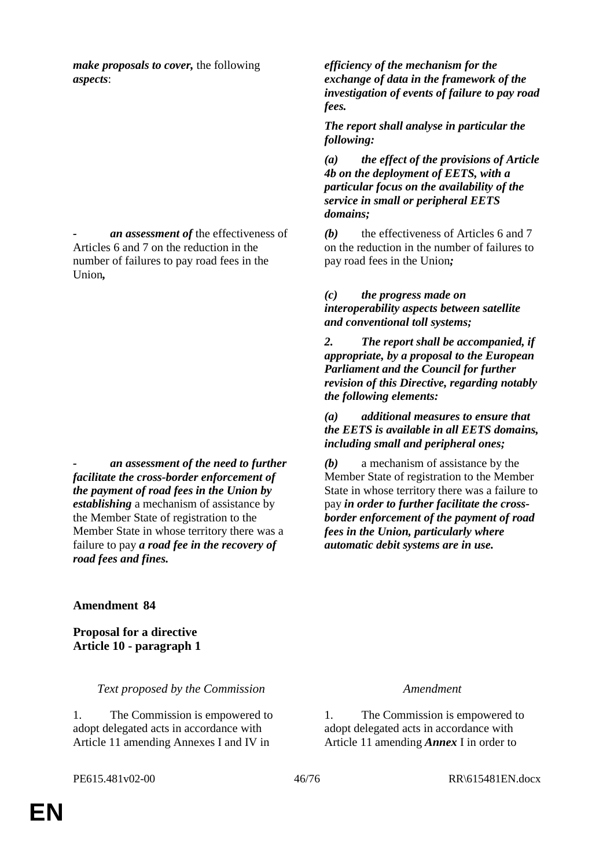*make proposals to cover,* the following *aspects*:

*- an assessment of* the effectiveness of Articles 6 and 7 on the reduction in the number of failures to pay road fees in the Union*,*

*- an assessment of the need to further facilitate the cross-border enforcement of the payment of road fees in the Union by establishing* a mechanism of assistance by the Member State of registration to the Member State in whose territory there was a failure to pay *a road fee in the recovery of road fees and fines.*

**Amendment 84**

**Proposal for a directive Article 10 - paragraph 1**

#### *Text proposed by the Commission Amendment*

1. The Commission is empowered to adopt delegated acts in accordance with Article 11 amending Annexes I and IV in

*efficiency of the mechanism for the exchange of data in the framework of the investigation of events of failure to pay road fees.*

*The report shall analyse in particular the following:*

*(a) the effect of the provisions of Article 4b on the deployment of EETS, with a particular focus on the availability of the service in small or peripheral EETS domains;*

*(b)* the effectiveness of Articles 6 and 7 on the reduction in the number of failures to pay road fees in the Union*;*

#### *(c) the progress made on interoperability aspects between satellite and conventional toll systems;*

*2. The report shall be accompanied, if appropriate, by a proposal to the European Parliament and the Council for further revision of this Directive, regarding notably the following elements:*

#### *(a) additional measures to ensure that the EETS is available in all EETS domains, including small and peripheral ones;*

*(b)* a mechanism of assistance by the Member State of registration to the Member State in whose territory there was a failure to pay *in order to further facilitate the crossborder enforcement of the payment of road fees in the Union, particularly where automatic debit systems are in use.*

1. The Commission is empowered to adopt delegated acts in accordance with Article 11 amending *Annex* I in order to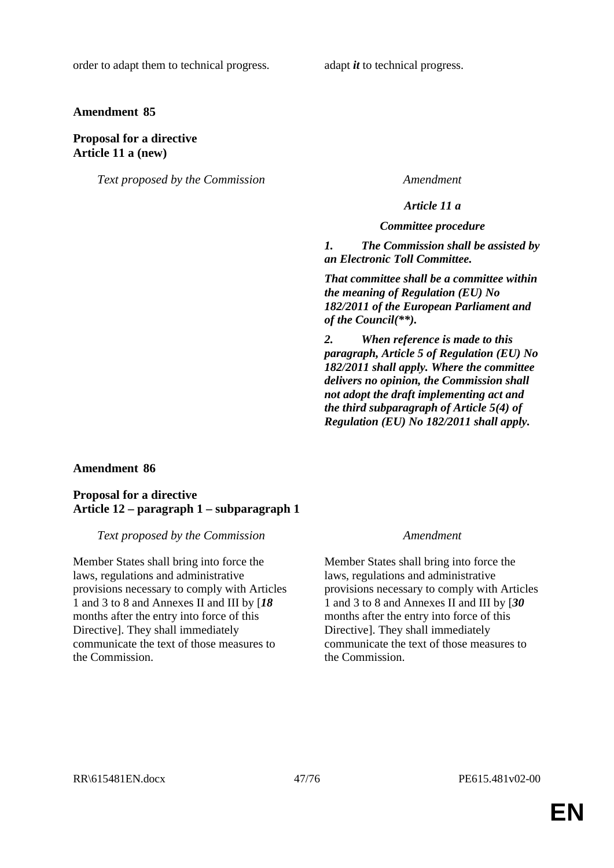order to adapt them to technical progress. a adapt *it* to technical progress.

### **Amendment 85**

#### **Proposal for a directive Article 11 a (new)**

*Text proposed by the Commission Amendment*

### *Article 11 a*

#### *Committee procedure*

*1. The Commission shall be assisted by an Electronic Toll Committee.*

*That committee shall be a committee within the meaning of Regulation (EU) No 182/2011 of the European Parliament and of the Council(\*\*).*

*2. When reference is made to this paragraph, Article 5 of Regulation (EU) No 182/2011 shall apply. Where the committee delivers no opinion, the Commission shall not adopt the draft implementing act and the third subparagraph of Article 5(4) of Regulation (EU) No 182/2011 shall apply.*

### **Amendment 86**

### **Proposal for a directive Article 12 – paragraph 1 – subparagraph 1**

#### *Text proposed by the Commission Amendment*

Member States shall bring into force the laws, regulations and administrative provisions necessary to comply with Articles 1 and 3 to 8 and Annexes II and III by [*18* months after the entry into force of this Directive]. They shall immediately communicate the text of those measures to the Commission.

Member States shall bring into force the laws, regulations and administrative provisions necessary to comply with Articles 1 and 3 to 8 and Annexes II and III by [*30* months after the entry into force of this Directive]. They shall immediately communicate the text of those measures to the Commission.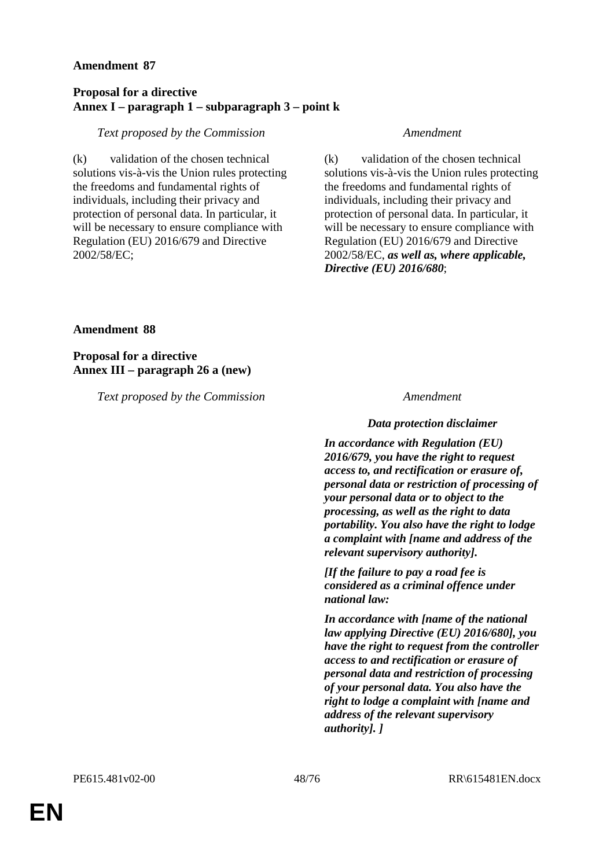### **Amendment 87**

#### **Proposal for a directive Annex I – paragraph 1 – subparagraph 3 – point k**

#### *Text proposed by the Commission Amendment*

(k) validation of the chosen technical solutions vis-à-vis the Union rules protecting the freedoms and fundamental rights of individuals, including their privacy and protection of personal data. In particular, it will be necessary to ensure compliance with Regulation (EU) 2016/679 and Directive 2002/58/EC;

(k) validation of the chosen technical solutions vis-à-vis the Union rules protecting the freedoms and fundamental rights of individuals, including their privacy and protection of personal data. In particular, it will be necessary to ensure compliance with Regulation (EU) 2016/679 and Directive 2002/58/EC, *as well as, where applicable, Directive (EU) 2016/680*;

**Amendment 88**

**Proposal for a directive Annex III – paragraph 26 a (new)**

*Text proposed by the Commission Amendment*

#### *Data protection disclaimer*

*In accordance with Regulation (EU) 2016/679, you have the right to request access to, and rectification or erasure of, personal data or restriction of processing of your personal data or to object to the processing, as well as the right to data portability. You also have the right to lodge a complaint with [name and address of the relevant supervisory authority].*

*[If the failure to pay a road fee is considered as a criminal offence under national law:*

*In accordance with [name of the national law applying Directive (EU) 2016/680], you have the right to request from the controller access to and rectification or erasure of personal data and restriction of processing of your personal data. You also have the right to lodge a complaint with [name and address of the relevant supervisory authority]. ]*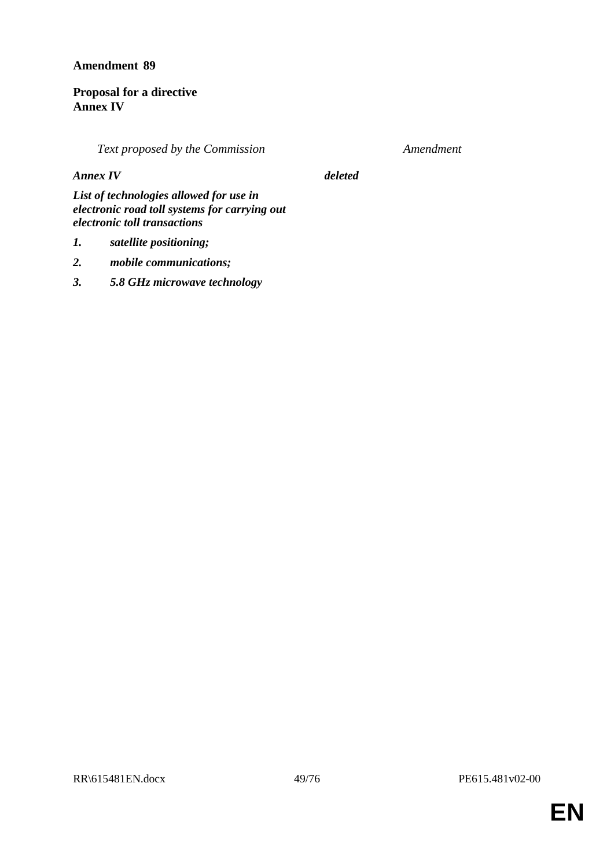### **Amendment 89**

### **Proposal for a directive Annex IV**

*Text proposed by the Commission Amendment*

### *Annex IV deleted*

*List of technologies allowed for use in electronic road toll systems for carrying out electronic toll transactions*

- *1. satellite positioning;*
- *2. mobile communications;*
- *3. 5.8 GHz microwave technology*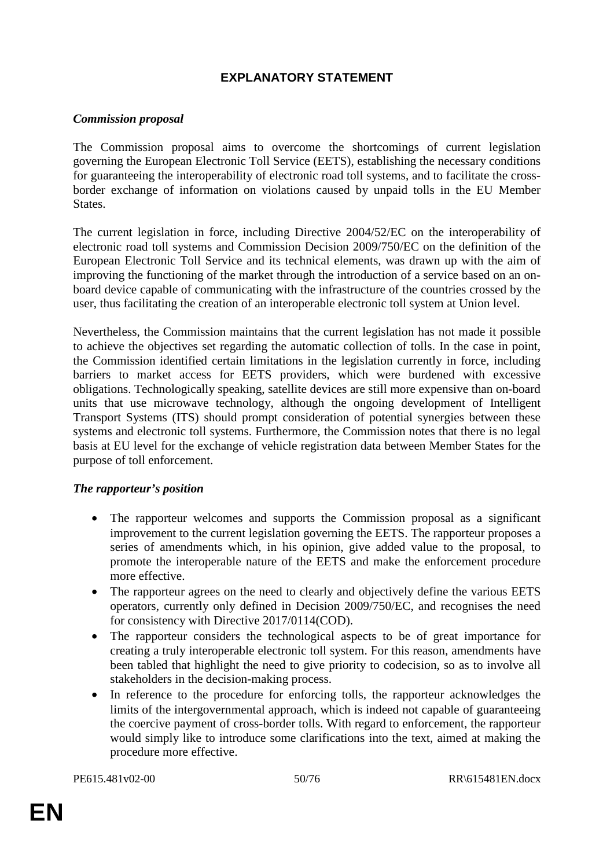# **EXPLANATORY STATEMENT**

### *Commission proposal*

The Commission proposal aims to overcome the shortcomings of current legislation governing the European Electronic Toll Service (EETS), establishing the necessary conditions for guaranteeing the interoperability of electronic road toll systems, and to facilitate the crossborder exchange of information on violations caused by unpaid tolls in the EU Member States.

The current legislation in force, including Directive 2004/52/EC on the interoperability of electronic road toll systems and Commission Decision 2009/750/EC on the definition of the European Electronic Toll Service and its technical elements, was drawn up with the aim of improving the functioning of the market through the introduction of a service based on an onboard device capable of communicating with the infrastructure of the countries crossed by the user, thus facilitating the creation of an interoperable electronic toll system at Union level.

Nevertheless, the Commission maintains that the current legislation has not made it possible to achieve the objectives set regarding the automatic collection of tolls. In the case in point, the Commission identified certain limitations in the legislation currently in force, including barriers to market access for EETS providers, which were burdened with excessive obligations. Technologically speaking, satellite devices are still more expensive than on-board units that use microwave technology, although the ongoing development of Intelligent Transport Systems (ITS) should prompt consideration of potential synergies between these systems and electronic toll systems. Furthermore, the Commission notes that there is no legal basis at EU level for the exchange of vehicle registration data between Member States for the purpose of toll enforcement.

#### *The rapporteur's position*

- The rapporteur welcomes and supports the Commission proposal as a significant improvement to the current legislation governing the EETS. The rapporteur proposes a series of amendments which, in his opinion, give added value to the proposal, to promote the interoperable nature of the EETS and make the enforcement procedure more effective.
- The rapporteur agrees on the need to clearly and objectively define the various EETS operators, currently only defined in Decision 2009/750/EC, and recognises the need for consistency with Directive 2017/0114(COD).
- The rapporteur considers the technological aspects to be of great importance for creating a truly interoperable electronic toll system. For this reason, amendments have been tabled that highlight the need to give priority to codecision, so as to involve all stakeholders in the decision-making process.
- In reference to the procedure for enforcing tolls, the rapporteur acknowledges the limits of the intergovernmental approach, which is indeed not capable of guaranteeing the coercive payment of cross-border tolls. With regard to enforcement, the rapporteur would simply like to introduce some clarifications into the text, aimed at making the procedure more effective.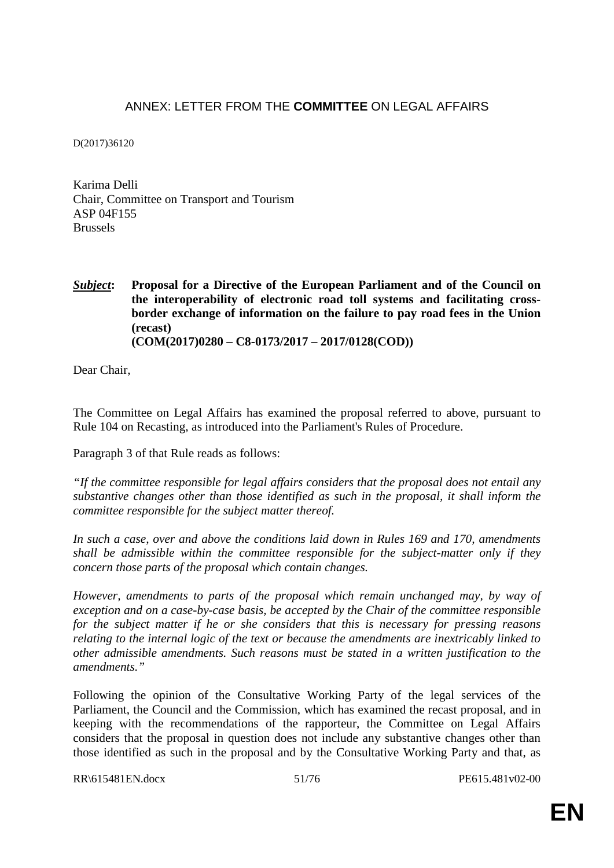# ANNEX: LETTER FROM THE **COMMITTEE** ON LEGAL AFFAIRS

D(2017)36120

Karima Delli Chair, Committee on Transport and Tourism ASP 04F155 Brussels

*Subject***: Proposal for a Directive of the European Parliament and of the Council on the interoperability of electronic road toll systems and facilitating crossborder exchange of information on the failure to pay road fees in the Union (recast) (COM(2017)0280 – C8-0173/2017 – 2017/0128(COD))**

Dear Chair,

The Committee on Legal Affairs has examined the proposal referred to above, pursuant to Rule 104 on Recasting, as introduced into the Parliament's Rules of Procedure.

Paragraph 3 of that Rule reads as follows:

*"If the committee responsible for legal affairs considers that the proposal does not entail any substantive changes other than those identified as such in the proposal, it shall inform the committee responsible for the subject matter thereof.* 

*In such a case, over and above the conditions laid down in Rules 169 and 170, amendments shall be admissible within the committee responsible for the subject-matter only if they concern those parts of the proposal which contain changes.*

*However, amendments to parts of the proposal which remain unchanged may, by way of exception and on a case-by-case basis, be accepted by the Chair of the committee responsible for the subject matter if he or she considers that this is necessary for pressing reasons relating to the internal logic of the text or because the amendments are inextricably linked to other admissible amendments. Such reasons must be stated in a written justification to the amendments."*

Following the opinion of the Consultative Working Party of the legal services of the Parliament, the Council and the Commission, which has examined the recast proposal, and in keeping with the recommendations of the rapporteur, the Committee on Legal Affairs considers that the proposal in question does not include any substantive changes other than those identified as such in the proposal and by the Consultative Working Party and that, as

RR\615481EN.docx 51/76 PE615.481v02-00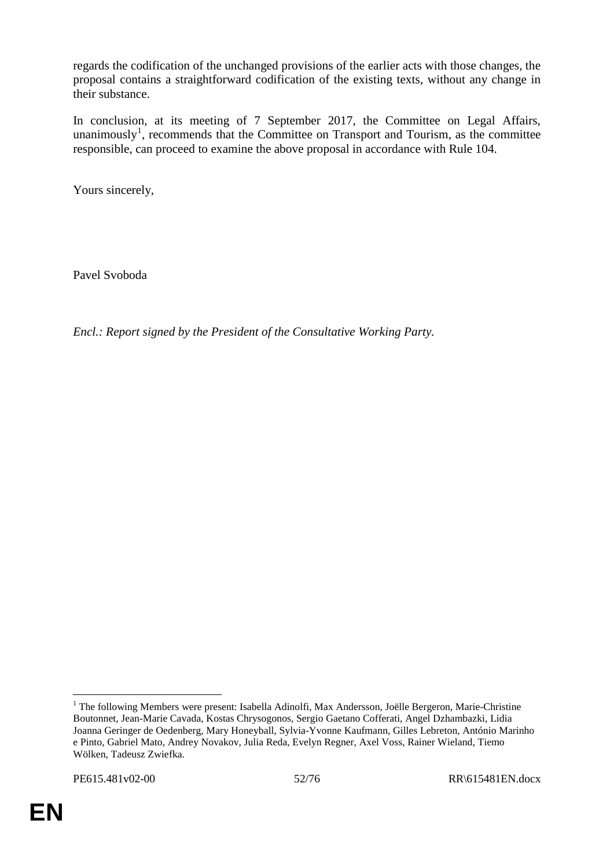regards the codification of the unchanged provisions of the earlier acts with those changes, the proposal contains a straightforward codification of the existing texts, without any change in their substance.

In conclusion, at its meeting of 7 September 2017, the Committee on Legal Affairs, unanimously<sup>[1](#page-51-0)</sup>, recommends that the Committee on Transport and Tourism, as the committee responsible, can proceed to examine the above proposal in accordance with Rule 104.

Yours sincerely,

Pavel Svoboda

*Encl.: Report signed by the President of the Consultative Working Party.*

<span id="page-51-0"></span><sup>&</sup>lt;sup>1</sup> The following Members were present: Isabella Adinolfi, Max Andersson, Joëlle Bergeron, Marie-Christine Boutonnet, Jean-Marie Cavada, Kostas Chrysogonos, Sergio Gaetano Cofferati, Angel Dzhambazki, Lidia Joanna Geringer de Oedenberg, Mary Honeyball, Sylvia-Yvonne Kaufmann, Gilles Lebreton, António Marinho e Pinto, Gabriel Mato, Andrey Novakov, Julia Reda, Evelyn Regner, Axel Voss, Rainer Wieland, Tiemo Wölken, Tadeusz Zwiefka.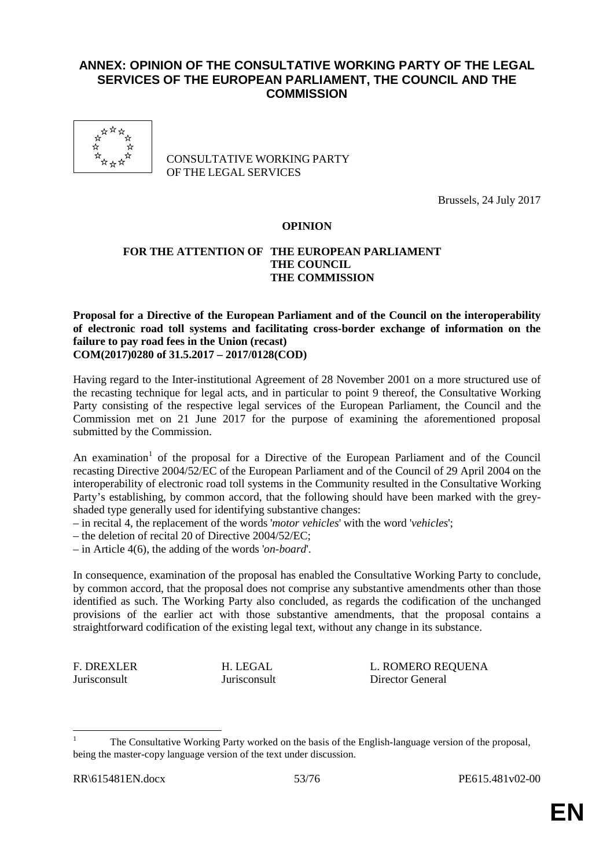### **ANNEX: OPINION OF THE CONSULTATIVE WORKING PARTY OF THE LEGAL SERVICES OF THE EUROPEAN PARLIAMENT, THE COUNCIL AND THE COMMISSION**



CONSULTATIVE WORKING PARTY OF THE LEGAL SERVICES

Brussels, 24 July 2017

#### **OPINION**

#### **FOR THE ATTENTION OF THE EUROPEAN PARLIAMENT THE COUNCIL THE COMMISSION**

**Proposal for a Directive of the European Parliament and of the Council on the interoperability of electronic road toll systems and facilitating cross-border exchange of information on the failure to pay road fees in the Union (recast) COM(2017)0280 of 31.5.2017 – 2017/0128(COD)**

Having regard to the Inter-institutional Agreement of 28 November 2001 on a more structured use of the recasting technique for legal acts, and in particular to point 9 thereof, the Consultative Working Party consisting of the respective legal services of the European Parliament, the Council and the Commission met on 21 June 2017 for the purpose of examining the aforementioned proposal submitted by the Commission.

An examination<sup>[1](#page-52-0)</sup> of the proposal for a Directive of the European Parliament and of the Council recasting Directive 2004/52/EC of the European Parliament and of the Council of 29 April 2004 on the interoperability of electronic road toll systems in the Community resulted in the Consultative Working Party's establishing, by common accord, that the following should have been marked with the greyshaded type generally used for identifying substantive changes:

– in recital 4, the replacement of the words '*motor vehicles*' with the word '*vehicles*';

– the deletion of recital 20 of Directive 2004/52/EC;

– in Article 4(6), the adding of the words '*on-board*'.

In consequence, examination of the proposal has enabled the Consultative Working Party to conclude, by common accord, that the proposal does not comprise any substantive amendments other than those identified as such. The Working Party also concluded, as regards the codification of the unchanged provisions of the earlier act with those substantive amendments, that the proposal contains a straightforward codification of the existing legal text, without any change in its substance.

F. DREXLER H. LEGAL L. ROMERO REQUENA Jurisconsult Jurisconsult Director General

<span id="page-52-0"></span> <sup>1</sup> The Consultative Working Party worked on the basis of the English-language version of the proposal, being the master-copy language version of the text under discussion.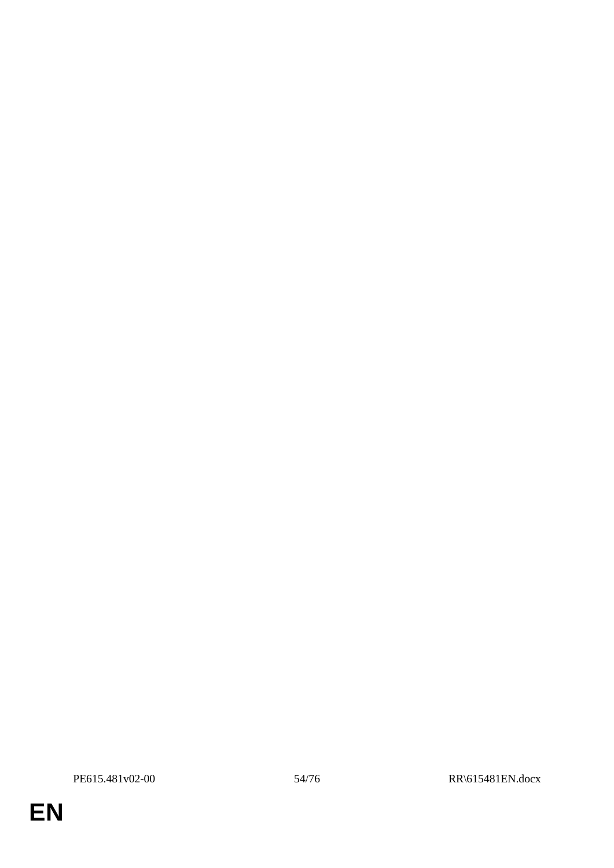PE615.481v02 -00 54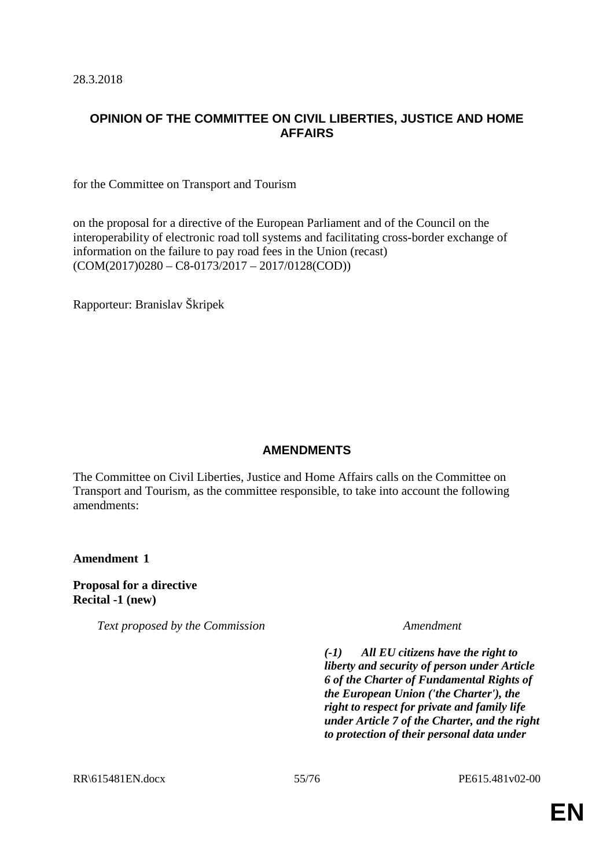# **OPINION OF THE COMMITTEE ON CIVIL LIBERTIES, JUSTICE AND HOME AFFAIRS**

for the Committee on Transport and Tourism

on the proposal for a directive of the European Parliament and of the Council on the interoperability of electronic road toll systems and facilitating cross-border exchange of information on the failure to pay road fees in the Union (recast)  $(COM(2017)0280 - C8 - 0173/2017 - 2017/0128(COD))$ 

Rapporteur: Branislav Škripek

### **AMENDMENTS**

The Committee on Civil Liberties, Justice and Home Affairs calls on the Committee on Transport and Tourism, as the committee responsible, to take into account the following amendments:

**Amendment 1**

**Proposal for a directive Recital -1 (new)**

*Text proposed by the Commission Amendment*

*(-1) All EU citizens have the right to liberty and security of person under Article 6 of the Charter of Fundamental Rights of the European Union ('the Charter'), the right to respect for private and family life under Article 7 of the Charter, and the right to protection of their personal data under*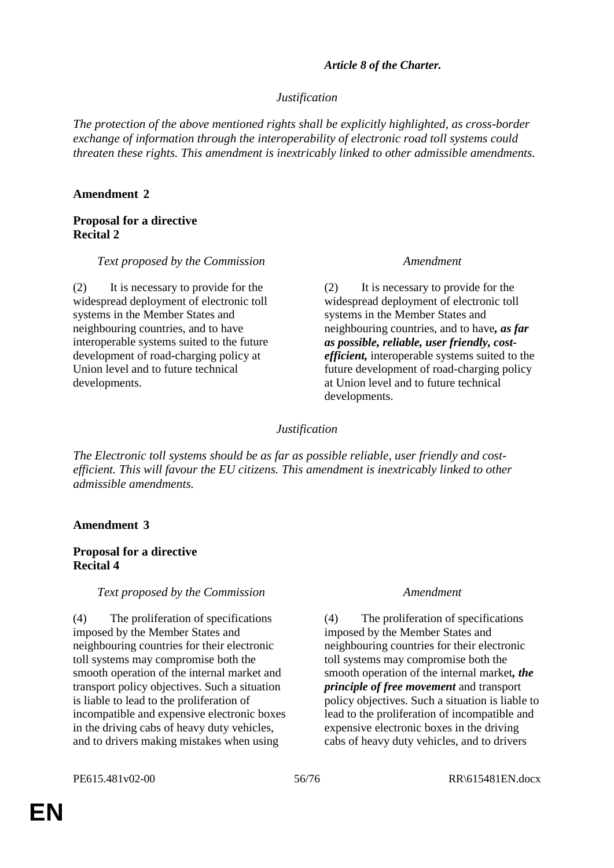# *Article 8 of the Charter.*

# *Justification*

*The protection of the above mentioned rights shall be explicitly highlighted, as cross-border exchange of information through the interoperability of electronic road toll systems could threaten these rights. This amendment is inextricably linked to other admissible amendments.*

# **Amendment 2**

# **Proposal for a directive Recital 2**

# *Text proposed by the Commission Amendment*

(2) It is necessary to provide for the widespread deployment of electronic toll systems in the Member States and neighbouring countries, and to have interoperable systems suited to the future development of road-charging policy at Union level and to future technical developments.

(2) It is necessary to provide for the widespread deployment of electronic toll systems in the Member States and neighbouring countries, and to have*, as far as possible, reliable, user friendly, costefficient,* interoperable systems suited to the future development of road-charging policy at Union level and to future technical developments.

# *Justification*

*The Electronic toll systems should be as far as possible reliable, user friendly and costefficient. This will favour the EU citizens. This amendment is inextricably linked to other admissible amendments.*

# **Amendment 3**

# **Proposal for a directive Recital 4**

# *Text proposed by the Commission Amendment*

(4) The proliferation of specifications imposed by the Member States and neighbouring countries for their electronic toll systems may compromise both the smooth operation of the internal market and transport policy objectives. Such a situation is liable to lead to the proliferation of incompatible and expensive electronic boxes in the driving cabs of heavy duty vehicles, and to drivers making mistakes when using

(4) The proliferation of specifications imposed by the Member States and neighbouring countries for their electronic toll systems may compromise both the smooth operation of the internal market*, the principle of free movement* and transport policy objectives. Such a situation is liable to lead to the proliferation of incompatible and expensive electronic boxes in the driving cabs of heavy duty vehicles, and to drivers

# PE615.481v02-00 56/76 RR\615481EN.docx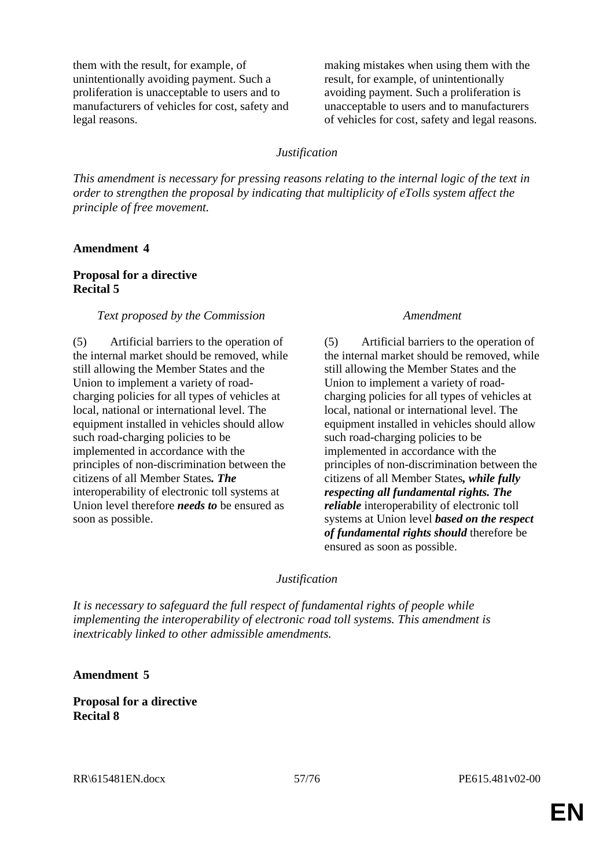them with the result, for example, of unintentionally avoiding payment. Such a proliferation is unacceptable to users and to manufacturers of vehicles for cost, safety and legal reasons.

making mistakes when using them with the result, for example, of unintentionally avoiding payment. Such a proliferation is unacceptable to users and to manufacturers of vehicles for cost, safety and legal reasons.

#### *Justification*

*This amendment is necessary for pressing reasons relating to the internal logic of the text in order to strengthen the proposal by indicating that multiplicity of eTolls system affect the principle of free movement.*

#### **Amendment 4**

#### **Proposal for a directive Recital 5**

#### *Text proposed by the Commission Amendment*

(5) Artificial barriers to the operation of the internal market should be removed, while still allowing the Member States and the Union to implement a variety of roadcharging policies for all types of vehicles at local, national or international level. The equipment installed in vehicles should allow such road-charging policies to be implemented in accordance with the principles of non-discrimination between the citizens of all Member States*. The* interoperability of electronic toll systems at Union level therefore *needs to* be ensured as soon as possible.

(5) Artificial barriers to the operation of the internal market should be removed, while still allowing the Member States and the Union to implement a variety of roadcharging policies for all types of vehicles at local, national or international level. The equipment installed in vehicles should allow such road-charging policies to be implemented in accordance with the principles of non-discrimination between the citizens of all Member States*, while fully respecting all fundamental rights. The reliable* interoperability of electronic toll systems at Union level *based on the respect of fundamental rights should* therefore be ensured as soon as possible.

#### *Justification*

*It is necessary to safeguard the full respect of fundamental rights of people while implementing the interoperability of electronic road toll systems. This amendment is inextricably linked to other admissible amendments.*

#### **Amendment 5**

**Proposal for a directive Recital 8**

RR\615481EN.docx 57/76 PE615.481v02-00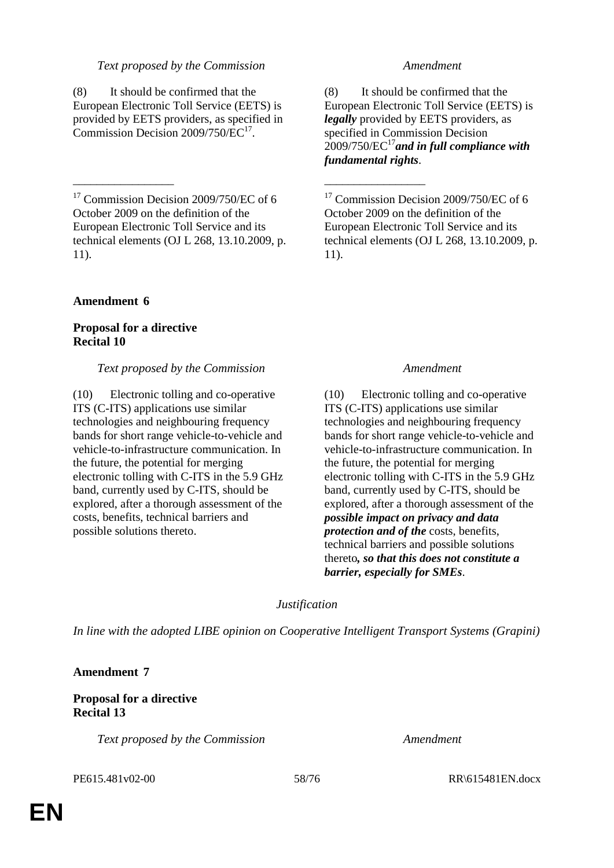#### *Text proposed by the Commission Amendment*

(8) It should be confirmed that the European Electronic Toll Service (EETS) is provided by EETS providers, as specified in Commission Decision  $2009/750/\text{EC}^{17}$ .

 $17$  Commission Decision 2009/750/EC of 6 October 2009 on the definition of the European Electronic Toll Service and its technical elements (OJ L 268, 13.10.2009, p. 11).

\_\_\_\_\_\_\_\_\_\_\_\_\_\_\_\_\_ \_\_\_\_\_\_\_\_\_\_\_\_\_\_\_\_\_

### **Amendment 6**

### **Proposal for a directive Recital 10**

#### *Text proposed by the Commission Amendment*

(10) Electronic tolling and co-operative ITS (C-ITS) applications use similar technologies and neighbouring frequency bands for short range vehicle-to-vehicle and vehicle-to-infrastructure communication. In the future, the potential for merging electronic tolling with C-ITS in the 5.9 GHz band, currently used by C-ITS, should be explored, after a thorough assessment of the costs, benefits, technical barriers and possible solutions thereto.

(8) It should be confirmed that the European Electronic Toll Service (EETS) is *legally* provided by EETS providers, as specified in Commission Decision 2009/750/EC17*and in full compliance with fundamental rights*.

 $17$  Commission Decision 2009/750/EC of 6 October 2009 on the definition of the European Electronic Toll Service and its technical elements (OJ L 268, 13.10.2009, p. 11).

(10) Electronic tolling and co-operative ITS (C-ITS) applications use similar technologies and neighbouring frequency bands for short range vehicle-to-vehicle and vehicle-to-infrastructure communication. In the future, the potential for merging electronic tolling with C-ITS in the 5.9 GHz band, currently used by C-ITS, should be explored, after a thorough assessment of the *possible impact on privacy and data protection and of the* costs, benefits, technical barriers and possible solutions thereto*, so that this does not constitute a barrier, especially for SMEs*.

#### *Justification*

*In line with the adopted LIBE opinion on Cooperative Intelligent Transport Systems (Grapini)*

**Amendment 7**

### **Proposal for a directive Recital 13**

*Text proposed by the Commission Amendment*

PE615.481v02-00 58/76 RR\615481EN.docx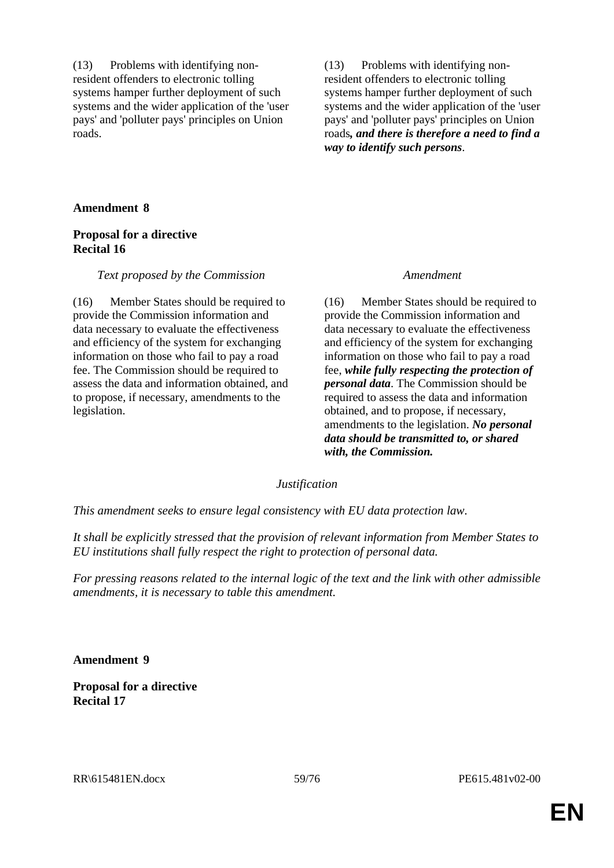(13) Problems with identifying nonresident offenders to electronic tolling systems hamper further deployment of such systems and the wider application of the 'user pays' and 'polluter pays' principles on Union roads.

(13) Problems with identifying nonresident offenders to electronic tolling systems hamper further deployment of such systems and the wider application of the 'user pays' and 'polluter pays' principles on Union roads*, and there is therefore a need to find a way to identify such persons*.

### **Amendment 8**

### **Proposal for a directive Recital 16**

#### *Text proposed by the Commission Amendment*

(16) Member States should be required to provide the Commission information and data necessary to evaluate the effectiveness and efficiency of the system for exchanging information on those who fail to pay a road fee. The Commission should be required to assess the data and information obtained, and to propose, if necessary, amendments to the legislation.

(16) Member States should be required to provide the Commission information and data necessary to evaluate the effectiveness and efficiency of the system for exchanging information on those who fail to pay a road fee, *while fully respecting the protection of personal data*. The Commission should be required to assess the data and information obtained, and to propose, if necessary, amendments to the legislation. *No personal data should be transmitted to, or shared with, the Commission.*

#### *Justification*

*This amendment seeks to ensure legal consistency with EU data protection law.*

*It shall be explicitly stressed that the provision of relevant information from Member States to EU institutions shall fully respect the right to protection of personal data.*

*For pressing reasons related to the internal logic of the text and the link with other admissible amendments, it is necessary to table this amendment.*

**Amendment 9**

**Proposal for a directive Recital 17**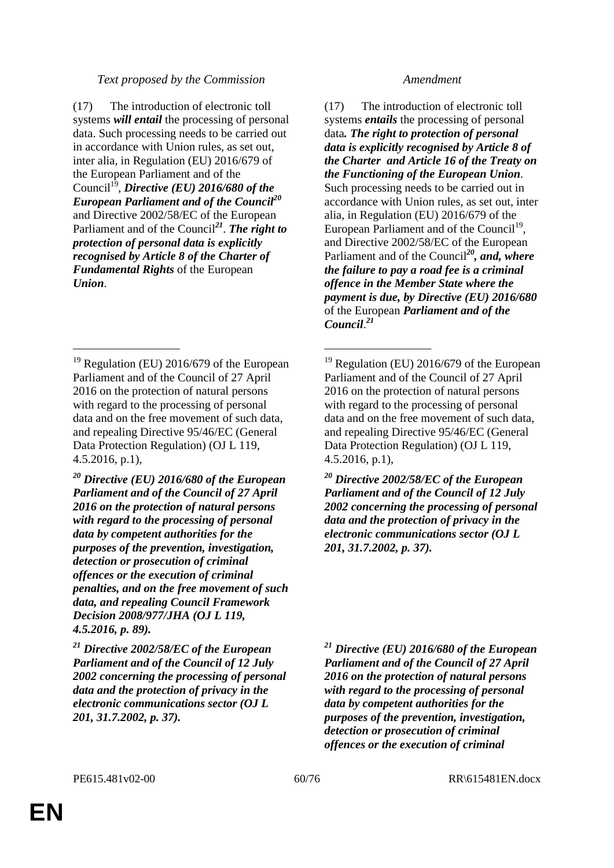#### *Text proposed by the Commission Amendment*

(17) The introduction of electronic toll systems *will entail* the processing of personal data. Such processing needs to be carried out in accordance with Union rules, as set out, inter alia, in Regulation (EU) 2016/679 of the European Parliament and of the Council<sup>19</sup>, *Directive (EU)* 2016/680 of the *European Parliament and of the Council20* and Directive 2002/58/EC of the European Parliament and of the Council*<sup>21</sup>*. *The right to protection of personal data is explicitly recognised by Article 8 of the Charter of Fundamental Rights* of the European *Union*.

\_\_\_\_\_\_\_\_\_\_\_\_\_\_\_\_\_\_ \_\_\_\_\_\_\_\_\_\_\_\_\_\_\_\_\_\_

*<sup>20</sup> Directive (EU) 2016/680 of the European Parliament and of the Council of 27 April 2016 on the protection of natural persons with regard to the processing of personal data by competent authorities for the purposes of the prevention, investigation, detection or prosecution of criminal offences or the execution of criminal penalties, and on the free movement of such data, and repealing Council Framework Decision 2008/977/JHA (OJ L 119, 4.5.2016, p. 89).*

*<sup>21</sup> Directive 2002/58/EC of the European Parliament and of the Council of 12 July 2002 concerning the processing of personal data and the protection of privacy in the electronic communications sector (OJ L 201, 31.7.2002, p. 37).*

(17) The introduction of electronic toll systems *entails* the processing of personal data*. The right to protection of personal data is explicitly recognised by Article 8 of the Charter and Article 16 of the Treaty on the Functioning of the European Union*. Such processing needs to be carried out in accordance with Union rules, as set out, inter alia, in Regulation (EU) 2016/679 of the European Parliament and of the Council<sup>19</sup>. and Directive 2002/58/EC of the European Parliament and of the Council*20, and, where the failure to pay a road fee is a criminal offence in the Member State where the payment is due, by Directive (EU) 2016/680* of the European *Parliament and of the Council*. *21*

<sup>19</sup> Regulation (EU) 2016/679 of the European Parliament and of the Council of 27 April 2016 on the protection of natural persons with regard to the processing of personal data and on the free movement of such data, and repealing Directive 95/46/EC (General Data Protection Regulation) (OJ L 119, 4.5.2016, p.1),

*<sup>20</sup> Directive 2002/58/EC of the European Parliament and of the Council of 12 July 2002 concerning the processing of personal data and the protection of privacy in the electronic communications sector (OJ L 201, 31.7.2002, p. 37).*

*<sup>21</sup> Directive (EU) 2016/680 of the European Parliament and of the Council of 27 April 2016 on the protection of natural persons with regard to the processing of personal data by competent authorities for the purposes of the prevention, investigation, detection or prosecution of criminal offences or the execution of criminal* 

<sup>&</sup>lt;sup>19</sup> Regulation (EU) 2016/679 of the European Parliament and of the Council of 27 April 2016 on the protection of natural persons with regard to the processing of personal data and on the free movement of such data, and repealing Directive 95/46/EC (General Data Protection Regulation) (OJ L 119, 4.5.2016, p.1),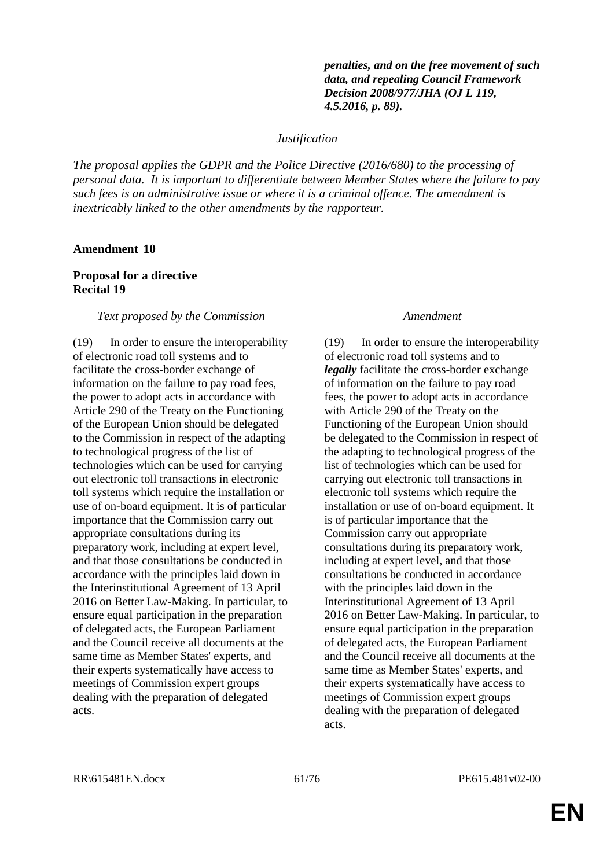RR\615481EN.docx 61/76 PE615.481v02-00

# **EN**

*penalties, and on the free movement of such data, and repealing Council Framework Decision 2008/977/JHA (OJ L 119, 4.5.2016, p. 89).*

#### *Justification*

*The proposal applies the GDPR and the Police Directive (2016/680) to the processing of personal data. It is important to differentiate between Member States where the failure to pay such fees is an administrative issue or where it is a criminal offence. The amendment is inextricably linked to the other amendments by the rapporteur.*

#### **Amendment 10**

#### **Proposal for a directive Recital 19**

#### *Text proposed by the Commission Amendment*

(19) In order to ensure the interoperability of electronic road toll systems and to facilitate the cross-border exchange of information on the failure to pay road fees, the power to adopt acts in accordance with Article 290 of the Treaty on the Functioning of the European Union should be delegated to the Commission in respect of the adapting to technological progress of the list of technologies which can be used for carrying out electronic toll transactions in electronic toll systems which require the installation or use of on-board equipment. It is of particular importance that the Commission carry out appropriate consultations during its preparatory work, including at expert level, and that those consultations be conducted in accordance with the principles laid down in the Interinstitutional Agreement of 13 April 2016 on Better Law-Making. In particular, to ensure equal participation in the preparation of delegated acts, the European Parliament and the Council receive all documents at the same time as Member States' experts, and their experts systematically have access to meetings of Commission expert groups dealing with the preparation of delegated acts.

(19) In order to ensure the interoperability of electronic road toll systems and to *legally* facilitate the cross-border exchange of information on the failure to pay road fees, the power to adopt acts in accordance with Article 290 of the Treaty on the Functioning of the European Union should be delegated to the Commission in respect of the adapting to technological progress of the list of technologies which can be used for carrying out electronic toll transactions in electronic toll systems which require the installation or use of on-board equipment. It is of particular importance that the Commission carry out appropriate consultations during its preparatory work, including at expert level, and that those consultations be conducted in accordance with the principles laid down in the Interinstitutional Agreement of 13 April 2016 on Better Law-Making. In particular, to ensure equal participation in the preparation of delegated acts, the European Parliament and the Council receive all documents at the same time as Member States' experts, and their experts systematically have access to meetings of Commission expert groups dealing with the preparation of delegated acts.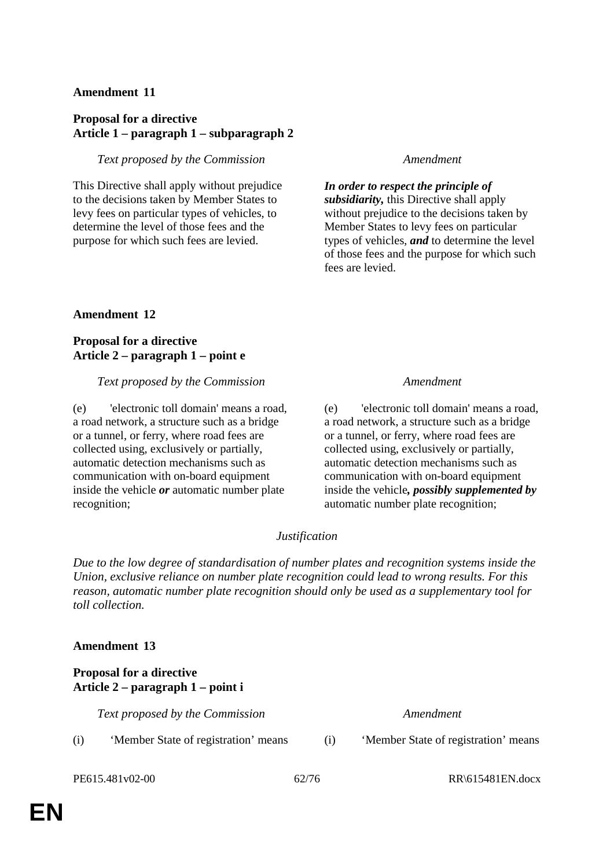#### **Amendment 11**

### **Proposal for a directive Article 1 – paragraph 1 – subparagraph 2**

#### *Text proposed by the Commission Amendment*

This Directive shall apply without prejudice to the decisions taken by Member States to levy fees on particular types of vehicles, to determine the level of those fees and the purpose for which such fees are levied.

*In order to respect the principle of subsidiarity,* this Directive shall apply without prejudice to the decisions taken by Member States to levy fees on particular types of vehicles, *and* to determine the level of those fees and the purpose for which such fees are levied.

### **Amendment 12**

#### **Proposal for a directive Article 2 – paragraph 1 – point e**

#### *Text proposed by the Commission Amendment*

(e) 'electronic toll domain' means a road, a road network, a structure such as a bridge or a tunnel, or ferry, where road fees are collected using, exclusively or partially, automatic detection mechanisms such as communication with on-board equipment inside the vehicle *or* automatic number plate recognition;

(e) 'electronic toll domain' means a road, a road network, a structure such as a bridge or a tunnel, or ferry, where road fees are collected using, exclusively or partially, automatic detection mechanisms such as communication with on-board equipment inside the vehicle*, possibly supplemented by* automatic number plate recognition;

### *Justification*

*Due to the low degree of standardisation of number plates and recognition systems inside the Union, exclusive reliance on number plate recognition could lead to wrong results. For this reason, automatic number plate recognition should only be used as a supplementary tool for toll collection.*

#### **Amendment 13**

#### **Proposal for a directive Article 2 – paragraph 1 – point i**

*Text proposed by the Commission Amendment*

(i) 'Member State of registration' means (i) 'Member State of registration' means

PE615.481v02-00 62/76 RR\615481EN.docx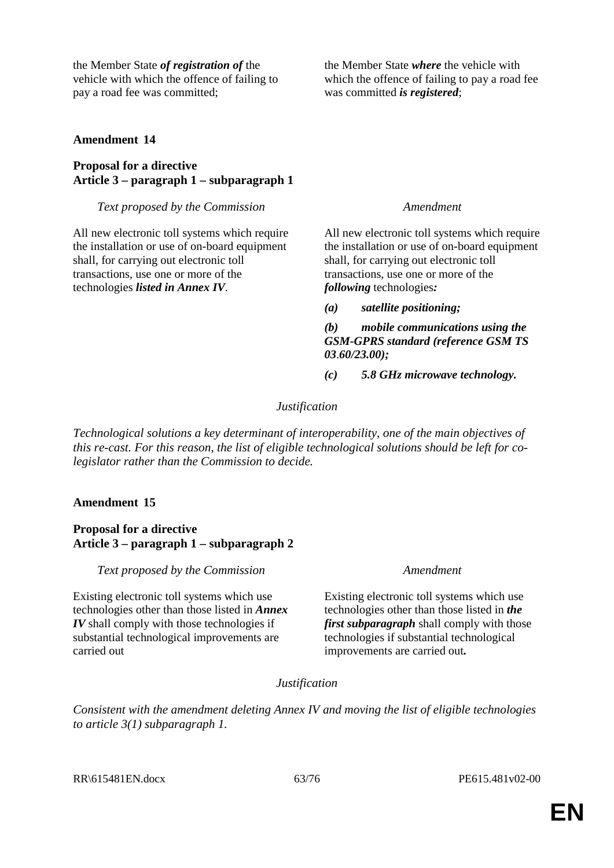the Member State *of registration of* the vehicle with which the offence of failing to pay a road fee was committed;

**Amendment 14**

#### **Proposal for a directive Article 3 – paragraph 1 – subparagraph 1**

*Text proposed by the Commission Amendment*

All new electronic toll systems which require the installation or use of on-board equipment shall, for carrying out electronic toll transactions, use one or more of the technologies *listed in Annex IV*.

the Member State *where* the vehicle with which the offence of failing to pay a road fee was committed *is registered*;

All new electronic toll systems which require the installation or use of on-board equipment shall, for carrying out electronic toll transactions, use one or more of the *following* technologies*:*

*(a) satellite positioning;*

*(b) mobile communications using the GSM-GPRS standard (reference GSM TS 03*.*60/23.00);*

*(c) 5.8 GHz microwave technology.*

#### *Justification*

*Technological solutions a key determinant of interoperability, one of the main objectives of this re-cast. For this reason, the list of eligible technological solutions should be left for colegislator rather than the Commission to decide.*

#### **Amendment 15**

### **Proposal for a directive Article 3 – paragraph 1 – subparagraph 2**

*Text proposed by the Commission Amendment*

Existing electronic toll systems which use technologies other than those listed in *Annex IV* shall comply with those technologies if substantial technological improvements are carried out

Existing electronic toll systems which use technologies other than those listed in *the first subparagraph* shall comply with those technologies if substantial technological improvements are carried out*.*

#### *Justification*

*Consistent with the amendment deleting Annex IV and moving the list of eligible technologies to article 3(1) subparagraph 1.*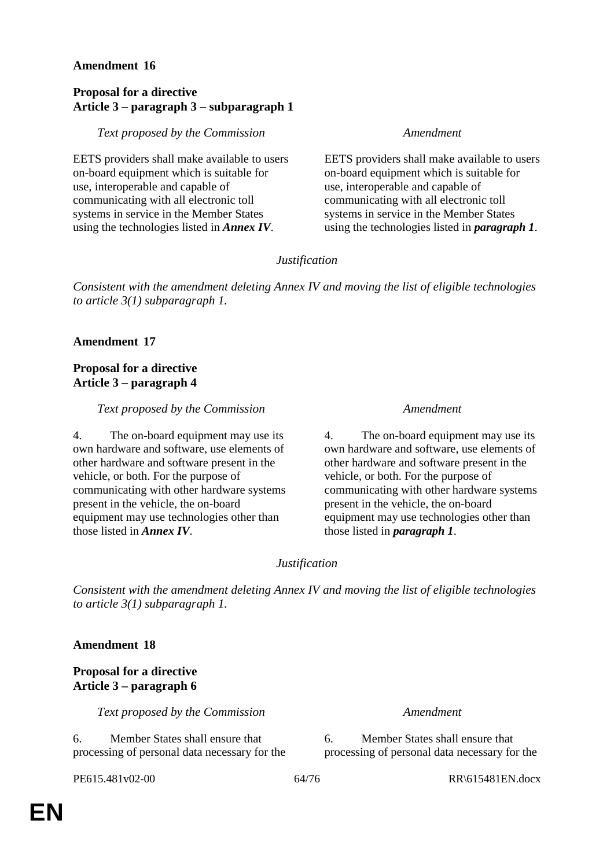#### **Amendment 16**

#### **Proposal for a directive Article 3 – paragraph 3 – subparagraph 1**

*Text proposed by the Commission Amendment*

EETS providers shall make available to users on-board equipment which is suitable for use, interoperable and capable of communicating with all electronic toll systems in service in the Member States using the technologies listed in *Annex IV*.

EETS providers shall make available to users on-board equipment which is suitable for use, interoperable and capable of communicating with all electronic toll systems in service in the Member States using the technologies listed in *paragraph 1*.

#### *Justification*

*Consistent with the amendment deleting Annex IV and moving the list of eligible technologies to article 3(1) subparagraph 1.*

### **Amendment 17**

#### **Proposal for a directive Article 3 – paragraph 4**

#### *Text proposed by the Commission Amendment*

4. The on-board equipment may use its own hardware and software, use elements of other hardware and software present in the vehicle, or both. For the purpose of communicating with other hardware systems present in the vehicle, the on-board equipment may use technologies other than those listed in *Annex IV*.

4. The on-board equipment may use its own hardware and software, use elements of other hardware and software present in the vehicle, or both. For the purpose of communicating with other hardware systems present in the vehicle, the on-board equipment may use technologies other than those listed in *paragraph 1*.

### *Justification*

*Consistent with the amendment deleting Annex IV and moving the list of eligible technologies to article 3(1) subparagraph 1.*

#### **Amendment 18**

### **Proposal for a directive Article 3 – paragraph 6**

*Text proposed by the Commission Amendment*

6. Member States shall ensure that processing of personal data necessary for the

6. Member States shall ensure that processing of personal data necessary for the

PE615.481v02-00 64/76 RR\615481EN.docx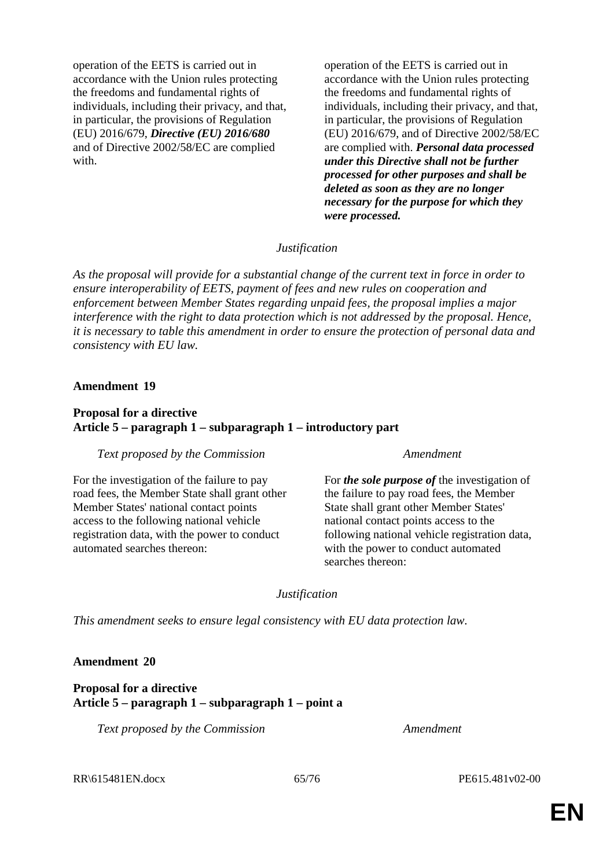operation of the EETS is carried out in accordance with the Union rules protecting the freedoms and fundamental rights of individuals, including their privacy, and that, in particular, the provisions of Regulation (EU) 2016/679, *Directive (EU) 2016/680* and of Directive 2002/58/EC are complied with.

operation of the EETS is carried out in accordance with the Union rules protecting the freedoms and fundamental rights of individuals, including their privacy, and that, in particular, the provisions of Regulation (EU) 2016/679, and of Directive 2002/58/EC are complied with. *Personal data processed under this Directive shall not be further processed for other purposes and shall be deleted as soon as they are no longer necessary for the purpose for which they were processed.*

#### *Justification*

*As the proposal will provide for a substantial change of the current text in force in order to ensure interoperability of EETS, payment of fees and new rules on cooperation and enforcement between Member States regarding unpaid fees, the proposal implies a major interference with the right to data protection which is not addressed by the proposal. Hence, it is necessary to table this amendment in order to ensure the protection of personal data and consistency with EU law.*

#### **Amendment 19**

#### **Proposal for a directive Article 5 – paragraph 1 – subparagraph 1 – introductory part**

*Text proposed by the Commission Amendment*

For the investigation of the failure to pay road fees, the Member State shall grant other Member States' national contact points access to the following national vehicle registration data, with the power to conduct automated searches thereon:

For *the sole purpose of* the investigation of the failure to pay road fees, the Member State shall grant other Member States' national contact points access to the following national vehicle registration data, with the power to conduct automated searches thereon:

#### *Justification*

*This amendment seeks to ensure legal consistency with EU data protection law.*

#### **Amendment 20**

**Proposal for a directive Article 5 – paragraph 1 – subparagraph 1 – point a**

*Text proposed by the Commission Amendment*

RR\615481EN.docx 65/76 PE615.481v02-00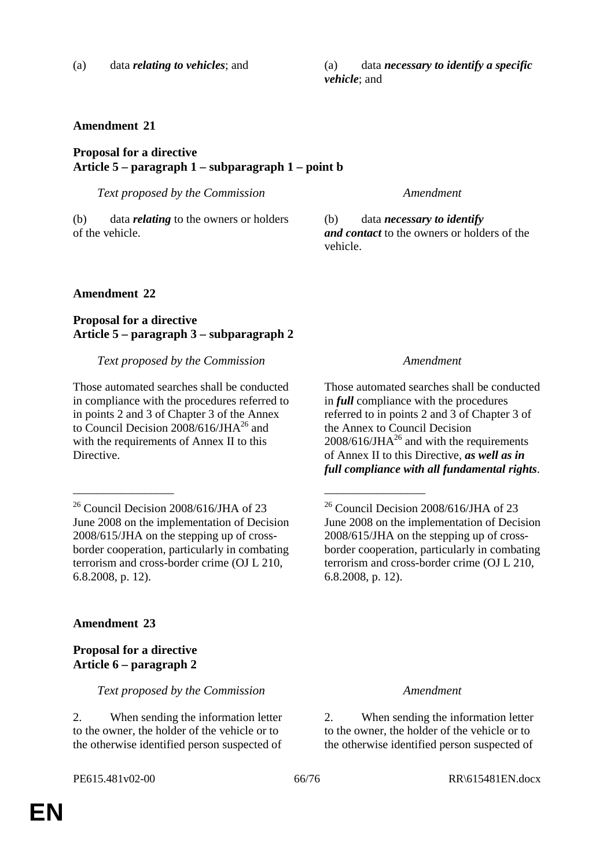#### **Amendment 21**

### **Proposal for a directive Article 5 – paragraph 1 – subparagraph 1 – point b**

*Text proposed by the Commission Amendment*

(b) data *relating* to the owners or holders of the vehicle.

(b) data *necessary to identify and contact* to the owners or holders of the vehicle.

#### **Amendment 22**

### **Proposal for a directive Article 5 – paragraph 3 – subparagraph 2**

#### *Text proposed by the Commission Amendment*

Those automated searches shall be conducted in compliance with the procedures referred to in points 2 and 3 of Chapter 3 of the Annex to Council Decision  $2008/616/JHA^{26}$  and with the requirements of Annex II to this Directive.

\_\_\_\_\_\_\_\_\_\_\_\_\_\_\_\_\_ \_\_\_\_\_\_\_\_\_\_\_\_\_\_\_\_\_

# **Amendment 23**

### **Proposal for a directive Article 6 – paragraph 2**

*Text proposed by the Commission Amendment*

2. When sending the information letter to the owner, the holder of the vehicle or to the otherwise identified person suspected of

Those automated searches shall be conducted in *full* compliance with the procedures referred to in points 2 and 3 of Chapter 3 of the Annex to Council Decision  $2008/616/JHA^{26}$  and with the requirements of Annex II to this Directive, *as well as in full compliance with all fundamental rights*.

2. When sending the information letter to the owner, the holder of the vehicle or to the otherwise identified person suspected of

<sup>&</sup>lt;sup>26</sup> Council Decision 2008/616/JHA of 23 June 2008 on the implementation of Decision 2008/615/JHA on the stepping up of crossborder cooperation, particularly in combating terrorism and cross-border crime (OJ L 210, 6.8.2008, p. 12).

<sup>&</sup>lt;sup>26</sup> Council Decision 2008/616/JHA of 23 June 2008 on the implementation of Decision 2008/615/JHA on the stepping up of crossborder cooperation, particularly in combating terrorism and cross-border crime (OJ L 210, 6.8.2008, p. 12).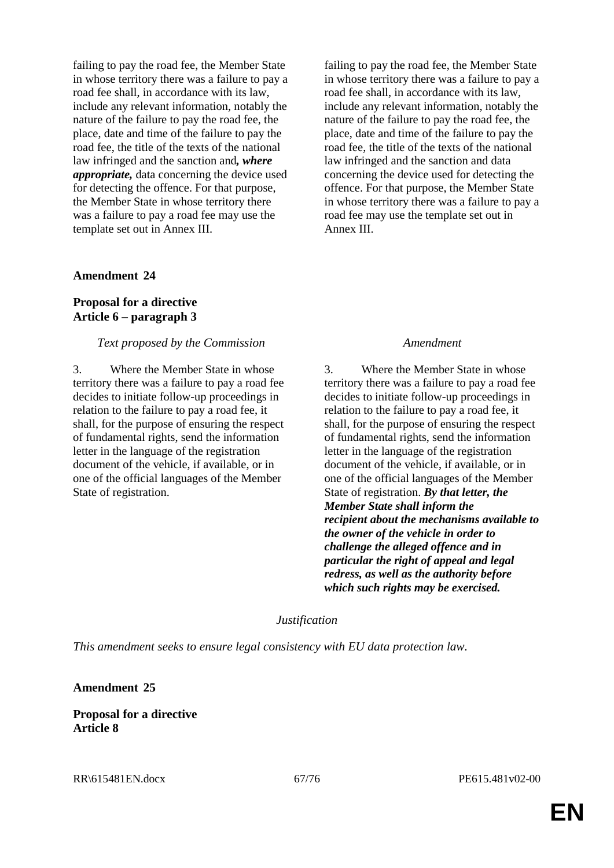failing to pay the road fee, the Member State in whose territory there was a failure to pay a road fee shall, in accordance with its law, include any relevant information, notably the nature of the failure to pay the road fee, the place, date and time of the failure to pay the road fee, the title of the texts of the national law infringed and the sanction and*, where appropriate,* data concerning the device used for detecting the offence. For that purpose, the Member State in whose territory there was a failure to pay a road fee may use the template set out in Annex III.

#### **Amendment 24**

#### **Proposal for a directive Article 6 – paragraph 3**

#### *Text proposed by the Commission Amendment*

3. Where the Member State in whose territory there was a failure to pay a road fee decides to initiate follow-up proceedings in relation to the failure to pay a road fee, it shall, for the purpose of ensuring the respect of fundamental rights, send the information letter in the language of the registration document of the vehicle, if available, or in one of the official languages of the Member State of registration.

failing to pay the road fee, the Member State in whose territory there was a failure to pay a road fee shall, in accordance with its law, include any relevant information, notably the nature of the failure to pay the road fee, the place, date and time of the failure to pay the road fee, the title of the texts of the national law infringed and the sanction and data concerning the device used for detecting the offence. For that purpose, the Member State in whose territory there was a failure to pay a road fee may use the template set out in Annex III.

3. Where the Member State in whose territory there was a failure to pay a road fee decides to initiate follow-up proceedings in relation to the failure to pay a road fee, it shall, for the purpose of ensuring the respect of fundamental rights, send the information letter in the language of the registration document of the vehicle, if available, or in one of the official languages of the Member State of registration. *By that letter, the Member State shall inform the recipient about the mechanisms available to the owner of the vehicle in order to challenge the alleged offence and in particular the right of appeal and legal redress, as well as the authority before which such rights may be exercised.*

#### *Justification*

*This amendment seeks to ensure legal consistency with EU data protection law.*

**Amendment 25**

**Proposal for a directive Article 8**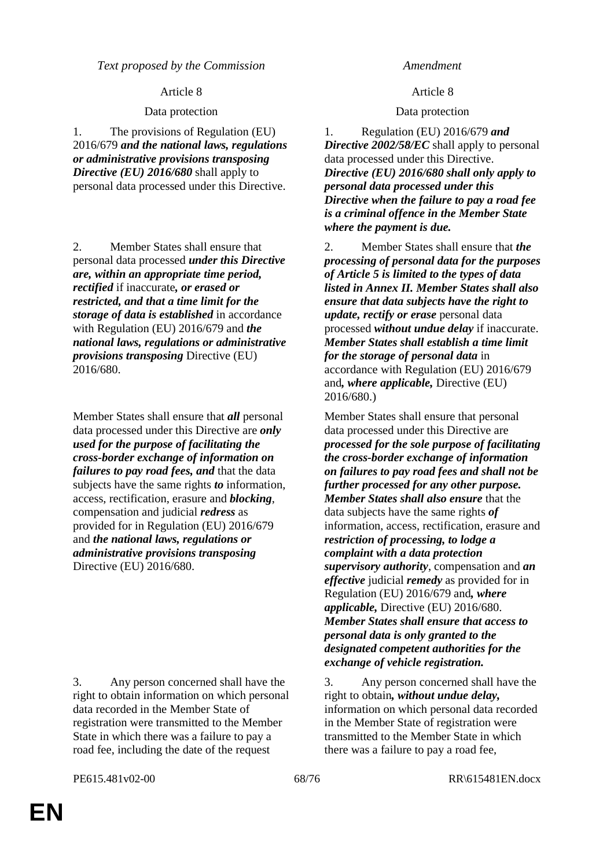### *Text proposed by the Commission Amendment*

#### Article 8 Article 8

1. The provisions of Regulation (EU) 2016/679 *and the national laws, regulations or administrative provisions transposing Directive (EU) 2016/680* shall apply to personal data processed under this Directive.

2. Member States shall ensure that personal data processed *under this Directive are, within an appropriate time period, rectified* if inaccurate*, or erased or restricted, and that a time limit for the storage of data is established* in accordance with Regulation (EU) 2016/679 and *the national laws, regulations or administrative provisions transposing* Directive (EU) 2016/680.

Member States shall ensure that *all* personal data processed under this Directive are *only used for the purpose of facilitating the cross-border exchange of information on failures to pay road fees, and* that the data subjects have the same rights *to* information, access, rectification, erasure and *blocking*, compensation and judicial *redress* as provided for in Regulation (EU) 2016/679 and *the national laws, regulations or administrative provisions transposing*  Directive (EU) 2016/680.

3. Any person concerned shall have the right to obtain information on which personal data recorded in the Member State of registration were transmitted to the Member State in which there was a failure to pay a road fee, including the date of the request

### Data protection Data protection

1. Regulation (EU) 2016/679 *and Directive 2002/58/EC* shall apply to personal data processed under this Directive. *Directive (EU) 2016/680 shall only apply to personal data processed under this Directive when the failure to pay a road fee is a criminal offence in the Member State where the payment is due.*

2. Member States shall ensure that *the processing of personal data for the purposes of Article 5 is limited to the types of data listed in Annex II. Member States shall also ensure that data subjects have the right to update, rectify or erase* personal data processed *without undue delay* if inaccurate. *Member States shall establish a time limit for the storage of personal data* in accordance with Regulation (EU) 2016/679 and*, where applicable,* Directive (EU) 2016/680.)

Member States shall ensure that personal data processed under this Directive are *processed for the sole purpose of facilitating the cross-border exchange of information on failures to pay road fees and shall not be further processed for any other purpose. Member States shall also ensure* that the data subjects have the same rights *of* information, access, rectification, erasure and *restriction of processing, to lodge a complaint with a data protection supervisory authority*, compensation and *an effective* judicial *remedy* as provided for in Regulation (EU) 2016/679 and*, where applicable,* Directive (EU) 2016/680. *Member States shall ensure that access to personal data is only granted to the designated competent authorities for the exchange of vehicle registration.*

3. Any person concerned shall have the right to obtain*, without undue delay,* information on which personal data recorded in the Member State of registration were transmitted to the Member State in which there was a failure to pay a road fee,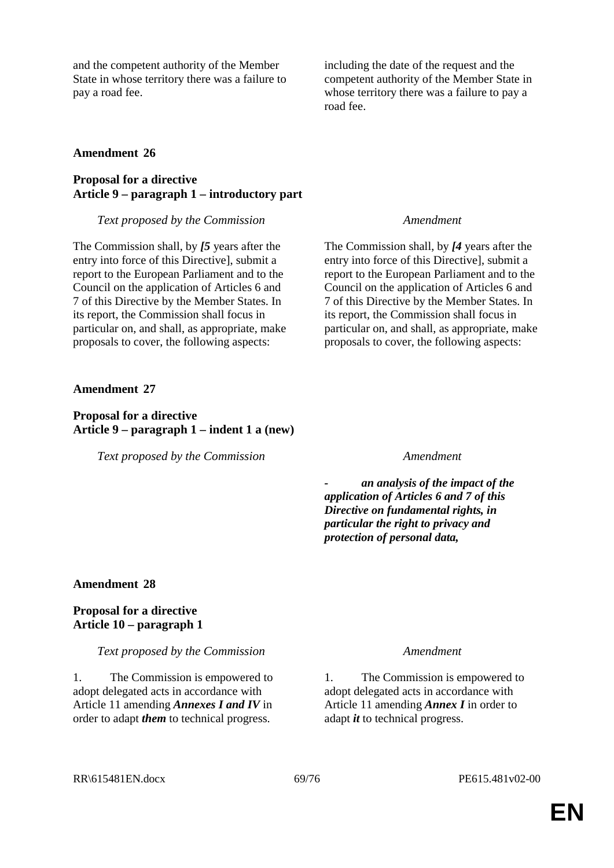and the competent authority of the Member State in whose territory there was a failure to pay a road fee.

including the date of the request and the competent authority of the Member State in whose territory there was a failure to pay a road fee.

### **Amendment 26**

#### **Proposal for a directive Article 9 – paragraph 1 – introductory part**

#### *Text proposed by the Commission Amendment*

The Commission shall, by *[5* years after the entry into force of this Directive], submit a report to the European Parliament and to the Council on the application of Articles 6 and 7 of this Directive by the Member States. In its report, the Commission shall focus in particular on, and shall, as appropriate, make proposals to cover, the following aspects:

The Commission shall, by *[4* years after the entry into force of this Directive], submit a report to the European Parliament and to the Council on the application of Articles 6 and 7 of this Directive by the Member States. In its report, the Commission shall focus in particular on, and shall, as appropriate, make proposals to cover, the following aspects:

#### **Amendment 27**

#### **Proposal for a directive Article 9 – paragraph 1 – indent 1 a (new)**

*Text proposed by the Commission Amendment*

*- an analysis of the impact of the application of Articles 6 and 7 of this Directive on fundamental rights, in particular the right to privacy and protection of personal data,*

#### **Amendment 28**

### **Proposal for a directive Article 10 – paragraph 1**

#### *Text proposed by the Commission Amendment*

1. The Commission is empowered to adopt delegated acts in accordance with Article 11 amending *Annexes I and IV* in order to adapt *them* to technical progress.

1. The Commission is empowered to adopt delegated acts in accordance with Article 11 amending *Annex I* in order to adapt *it* to technical progress.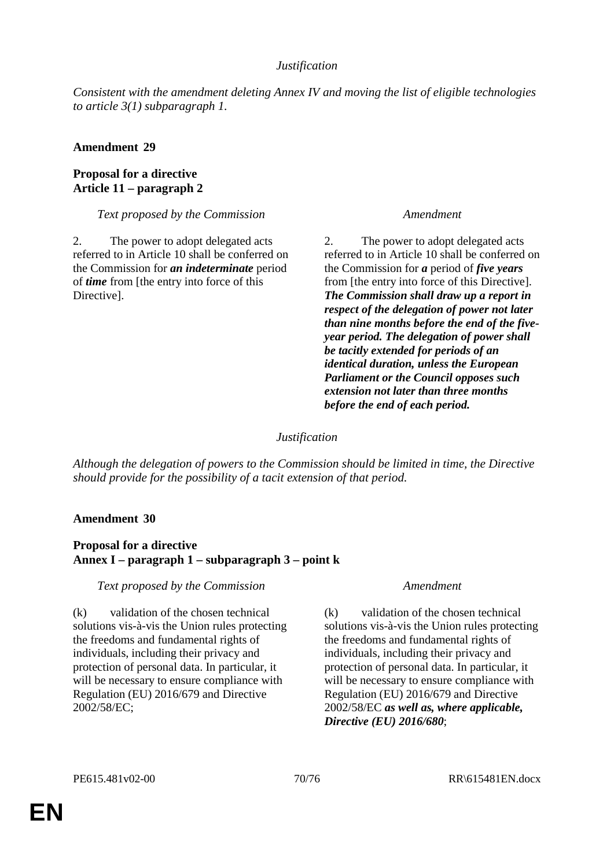### *Justification*

*Consistent with the amendment deleting Annex IV and moving the list of eligible technologies to article 3(1) subparagraph 1.*

### **Amendment 29**

### **Proposal for a directive Article 11 – paragraph 2**

#### *Text proposed by the Commission Amendment*

2. The power to adopt delegated acts referred to in Article 10 shall be conferred on the Commission for *an indeterminate* period of *time* from [the entry into force of this Directive].

2. The power to adopt delegated acts referred to in Article 10 shall be conferred on the Commission for *a* period of *five years* from [the entry into force of this Directive]. *The Commission shall draw up a report in respect of the delegation of power not later than nine months before the end of the fiveyear period. The delegation of power shall be tacitly extended for periods of an identical duration, unless the European Parliament or the Council opposes such extension not later than three months before the end of each period.*

*Justification*

*Although the delegation of powers to the Commission should be limited in time, the Directive should provide for the possibility of a tacit extension of that period.*

### **Amendment 30**

### **Proposal for a directive Annex I – paragraph 1 – subparagraph 3 – point k**

### *Text proposed by the Commission Amendment*

(k) validation of the chosen technical solutions vis-à-vis the Union rules protecting the freedoms and fundamental rights of individuals, including their privacy and protection of personal data. In particular, it will be necessary to ensure compliance with Regulation (EU) 2016/679 and Directive 2002/58/EC;

(k) validation of the chosen technical solutions vis-à-vis the Union rules protecting the freedoms and fundamental rights of individuals, including their privacy and protection of personal data. In particular, it will be necessary to ensure compliance with Regulation (EU) 2016/679 and Directive 2002/58/EC *as well as, where applicable, Directive (EU) 2016/680*;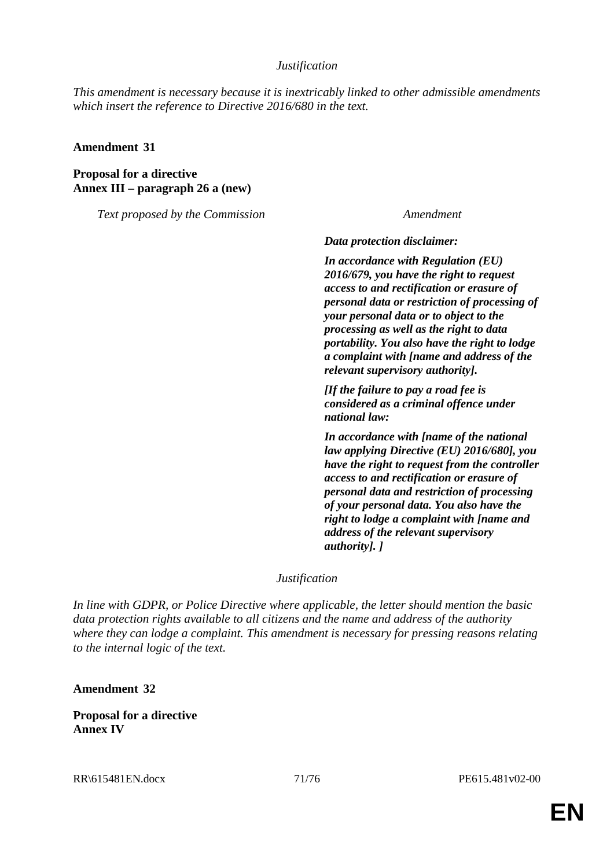### *Justification*

*This amendment is necessary because it is inextricably linked to other admissible amendments which insert the reference to Directive 2016/680 in the text.*

#### **Amendment 31**

### **Proposal for a directive Annex III – paragraph 26 a (new)**

*Text proposed by the Commission Amendment*

*Data protection disclaimer:*

*In accordance with Regulation (EU) 2016/679, you have the right to request access to and rectification or erasure of personal data or restriction of processing of your personal data or to object to the processing as well as the right to data portability. You also have the right to lodge a complaint with [name and address of the relevant supervisory authority].*

*[If the failure to pay a road fee is considered as a criminal offence under national law:*

*In accordance with [name of the national law applying Directive (EU) 2016/680], you have the right to request from the controller access to and rectification or erasure of personal data and restriction of processing of your personal data. You also have the right to lodge a complaint with [name and address of the relevant supervisory authority]. ]*

#### *Justification*

*In line with GDPR, or Police Directive where applicable, the letter should mention the basic data protection rights available to all citizens and the name and address of the authority where they can lodge a complaint. This amendment is necessary for pressing reasons relating to the internal logic of the text.*

**Amendment 32**

**Proposal for a directive Annex IV**

RR\615481EN.docx 71/76 PE615.481v02-00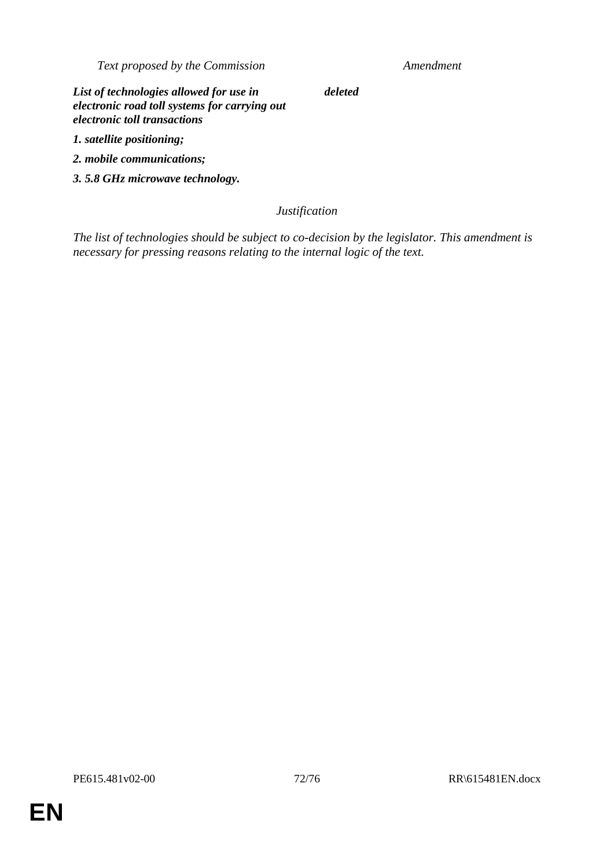*Text proposed by the Commission Amendment*

*List of technologies allowed for use in electronic road toll systems for carrying out electronic toll transactions*

- *1. satellite positioning;*
- *2. mobile communications;*
- *3. 5.8 GHz microwave technology.*

### *Justification*

*deleted*

*The list of technologies should be subject to co-decision by the legislator. This amendment is necessary for pressing reasons relating to the internal logic of the text.*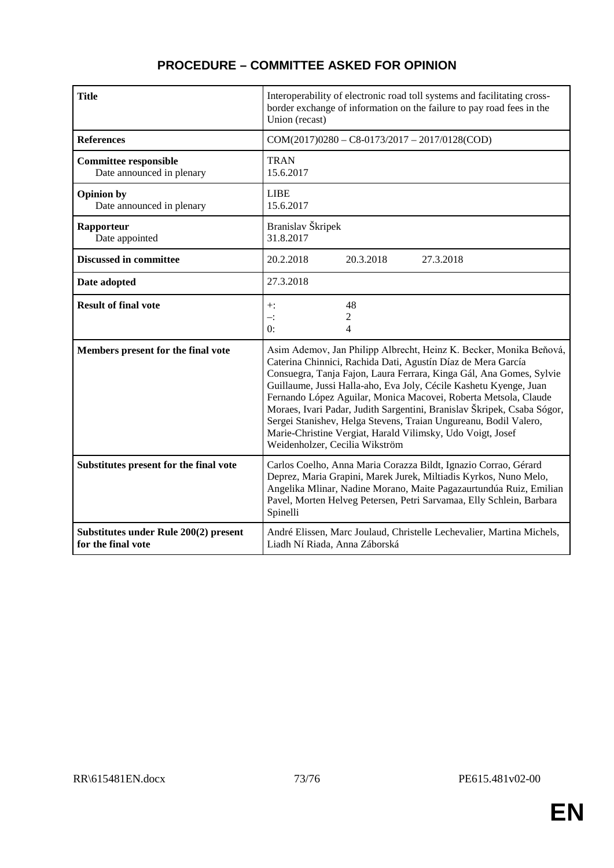| <b>Title</b>                                                | Interoperability of electronic road toll systems and facilitating cross-<br>border exchange of information on the failure to pay road fees in the<br>Union (recast)                                                                                                                                                                                                                                                                                                                                                                                                                              |  |
|-------------------------------------------------------------|--------------------------------------------------------------------------------------------------------------------------------------------------------------------------------------------------------------------------------------------------------------------------------------------------------------------------------------------------------------------------------------------------------------------------------------------------------------------------------------------------------------------------------------------------------------------------------------------------|--|
| <b>References</b>                                           | $COM(2017)0280 - C8 - 0173/2017 - 2017/0128(COD)$                                                                                                                                                                                                                                                                                                                                                                                                                                                                                                                                                |  |
| <b>Committee responsible</b><br>Date announced in plenary   | <b>TRAN</b><br>15.6.2017                                                                                                                                                                                                                                                                                                                                                                                                                                                                                                                                                                         |  |
| <b>Opinion by</b><br>Date announced in plenary              | <b>LIBE</b><br>15.6.2017                                                                                                                                                                                                                                                                                                                                                                                                                                                                                                                                                                         |  |
| Rapporteur<br>Date appointed                                | Branislav Škripek<br>31.8.2017                                                                                                                                                                                                                                                                                                                                                                                                                                                                                                                                                                   |  |
| <b>Discussed in committee</b>                               | 20.2.2018<br>20.3.2018<br>27.3.2018                                                                                                                                                                                                                                                                                                                                                                                                                                                                                                                                                              |  |
| Date adopted                                                | 27.3.2018                                                                                                                                                                                                                                                                                                                                                                                                                                                                                                                                                                                        |  |
| <b>Result of final vote</b>                                 | 48<br>$+$ :<br>$\overline{c}$<br>$-$ :<br>$\overline{4}$<br>$\theta$ :                                                                                                                                                                                                                                                                                                                                                                                                                                                                                                                           |  |
| Members present for the final vote                          | Asim Ademov, Jan Philipp Albrecht, Heinz K. Becker, Monika Beňová,<br>Caterina Chinnici, Rachida Dati, Agustín Díaz de Mera García<br>Consuegra, Tanja Fajon, Laura Ferrara, Kinga Gál, Ana Gomes, Sylvie<br>Guillaume, Jussi Halla-aho, Eva Joly, Cécile Kashetu Kyenge, Juan<br>Fernando López Aguilar, Monica Macovei, Roberta Metsola, Claude<br>Moraes, Ivari Padar, Judith Sargentini, Branislav Škripek, Csaba Sógor,<br>Sergei Stanishev, Helga Stevens, Traian Ungureanu, Bodil Valero,<br>Marie-Christine Vergiat, Harald Vilimsky, Udo Voigt, Josef<br>Weidenholzer, Cecilia Wikström |  |
| Substitutes present for the final vote                      | Carlos Coelho, Anna Maria Corazza Bildt, Ignazio Corrao, Gérard<br>Deprez, Maria Grapini, Marek Jurek, Miltiadis Kyrkos, Nuno Melo,<br>Angelika Mlinar, Nadine Morano, Maite Pagazaurtundúa Ruiz, Emilian<br>Pavel, Morten Helveg Petersen, Petri Sarvamaa, Elly Schlein, Barbara<br>Spinelli                                                                                                                                                                                                                                                                                                    |  |
| Substitutes under Rule 200(2) present<br>for the final vote | André Elissen, Marc Joulaud, Christelle Lechevalier, Martina Michels,<br>Liadh Ní Riada, Anna Záborská                                                                                                                                                                                                                                                                                                                                                                                                                                                                                           |  |

## **PROCEDURE – COMMITTEE ASKED FOR OPINION**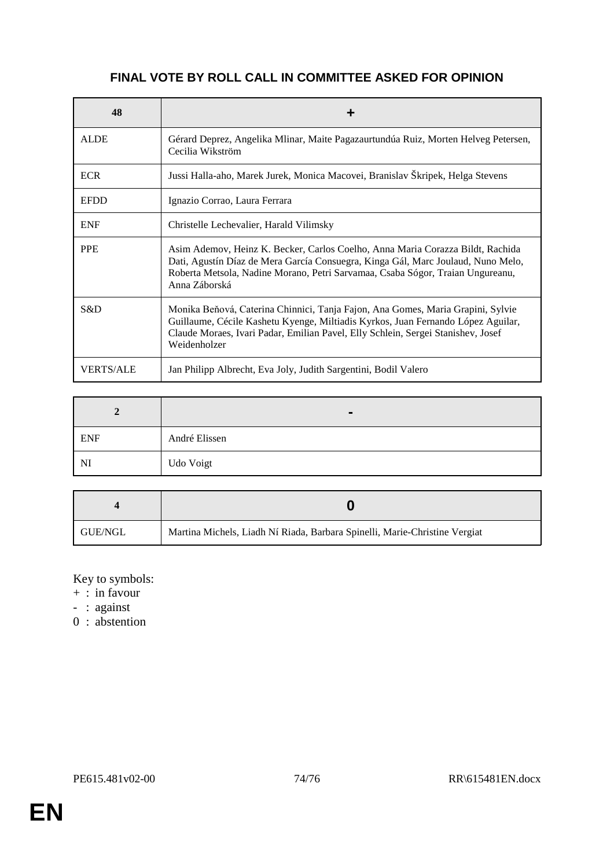## **FINAL VOTE BY ROLL CALL IN COMMITTEE ASKED FOR OPINION**

| 48               | ╈                                                                                                                                                                                                                                                                       |
|------------------|-------------------------------------------------------------------------------------------------------------------------------------------------------------------------------------------------------------------------------------------------------------------------|
| <b>ALDE</b>      | Gérard Deprez, Angelika Mlinar, Maite Pagazaurtundúa Ruiz, Morten Helveg Petersen,<br>Cecilia Wikström                                                                                                                                                                  |
| <b>ECR</b>       | Jussi Halla-aho, Marek Jurek, Monica Macovei, Branislav Škripek, Helga Stevens                                                                                                                                                                                          |
| <b>EFDD</b>      | Ignazio Corrao, Laura Ferrara                                                                                                                                                                                                                                           |
| <b>ENF</b>       | Christelle Lechevalier, Harald Vilimsky                                                                                                                                                                                                                                 |
| <b>PPE</b>       | Asim Ademov, Heinz K. Becker, Carlos Coelho, Anna Maria Corazza Bildt, Rachida<br>Dati, Agustín Díaz de Mera García Consuegra, Kinga Gál, Marc Joulaud, Nuno Melo,<br>Roberta Metsola, Nadine Morano, Petri Sarvamaa, Csaba Sógor, Traian Ungureanu,<br>Anna Záborská   |
| S&D.             | Monika Beňová, Caterina Chinnici, Tanja Fajon, Ana Gomes, Maria Grapini, Sylvie<br>Guillaume, Cécile Kashetu Kyenge, Miltiadis Kyrkos, Juan Fernando López Aguilar,<br>Claude Moraes, Ivari Padar, Emilian Pavel, Elly Schlein, Sergei Stanishev, Josef<br>Weidenholzer |
| <b>VERTS/ALE</b> | Jan Philipp Albrecht, Eva Joly, Judith Sargentini, Bodil Valero                                                                                                                                                                                                         |

|            | $\blacksquare$ |
|------------|----------------|
| <b>ENF</b> | André Elissen  |
| NI         | Udo Voigt      |

| GUE/NGL | Martina Michels, Liadh Ní Riada, Barbara Spinelli, Marie-Christine Vergiat |
|---------|----------------------------------------------------------------------------|

Key to symbols:

- + : in favour
- : against
- 0 : abstention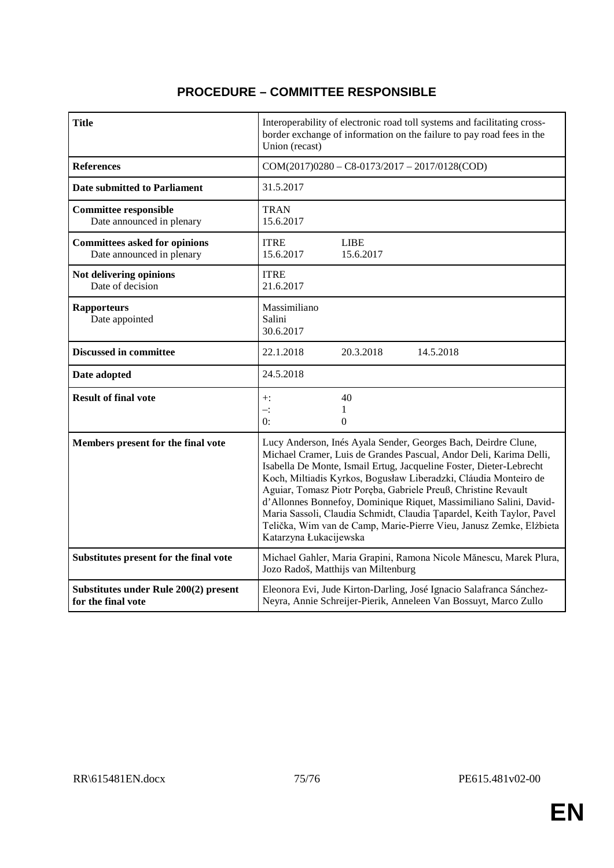## **PROCEDURE – COMMITTEE RESPONSIBLE**

| <b>Title</b>                                                      | Interoperability of electronic road toll systems and facilitating cross-<br>border exchange of information on the failure to pay road fees in the<br>Union (recast)                                                                                                                                                                                                                                                                                                                                                                                                                               |  |
|-------------------------------------------------------------------|---------------------------------------------------------------------------------------------------------------------------------------------------------------------------------------------------------------------------------------------------------------------------------------------------------------------------------------------------------------------------------------------------------------------------------------------------------------------------------------------------------------------------------------------------------------------------------------------------|--|
| <b>References</b>                                                 | $COM(2017)0280 - C8 - 0173/2017 - 2017/0128(COD)$                                                                                                                                                                                                                                                                                                                                                                                                                                                                                                                                                 |  |
| <b>Date submitted to Parliament</b>                               | 31.5.2017                                                                                                                                                                                                                                                                                                                                                                                                                                                                                                                                                                                         |  |
| <b>Committee responsible</b><br>Date announced in plenary         | <b>TRAN</b><br>15.6.2017                                                                                                                                                                                                                                                                                                                                                                                                                                                                                                                                                                          |  |
| <b>Committees asked for opinions</b><br>Date announced in plenary | <b>ITRE</b><br><b>LIBE</b><br>15.6.2017<br>15.6.2017                                                                                                                                                                                                                                                                                                                                                                                                                                                                                                                                              |  |
| Not delivering opinions<br>Date of decision                       | <b>ITRE</b><br>21.6.2017                                                                                                                                                                                                                                                                                                                                                                                                                                                                                                                                                                          |  |
| <b>Rapporteurs</b><br>Date appointed                              | Massimiliano<br>Salini<br>30.6.2017                                                                                                                                                                                                                                                                                                                                                                                                                                                                                                                                                               |  |
| <b>Discussed in committee</b>                                     | 22.1.2018<br>20.3.2018<br>14.5.2018                                                                                                                                                                                                                                                                                                                                                                                                                                                                                                                                                               |  |
| Date adopted                                                      | 24.5.2018                                                                                                                                                                                                                                                                                                                                                                                                                                                                                                                                                                                         |  |
| <b>Result of final vote</b>                                       | 40<br>$+$ :<br>1<br>$-$ :<br>0:<br>$\overline{0}$                                                                                                                                                                                                                                                                                                                                                                                                                                                                                                                                                 |  |
| Members present for the final vote                                | Lucy Anderson, Inés Ayala Sender, Georges Bach, Deirdre Clune,<br>Michael Cramer, Luis de Grandes Pascual, Andor Deli, Karima Delli,<br>Isabella De Monte, Ismail Ertug, Jacqueline Foster, Dieter-Lebrecht<br>Koch, Miltiadis Kyrkos, Bogusław Liberadzki, Cláudia Monteiro de<br>Aguiar, Tomasz Piotr Poręba, Gabriele Preuß, Christine Revault<br>d'Allonnes Bonnefoy, Dominique Riquet, Massimiliano Salini, David-<br>Maria Sassoli, Claudia Schmidt, Claudia Țapardel, Keith Taylor, Pavel<br>Telička, Wim van de Camp, Marie-Pierre Vieu, Janusz Zemke, Elżbieta<br>Katarzyna Łukacijewska |  |
| Substitutes present for the final vote                            | Michael Gahler, Maria Grapini, Ramona Nicole Mănescu, Marek Plura,<br>Jozo Radoš, Matthijs van Miltenburg                                                                                                                                                                                                                                                                                                                                                                                                                                                                                         |  |
| Substitutes under Rule 200(2) present<br>for the final vote       | Eleonora Evi, Jude Kirton-Darling, José Ignacio Salafranca Sánchez-<br>Neyra, Annie Schreijer-Pierik, Anneleen Van Bossuyt, Marco Zullo                                                                                                                                                                                                                                                                                                                                                                                                                                                           |  |